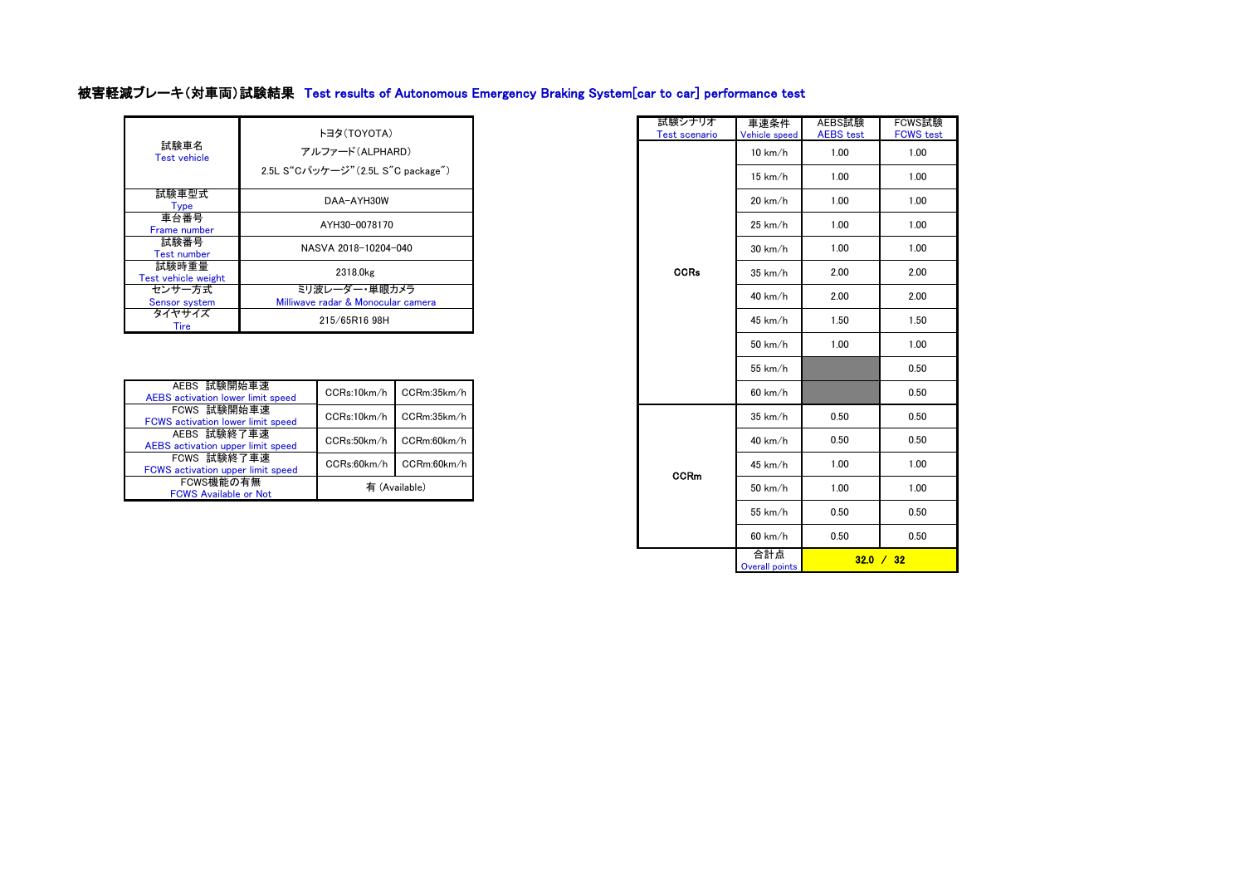# 被害軽減ブレーキ(対車両)試験結果 Test results of Autonomous Emergency Braking System[car to car] performance test

| 試験車名<br><b>Test vehicle</b>  | トヨタ(TOYOTA)<br>アルファード (ALPHARD)<br>2.5L S"Cパッケージ" (2.5L S"C package") |
|------------------------------|-----------------------------------------------------------------------|
| 試験車型式<br><b>Type</b>         | DAA-AYH30W                                                            |
| 車台番号<br>Frame number         | AYH30-0078170                                                         |
| 試験番号<br><b>Test number</b>   | NASVA 2018-10204-040                                                  |
| 試験時重量<br>Test vehicle weight | 2318.0 <sub>kg</sub>                                                  |
| センサー方式                       | ミリ波レーダー・単眼カメラ                                                         |
| <b>Sensor system</b>         | Milliwave radar & Monocular camera                                    |
| タイヤサイズ<br>Tire               | 215/65R16 98H                                                         |

| AEBS 試験開始車速<br><b>AEBS</b> activation lower limit speed | CCRs:10km/h | CCRm:35km/h   |
|---------------------------------------------------------|-------------|---------------|
| FCWS 試験開始車速<br><b>FCWS</b> activation lower limit speed | CCRs:10km/h | CCRm:35km/h   |
| AEBS 試験終了車速<br>AEBS activation upper limit speed        | CCRs:50km/h | CCRm:60km/h   |
| FCWS 試験終了車速<br>FCWS activation upper limit speed        | CCRs:60km/h | CCRm:60km/h   |
| FCWS機能の有無<br><b>FCWS Available or Not</b>               |             | 有 (Available) |

| トヨタ(TOYOTA)                                   |               | 試験シナリオ<br><b>Test scenario</b> | 車速条件<br>Vehicle speed | AEBS試験<br><b>AEBS</b> test | FCWS試験<br><b>FCWS</b> test |
|-----------------------------------------------|---------------|--------------------------------|-----------------------|----------------------------|----------------------------|
| アルファード(ALPHARD)                               |               |                                | 10 km/h               | 1.00                       | 1.00                       |
| パッケージ"(2.5L S"C package")                     |               |                                | 15 km/h               | 1.00                       | 1.00                       |
| DAA-AYH30W                                    |               |                                | 20 km/h               | 1.00                       | 1.00                       |
| AYH30-0078170                                 |               |                                | 25 km/h               | 1.00                       | 1.00                       |
| NASVA 2018-10204-040                          |               |                                | $30$ km/h             | 1.00                       | 1.00                       |
| 2318.0kg                                      |               | <b>CCRs</b>                    | 35 km/h               | 2.00                       | 2.00                       |
| ミリ波レーダー・単眼カメラ<br>ave radar & Monocular camera |               |                                | $40 \text{ km/h}$     | 2.00                       | 2.00                       |
| 215/65R16 98H                                 |               |                                | $45$ km/h             | 1.50                       | 1.50                       |
|                                               |               |                                | 50 km/h               | 1.00                       | 1.00                       |
|                                               |               |                                | 55 km/h               |                            | 0.50                       |
| CCRs:10km/h                                   | CCRm:35km/h   |                                | 60 km/h               |                            | 0.50                       |
| CCRs:10km/h                                   | CCRm:35km/h   |                                | 35 km/h               | 0.50                       | 0.50                       |
| CCRs:50km/h                                   | CCRm:60km/h   |                                | 40 km/h               | 0.50                       | 0.50                       |
| CCRs:60km/h                                   | CCRm:60km/h   | <b>CCRm</b>                    | 45 km/h               | 1.00                       | 1.00                       |
|                                               | 有 (Available) |                                | 50 km/h               | 1.00                       | 1.00                       |
|                                               |               |                                | 55 km/h               | 0.50                       | 0.50                       |
|                                               |               |                                | 60 km/h               | 0.50                       | 0.50                       |
|                                               |               |                                | 合計点<br>Overall points |                            | 32.0 / 32                  |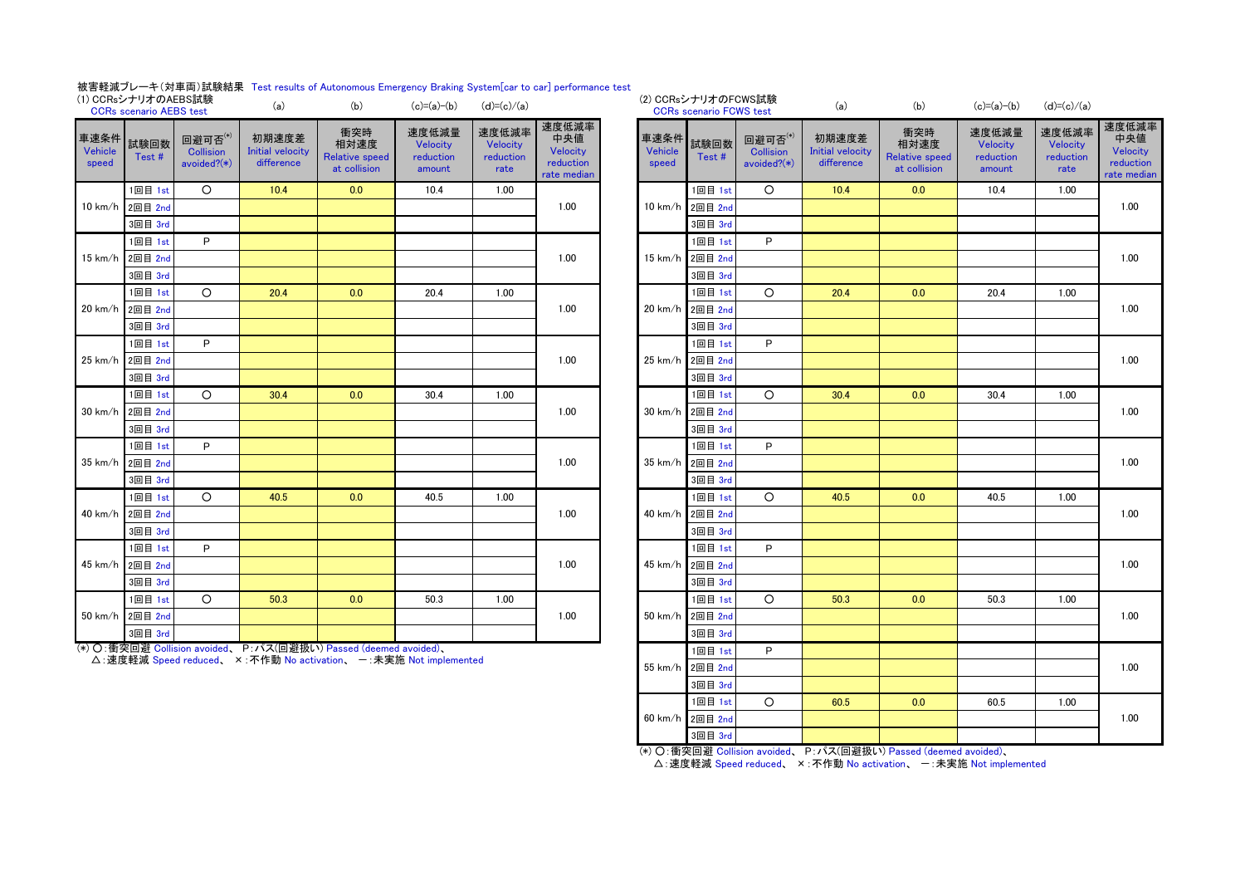## 被害軽減ブレーキ(対車両)試験結果 Test results of Autonomous Emergency Braking System[car to car] performance test

| (1) CCRsシナリオのAEBS試験      | <b>CCRs</b> scenario AEBS test |                                               | (a)                                            | (b)                                                  | $(c)=(a)-(b)$                            | $(d)=(c)/(a)$                          |                                                      |                          | (2) CCRsシナリオのFCWS試験<br><b>CCRs scenario FCWS test</b> |                                               | (a)                                            | (b)                                                  | $(c)=(a)-(b)$                            | $(d)=(c)/(a)$                          |                                         |
|--------------------------|--------------------------------|-----------------------------------------------|------------------------------------------------|------------------------------------------------------|------------------------------------------|----------------------------------------|------------------------------------------------------|--------------------------|-------------------------------------------------------|-----------------------------------------------|------------------------------------------------|------------------------------------------------------|------------------------------------------|----------------------------------------|-----------------------------------------|
| 車速条件<br>Vehicle<br>speed | 試験回数<br>Test#                  | 回避可否(*)<br><b>Collision</b><br>avoided? $(*)$ | 初期速度差<br><b>Initial velocity</b><br>difference | 衝突時<br>相対速度<br><b>Relative speed</b><br>at collision | 速度低減量<br>Velocity<br>reduction<br>amount | 速度低減率<br>Velocity<br>reduction<br>rate | 速度低減率<br>中央値<br>Velocity<br>reduction<br>rate median | 車速条件<br>Vehicle<br>speed | 試験回数<br>Test#                                         | 回避可否(*)<br><b>Collision</b><br>avoided? $(*)$ | 初期速度差<br><b>Initial velocity</b><br>difference | 衝突時<br>相対速度<br><b>Relative speed</b><br>at collision | 速度低減量<br>Velocity<br>reduction<br>amount | 速度低減率<br>Velocity<br>reduction<br>rate | 速度低<br>中央<br>Veloc<br>reduct<br>rate me |
|                          | 1回目 1st                        | $\circ$                                       | 10.4                                           | 0.0                                                  | 10.4                                     | 1.00                                   |                                                      |                          | 1回目 1st                                               | $\circ$                                       | 10.4                                           | 0.0                                                  | 10.4                                     | 1.00                                   |                                         |
|                          | 10 km/h 2回目 2nd                |                                               |                                                |                                                      |                                          |                                        | 1.00                                                 | $10 \text{ km/h}$        | 2回目 2nd                                               |                                               |                                                |                                                      |                                          |                                        | 1.00                                    |
|                          | 3回目 3rd                        |                                               |                                                |                                                      |                                          |                                        |                                                      |                          | 3回目 3rd                                               |                                               |                                                |                                                      |                                          |                                        |                                         |
|                          | 1回目 1st                        | P                                             |                                                |                                                      |                                          |                                        |                                                      |                          | 1回目 1st                                               | P                                             |                                                |                                                      |                                          |                                        |                                         |
|                          | 15 km/h 2回目 2nd                |                                               |                                                |                                                      |                                          |                                        | 1.00                                                 |                          | 15 km/h 2回目 2nd                                       |                                               |                                                |                                                      |                                          |                                        | 1.00                                    |
|                          | 3回目 3rd                        |                                               |                                                |                                                      |                                          |                                        |                                                      |                          | 3回目 3rd                                               |                                               |                                                |                                                      |                                          |                                        |                                         |
|                          | 1回目 1st                        | $\circ$                                       | 20.4                                           | 0.0                                                  | 20.4                                     | 1.00                                   |                                                      |                          | 1回目 1st                                               | $\circ$                                       | 20.4                                           | 0.0                                                  | 20.4                                     | 1.00                                   |                                         |
|                          | 20 km/h 2回目 2nd                |                                               |                                                |                                                      |                                          |                                        | 1.00                                                 |                          | 20 km/h 2回目 2nd                                       |                                               |                                                |                                                      |                                          |                                        | 1.00                                    |
|                          | 3回目 3rd                        |                                               |                                                |                                                      |                                          |                                        |                                                      |                          | 3回目 3rd                                               |                                               |                                                |                                                      |                                          |                                        |                                         |
|                          | 1回目 1st                        | P                                             |                                                |                                                      |                                          |                                        |                                                      |                          | 1回目 1st                                               | P                                             |                                                |                                                      |                                          |                                        |                                         |
|                          | 25 km/h 2回目 2nd                |                                               |                                                |                                                      |                                          |                                        | 1.00                                                 | $25 \text{ km/h}$        | 2回目 2nd                                               |                                               |                                                |                                                      |                                          |                                        | 1.00                                    |
|                          | 3回目 3rd                        |                                               |                                                |                                                      |                                          |                                        |                                                      |                          | 3回目 3rd                                               |                                               |                                                |                                                      |                                          |                                        |                                         |
|                          | 1回目 1st                        | $\circ$                                       | 30.4                                           | 0.0                                                  | 30.4                                     | 1.00                                   |                                                      |                          | 1回目 1st                                               | $\circ$                                       | 30.4                                           | 0.0                                                  | 30.4                                     | 1.00                                   |                                         |
|                          | 30 km/h 2回目 2nd                |                                               |                                                |                                                      |                                          |                                        | 1.00                                                 |                          | 30 km/h 2回目 2nd                                       |                                               |                                                |                                                      |                                          |                                        | 1.00                                    |
|                          | 3回目 3rd                        |                                               |                                                |                                                      |                                          |                                        |                                                      |                          | 3回目 3rd                                               |                                               |                                                |                                                      |                                          |                                        |                                         |
|                          | 1回目 1st                        | P                                             |                                                |                                                      |                                          |                                        |                                                      |                          | 1回目 1st                                               | P                                             |                                                |                                                      |                                          |                                        |                                         |
|                          | 35 km/h 2回目 2nd<br>3回目 3rd     |                                               |                                                |                                                      |                                          |                                        | 1.00                                                 |                          | 35 km/h 2回目 2nd                                       |                                               |                                                |                                                      |                                          |                                        | 1.00                                    |
|                          | 1回目 1st                        | $\circ$                                       | 40.5                                           | 0.0                                                  | 40.5                                     | 1.00                                   |                                                      |                          | 3回目 3rd<br>1回目 1st                                    | $\circ$                                       | 40.5                                           | 0.0                                                  | 40.5                                     | 1.00                                   |                                         |
|                          | 40 km/h 2回目 2nd                |                                               |                                                |                                                      |                                          |                                        | 1.00                                                 |                          | 40 km/h 2回目 2nd                                       |                                               |                                                |                                                      |                                          |                                        | 1.00                                    |
|                          | 3回目 3rd                        |                                               |                                                |                                                      |                                          |                                        |                                                      |                          | 3回目 3rd                                               |                                               |                                                |                                                      |                                          |                                        |                                         |
|                          | 1回目 1st                        | P                                             |                                                |                                                      |                                          |                                        |                                                      |                          | 1回目 1st                                               | P                                             |                                                |                                                      |                                          |                                        |                                         |
|                          | 45 km/h 2回目 2nd                |                                               |                                                |                                                      |                                          |                                        | 1.00                                                 |                          | 45 km/h 2回目 2nd                                       |                                               |                                                |                                                      |                                          |                                        | 1.00                                    |
|                          | 3回目 3rd                        |                                               |                                                |                                                      |                                          |                                        |                                                      |                          | 3回目 3rd                                               |                                               |                                                |                                                      |                                          |                                        |                                         |
|                          | 1回目 1st                        | $\circ$                                       | 50.3                                           | 0.0                                                  | 50.3                                     | 1.00                                   |                                                      |                          | 1回目 1st                                               | $\circ$                                       | 50.3                                           | 0.0                                                  | 50.3                                     | 1.00                                   |                                         |
|                          | 50 km/h 2回目 2nd                |                                               |                                                |                                                      |                                          |                                        | 1.00                                                 | $50$ km/h                | 2回目 2nd                                               |                                               |                                                |                                                      |                                          |                                        | 1.00                                    |
|                          | 3回目 3rd                        |                                               |                                                |                                                      |                                          |                                        |                                                      |                          | 3回目 3rd                                               |                                               |                                                |                                                      |                                          |                                        |                                         |
|                          |                                |                                               |                                                |                                                      |                                          |                                        |                                                      |                          |                                                       |                                               |                                                |                                                      |                                          |                                        |                                         |

(\*) 〇: 衝突回避 Collision avoided、 P: パス(回避扱い) Passed (deemed avoided)、

△: 速度軽減 Speed reduced、 ×:不作動 No activation、 一:未実施 Not implemented

| (a)                       | (b)                                                  | $(c)=(a)-(b)$                            | $(d)=(c)/(a)$                          |                                                      |                          | (2) CCRsシナリオのFCWS試験<br><b>CCRs scenario FCWS test</b> |                                               | (a)                                            | (b)                                                  | $(c)=(a)-(b)$                            | $(d)=(c)/(a)$                          |                                                      |
|---------------------------|------------------------------------------------------|------------------------------------------|----------------------------------------|------------------------------------------------------|--------------------------|-------------------------------------------------------|-----------------------------------------------|------------------------------------------------|------------------------------------------------------|------------------------------------------|----------------------------------------|------------------------------------------------------|
| 速度差<br>velocity<br>erence | 衝突時<br>相対速度<br><b>Relative speed</b><br>at collision | 速度低減量<br>Velocity<br>reduction<br>amount | 速度低減率<br>Velocity<br>reduction<br>rate | 速度低減率<br>中央値<br>Velocity<br>reduction<br>rate median | 車速条件<br>Vehicle<br>speed | 試験回数<br>Test#                                         | 回避可否(*)<br><b>Collision</b><br>avoided? $(*)$ | 初期速度差<br><b>Initial velocity</b><br>difference | 衝突時<br>相対速度<br><b>Relative speed</b><br>at collision | 速度低減量<br>Velocity<br>reduction<br>amount | 速度低減率<br>Velocity<br>reduction<br>rate | 速度低減率<br>中央値<br>Velocity<br>reduction<br>rate median |
| 0.4                       | 0.0                                                  | 10.4                                     | 1.00                                   |                                                      |                          | 1回目 1st                                               | $\circ$                                       | 10.4                                           | 0.0                                                  | 10.4                                     | 1.00                                   |                                                      |
|                           |                                                      |                                          |                                        | 1.00                                                 | 10 km/h                  | 2回目 2nd                                               |                                               |                                                |                                                      |                                          |                                        | 1.00                                                 |
|                           |                                                      |                                          |                                        |                                                      |                          | 3回目 3rd                                               |                                               |                                                |                                                      |                                          |                                        |                                                      |
|                           |                                                      |                                          |                                        |                                                      |                          | 1回目 1st                                               | P                                             |                                                |                                                      |                                          |                                        |                                                      |
|                           |                                                      |                                          |                                        | 1.00                                                 | 15 km/h                  | 2回目 2nd                                               |                                               |                                                |                                                      |                                          |                                        | 1.00                                                 |
|                           |                                                      |                                          |                                        |                                                      |                          | 3回目 3rd                                               |                                               |                                                |                                                      |                                          |                                        |                                                      |
| 20.4                      | 0.0                                                  | 20.4                                     | 1.00                                   |                                                      |                          | 1回目 1st                                               | $\circ$                                       | 20.4                                           | 0.0                                                  | 20.4                                     | 1.00                                   |                                                      |
|                           |                                                      |                                          |                                        | 1.00                                                 | $20 \text{ km/h}$        | 2回目 2nd                                               |                                               |                                                |                                                      |                                          |                                        | 1.00                                                 |
|                           |                                                      |                                          |                                        |                                                      |                          | 3回目 3rd                                               |                                               |                                                |                                                      |                                          |                                        |                                                      |
|                           |                                                      |                                          |                                        |                                                      |                          | 1回目 1st                                               | P                                             |                                                |                                                      |                                          |                                        |                                                      |
|                           |                                                      |                                          |                                        | 1.00                                                 | $25 \text{ km/h}$        | 2回目 2nd                                               |                                               |                                                |                                                      |                                          |                                        | 1.00                                                 |
|                           |                                                      |                                          |                                        |                                                      |                          | 3回目 3rd                                               |                                               |                                                |                                                      |                                          |                                        |                                                      |
| 0.4                       | 0.0                                                  | 30.4                                     | 1.00                                   |                                                      |                          | 1回目 1st                                               | $\circ$                                       | 30.4                                           | 0.0                                                  | 30.4                                     | 1.00                                   |                                                      |
|                           |                                                      |                                          |                                        | 1.00                                                 | 30 km/h                  | 2回目 2nd                                               |                                               |                                                |                                                      |                                          |                                        | 1.00                                                 |
|                           |                                                      |                                          |                                        |                                                      |                          | 3回目 3rd                                               |                                               |                                                |                                                      |                                          |                                        |                                                      |
|                           |                                                      |                                          |                                        |                                                      |                          | 1回目 1st                                               | P                                             |                                                |                                                      |                                          |                                        |                                                      |
|                           |                                                      |                                          |                                        | 1.00                                                 | $35 \text{ km/h}$        | 2回目 2nd                                               |                                               |                                                |                                                      |                                          |                                        | 1.00                                                 |
|                           |                                                      |                                          |                                        |                                                      |                          | 3回目 3rd                                               |                                               |                                                |                                                      |                                          |                                        |                                                      |
| 10.5                      | 0.0                                                  | 40.5                                     | 1.00                                   |                                                      |                          | 1回目 1st                                               | $\circ$                                       | 40.5                                           | 0.0                                                  | 40.5                                     | 1.00                                   |                                                      |
|                           |                                                      |                                          |                                        | 1.00                                                 |                          | 40 km/h 2回目 2nd                                       |                                               |                                                |                                                      |                                          |                                        | 1.00                                                 |
|                           |                                                      |                                          |                                        |                                                      |                          | 3回目 3rd                                               |                                               |                                                |                                                      |                                          |                                        |                                                      |
|                           |                                                      |                                          |                                        |                                                      |                          | 1回目 1st                                               | P                                             |                                                |                                                      |                                          |                                        |                                                      |
|                           |                                                      |                                          |                                        | 1.00                                                 | 45 km/h                  | 2回目 2nd                                               |                                               |                                                |                                                      |                                          |                                        | 1.00                                                 |
|                           |                                                      |                                          |                                        |                                                      |                          | 3回目 3rd                                               |                                               |                                                |                                                      |                                          |                                        |                                                      |
| 0.3                       | 0.0                                                  | 50.3                                     | 1.00                                   |                                                      |                          | 1回目 1st                                               | $\circ$                                       | 50.3                                           | 0.0                                                  | 50.3                                     | 1.00                                   |                                                      |
|                           |                                                      |                                          |                                        | 1.00                                                 | $50 \text{ km/h}$        | 2回目 2nd                                               |                                               |                                                |                                                      |                                          |                                        | 1.00                                                 |
|                           |                                                      |                                          |                                        |                                                      |                          | 3回目 3rd                                               |                                               |                                                |                                                      |                                          |                                        |                                                      |
|                           | (回避扱い) Passed (deemed avoided)、                      |                                          |                                        |                                                      |                          | 1回目 1st                                               | P                                             |                                                |                                                      |                                          |                                        |                                                      |
|                           | 動 No activation、 一:未実施 Not implemented               |                                          |                                        |                                                      | 55 km/h                  | 2回目 2nd                                               |                                               |                                                |                                                      |                                          |                                        | 1.00                                                 |
|                           |                                                      |                                          |                                        |                                                      |                          | 3回目 3rd                                               |                                               |                                                |                                                      |                                          |                                        |                                                      |
|                           |                                                      |                                          |                                        |                                                      |                          | 1回目 1st                                               | $\circ$                                       | 60.5                                           | 0.0                                                  | 60.5                                     | 1.00                                   |                                                      |
|                           |                                                      |                                          |                                        |                                                      | 60 km/h                  | 2回目 2nd                                               |                                               |                                                |                                                      |                                          |                                        | 1.00                                                 |
|                           |                                                      |                                          |                                        |                                                      |                          | 3回目 3rd                                               |                                               |                                                |                                                      |                                          |                                        |                                                      |

(\*) ○:衝突回避 Collision avoided、 P:パス(回避扱い) Passed (deemed avoided)、

△:速度軽減 Speed reduced、 ×:不作動 No activation、 一 :未実施 Not implemented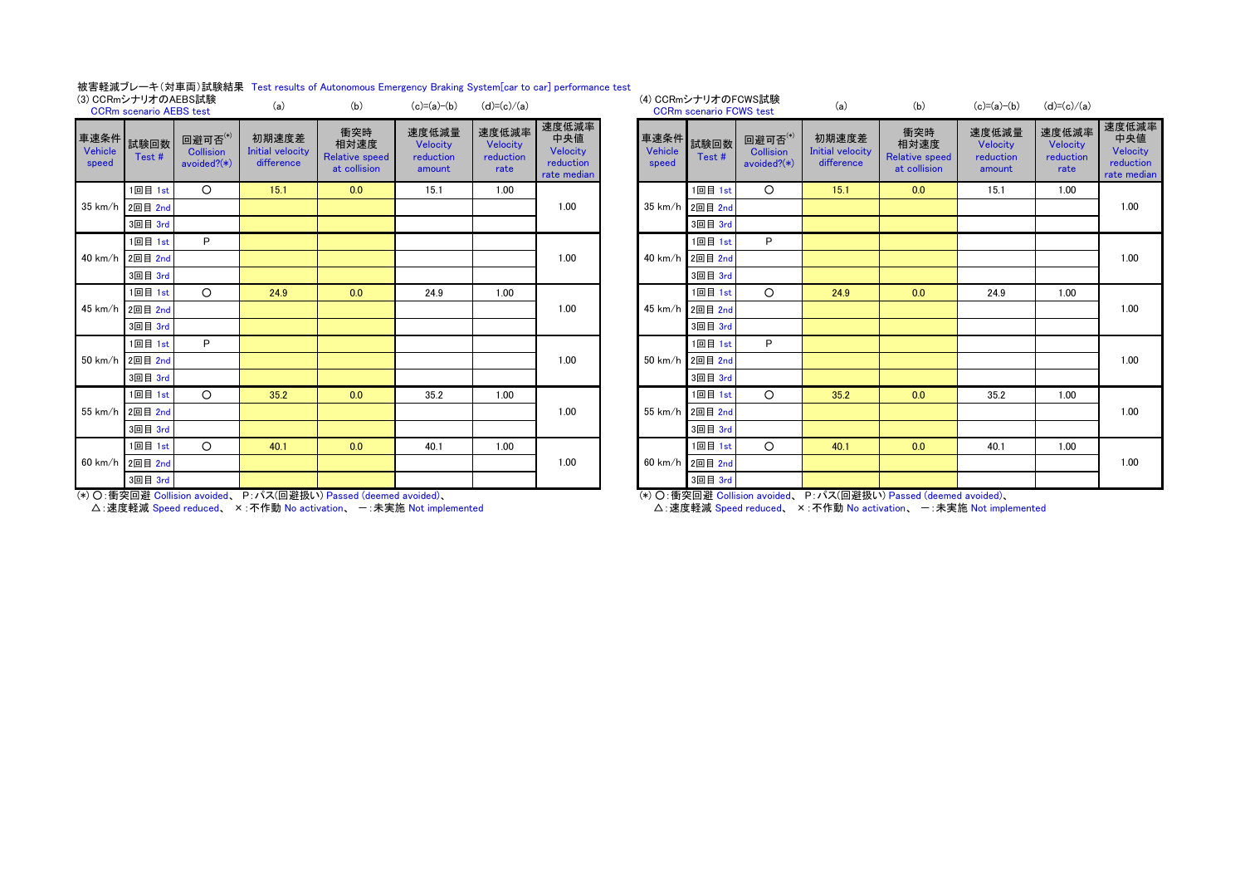## 被害軽減ブレーキ(対車両)試験結果 Test results of Autonomous Emergency Braking System[car to car] performance test

|                               | (3) CCRmシナリオのAEBS試験<br><b>CCRm</b> scenario AEBS test |                                               | (a)                                            | (b)                                                  | $(c)=(a)-(b)$                            | $(d)=(c)/(a)$                                 |                                                      |                  | (4) CCRmシナリオのFCWS試験<br><b>CCRm scenario FCWS test</b> |                                               | (a)                                            | (b)                                                  | $(c)=(a)-(b)$                            | $(d)=(c)/(a)$                          |                                         |
|-------------------------------|-------------------------------------------------------|-----------------------------------------------|------------------------------------------------|------------------------------------------------------|------------------------------------------|-----------------------------------------------|------------------------------------------------------|------------------|-------------------------------------------------------|-----------------------------------------------|------------------------------------------------|------------------------------------------------------|------------------------------------------|----------------------------------------|-----------------------------------------|
| 車速条件 試験回数<br>Vehicle<br>speed | Test#                                                 | 回避可否(*)<br><b>Collision</b><br>avoided? $(*)$ | 初期速度差<br><b>Initial velocity</b><br>difference | 衝突時<br>相対速度<br><b>Relative speed</b><br>at collision | 速度低減量<br>Velocity<br>reduction<br>amount | 速度低減率<br><b>Velocity</b><br>reduction<br>rate | 速度低減率<br>中央値<br>Velocity<br>reduction<br>rate median | Vehicle<br>speed | 車速条件 試験回数<br>Test#                                    | 回避可否(*)<br><b>Collision</b><br>avoided? $(*)$ | 初期速度差<br><b>Initial velocity</b><br>difference | 衝突時<br>相対速度<br><b>Relative speed</b><br>at collision | 速度低減量<br>Velocity<br>reduction<br>amount | 速度低減率<br>Velocity<br>reduction<br>rate | 速度低<br>中央<br>Veloc<br>reduct<br>rate me |
|                               | 1回目 1st                                               | $\circ$                                       | 15.1                                           | 0.0                                                  | 15.1                                     | 1.00                                          |                                                      |                  | 1回目 1st                                               | $\circ$                                       | 15.1                                           | 0.0                                                  | 15.1                                     | 1.00                                   |                                         |
|                               | 35 km/h 2回目 2nd                                       |                                               |                                                |                                                      |                                          |                                               | 1.00                                                 |                  | 35 km/h 2回目 2nd                                       |                                               |                                                |                                                      |                                          |                                        | 1.00                                    |
|                               | 3回目 3rd                                               |                                               |                                                |                                                      |                                          |                                               |                                                      |                  | 3回目 3rd                                               |                                               |                                                |                                                      |                                          |                                        |                                         |
|                               | 1回目 1st                                               | P                                             |                                                |                                                      |                                          |                                               |                                                      |                  | 1回目 1st                                               | P                                             |                                                |                                                      |                                          |                                        |                                         |
|                               | 40 km/h 2回目 2nd                                       |                                               |                                                |                                                      |                                          |                                               | 1.00                                                 |                  | 40 km/h 2回目 2nd                                       |                                               |                                                |                                                      |                                          |                                        | 1.00                                    |
|                               | 3回目 3rd                                               |                                               |                                                |                                                      |                                          |                                               |                                                      |                  | 3回目 3rd                                               |                                               |                                                |                                                      |                                          |                                        |                                         |
|                               | 1回目 1st                                               | $\Omega$                                      | 24.9                                           | 0.0                                                  | 24.9                                     | 1.00                                          |                                                      |                  | 1回目 1st                                               | $\Omega$                                      | 24.9                                           | 0.0                                                  | 24.9                                     | 1.00                                   |                                         |
|                               | 45 km/h 2回目 2nd                                       |                                               |                                                |                                                      |                                          |                                               | 1.00                                                 |                  | 45 km/h 2回目 2nd                                       |                                               |                                                |                                                      |                                          |                                        | 1.00                                    |
|                               | 3回目 3rd                                               |                                               |                                                |                                                      |                                          |                                               |                                                      |                  | 3回目 3rd                                               |                                               |                                                |                                                      |                                          |                                        |                                         |
|                               | 1回目 1st                                               | P                                             |                                                |                                                      |                                          |                                               |                                                      |                  | 1回目 1st                                               | P                                             |                                                |                                                      |                                          |                                        |                                         |
|                               | 50 km/h 2回目 2nd                                       |                                               |                                                |                                                      |                                          |                                               | 1.00                                                 |                  | 50 km/h 2回目 2nd                                       |                                               |                                                |                                                      |                                          |                                        | 1.00                                    |
|                               | 3回目 3rd                                               |                                               |                                                |                                                      |                                          |                                               |                                                      |                  | 3回目 3rd                                               |                                               |                                                |                                                      |                                          |                                        |                                         |
|                               | 1回目 1st                                               | $\Omega$                                      | 35.2                                           | 0.0                                                  | 35.2                                     | 1.00                                          |                                                      |                  | 1回目 1st                                               | $\circ$                                       | 35.2                                           | 0.0                                                  | 35.2                                     | 1.00                                   |                                         |
|                               | 55 km/h 2回目 2nd                                       |                                               |                                                |                                                      |                                          |                                               | 1.00                                                 |                  | 55 km/h 2回目 2nd                                       |                                               |                                                |                                                      |                                          |                                        | 1.00                                    |
|                               | 3回目 3rd                                               |                                               |                                                |                                                      |                                          |                                               |                                                      |                  | 3回目 3rd                                               |                                               |                                                |                                                      |                                          |                                        |                                         |
|                               | 1回目 1st                                               | $\circ$                                       | 40.1                                           | 0.0                                                  | 40.1                                     | 1.00                                          |                                                      |                  | 1回目 1st                                               | $\Omega$                                      | 40.1                                           | 0.0                                                  | 40.1                                     | 1.00                                   |                                         |
|                               | 60 km/h 2回目 2nd                                       |                                               |                                                |                                                      |                                          |                                               | 1.00                                                 |                  | 60 km/h 2回目 2nd                                       |                                               |                                                |                                                      |                                          |                                        | 1.00                                    |
|                               | 3回目 3rd                                               |                                               |                                                |                                                      |                                          |                                               |                                                      |                  | 3回目 3rd                                               |                                               |                                                |                                                      |                                          |                                        |                                         |

| (a)                       | (b)                                                  | $(c)=(a)-(b)$                            | $(d)=(c)/(a)$                          |                                                      | (4) CCRmシナリオのFCWS試験           | <b>CCRm scenario FCWS test</b> |                                               | (a)                                            | (b)                                                  | $(c)=(a)-(b)$                            | $(d)=(c)/(a)$                          |                                                      |
|---------------------------|------------------------------------------------------|------------------------------------------|----------------------------------------|------------------------------------------------------|-------------------------------|--------------------------------|-----------------------------------------------|------------------------------------------------|------------------------------------------------------|------------------------------------------|----------------------------------------|------------------------------------------------------|
| 速度差<br>velocity<br>erence | 衝突時<br>相対速度<br><b>Relative speed</b><br>at collision | 速度低減量<br>Velocity<br>reduction<br>amount | 速度低減率<br>Velocity<br>reduction<br>rate | 速度低減率<br>中央値<br>Velocity<br>reduction<br>rate median | 車速条件 試験回数<br>Vehicle<br>speed | Test#                          | 回避可否(*)<br><b>Collision</b><br>avoided? $(*)$ | 初期速度差<br><b>Initial velocity</b><br>difference | 衝突時<br>相対速度<br><b>Relative speed</b><br>at collision | 速度低減量<br>Velocity<br>reduction<br>amount | 速度低減率<br>Velocity<br>reduction<br>rate | 速度低減率<br>中央値<br>Velocity<br>reduction<br>rate median |
| 5.1                       | 0.0                                                  | 15.1                                     | 1.00                                   |                                                      |                               | 1回目 1st                        | $\circ$                                       | 15.1                                           | 0.0                                                  | 15.1                                     | 1.00                                   |                                                      |
|                           |                                                      |                                          |                                        | 1.00                                                 | 35 km/h                       | 2回目 2nd                        |                                               |                                                |                                                      |                                          |                                        | 1.00                                                 |
|                           |                                                      |                                          |                                        |                                                      |                               | 3回目 3rd                        |                                               |                                                |                                                      |                                          |                                        |                                                      |
|                           |                                                      |                                          |                                        |                                                      |                               | 1回目 1st                        | P                                             |                                                |                                                      |                                          |                                        |                                                      |
|                           |                                                      |                                          |                                        | 1.00                                                 |                               | 40 km/h 2回目 2nd                |                                               |                                                |                                                      |                                          |                                        | 1.00                                                 |
|                           |                                                      |                                          |                                        |                                                      |                               | 3回目 3rd                        |                                               |                                                |                                                      |                                          |                                        |                                                      |
| .4.9                      | 0.0                                                  | 24.9                                     | 1.00                                   |                                                      |                               | 1回目 1st                        | $\circ$                                       | 24.9                                           | 0.0                                                  | 24.9                                     | 1.00                                   |                                                      |
|                           |                                                      |                                          |                                        | 1.00                                                 |                               | 45 km/h 2回目 2nd                |                                               |                                                |                                                      |                                          |                                        | 1.00                                                 |
|                           |                                                      |                                          |                                        |                                                      |                               | 3回目 3rd                        |                                               |                                                |                                                      |                                          |                                        |                                                      |
|                           |                                                      |                                          |                                        |                                                      |                               | 1回目 1st                        | P                                             |                                                |                                                      |                                          |                                        |                                                      |
|                           |                                                      |                                          |                                        | 1.00                                                 |                               | 50 km/h 2回目 2nd                |                                               |                                                |                                                      |                                          |                                        | 1.00                                                 |
|                           |                                                      |                                          |                                        |                                                      |                               | 3回目 3rd                        |                                               |                                                |                                                      |                                          |                                        |                                                      |
| 35.2                      | 0.0                                                  | 35.2                                     | 1.00                                   |                                                      |                               | 1回目 1st                        | $\circ$                                       | 35.2                                           | 0.0                                                  | 35.2                                     | 1.00                                   |                                                      |
|                           |                                                      |                                          |                                        | 1.00                                                 |                               | 55 km/h 2回目 2nd                |                                               |                                                |                                                      |                                          |                                        | 1.00                                                 |
|                           |                                                      |                                          |                                        |                                                      |                               | 3回目 3rd                        |                                               |                                                |                                                      |                                          |                                        |                                                      |
| 10.1                      | 0.0                                                  | 40.1                                     | 1.00                                   |                                                      |                               | 1回目 1st                        | $\circ$                                       | 40.1                                           | 0.0                                                  | 40.1                                     | 1.00                                   |                                                      |
|                           |                                                      |                                          |                                        | 1.00                                                 |                               | 60 km/h 2回目 2nd                |                                               |                                                |                                                      |                                          |                                        | 1.00                                                 |
|                           |                                                      |                                          |                                        |                                                      |                               | 3回目 3rd                        |                                               |                                                |                                                      |                                          |                                        |                                                      |
|                           |                                                      |                                          |                                        |                                                      |                               |                                |                                               |                                                |                                                      |                                          |                                        |                                                      |

(\*) ○:衝突回避 Collision avoided、 P:パス(回避扱い) Passed (deemed avoided)、

△:速度軽減 Speed reduced、 ×:不作動 No activation、 一:未実施 Not implemented

(\*) ○:衝突回避 Collision avoided、 P:パス(回避扱い) Passed (deemed avoided)、

△:速度軽減 Speed reduced、 ×:不作動 No activation、 -:未実施 Not implemented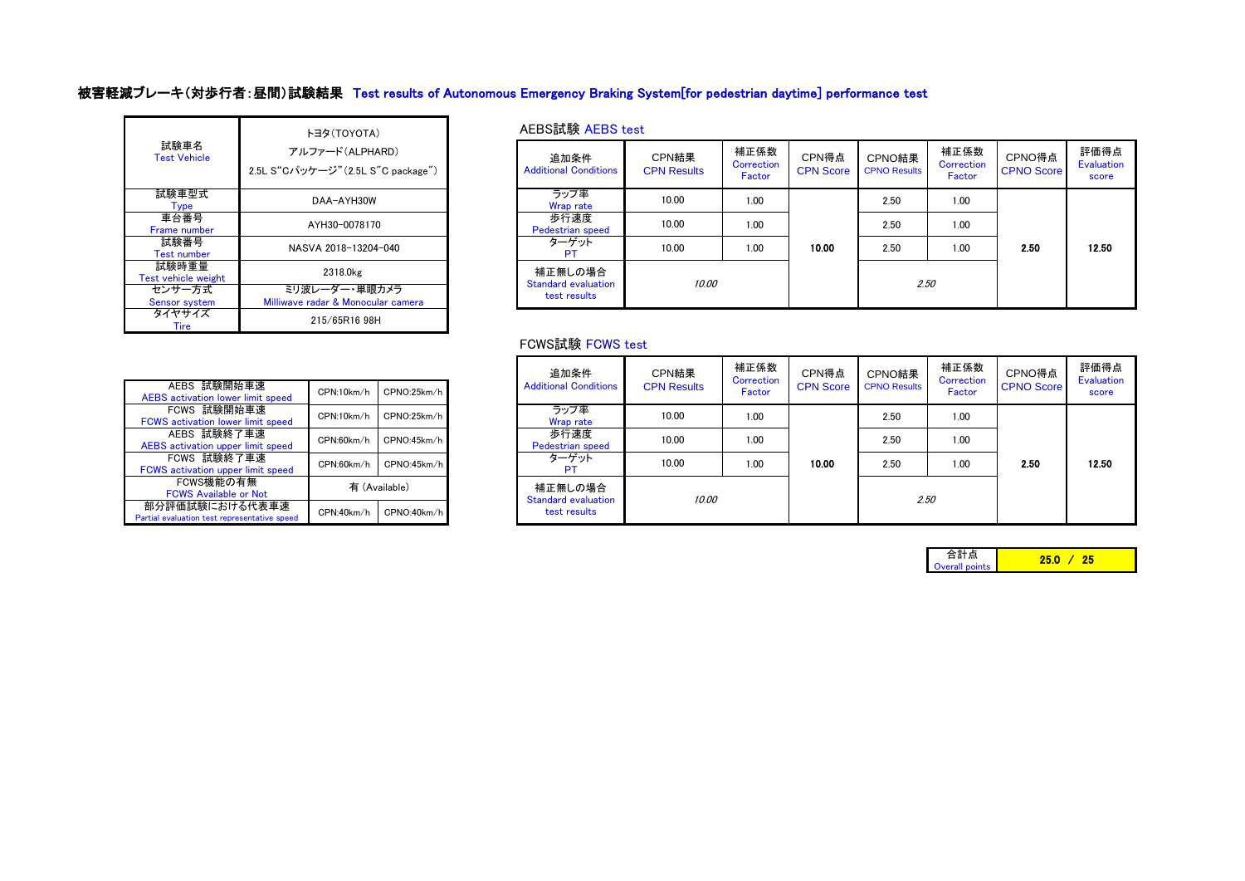# 被害軽減ブレーキ(対歩行者:昼間)試験結果 Test results of Autonomous Emergency Braking System[for pedestrian daytime] performance test

| 試験車名<br><b>Test Vehicle</b>    | トヨタ(TOYOTA)<br>アルファード (ALPHARD)<br>2.5L S"Cパッケージ" (2.5L S"C package") |
|--------------------------------|-----------------------------------------------------------------------|
| 試験車型式<br>Type                  | DAA-AYH30W                                                            |
| 車台番号<br>Frame number           | AYH30-0078170                                                         |
| 試験番号<br><b>Test number</b>     | NASVA 2018-13204-040                                                  |
| 試験時重量<br>Test vehicle weight   | 2318.0kg                                                              |
| センサー方式<br><b>Sensor system</b> | ミリ波レーダー・単眼カメラ<br>Milliwave radar & Monocular camera                   |
| タイヤサイズ<br>Tire                 | 215/65R16 98H                                                         |

# AEBS試験 AEBS test

| アルファード (ALPHARD)<br>パッケージ" (2.5L S"C package") | 追加条件<br><b>Additional Conditions</b> | CPN結果<br><b>CPN Results</b> | 補正係数<br>Correction<br>Factor | CPN得点<br><b>CPN Score</b> | CPNO結果<br><b>CPNO Results</b> | 補正係数<br>Correction<br>Factor | CPNO得点<br><b>CPNO Score</b> | 評価得点<br><b>Evaluation</b><br>score |
|------------------------------------------------|--------------------------------------|-----------------------------|------------------------------|---------------------------|-------------------------------|------------------------------|-----------------------------|------------------------------------|
| DAA-AYH30W                                     | ラップ率<br>Wrap rate                    | 10.00                       | 1.00                         |                           | 2.50                          | 1.00                         |                             |                                    |
| AYH30-0078170                                  | 歩行速度<br><b>Pedestrian speed</b>      | 10.00                       | 1.00                         |                           | 2.50                          | 1.00                         |                             |                                    |
| NASVA 2018-13204-040                           | ターゲット<br>P1                          | 10.00                       | 1.00                         | 10.00                     | 2.50                          | 1.00                         | 2.50                        | 12.50                              |
| 2318.0kg                                       | 補正無しの場合                              |                             |                              |                           |                               |                              |                             |                                    |
| ミリ波レーダー・単眼カメラ<br>ave radar & Monocular camera  | Standard evaluation<br>test results  | 10.00                       |                              |                           | 2.50                          |                              |                             |                                    |

# FCWS試験 FCWS test

|            |               | 追加条件<br><b>Additional Conditions</b> | CPN結果<br><b>CPN Results</b> | 補正係数<br>Correction | CPN得点<br><b>CPN Score</b> | CPNO結果<br><b>CPNO Results</b> | 補正係数<br>Correction | CPNO得点<br><b>CPNO Score</b> | 評価得点<br><b>Evaluation</b> |
|------------|---------------|--------------------------------------|-----------------------------|--------------------|---------------------------|-------------------------------|--------------------|-----------------------------|---------------------------|
| CPN:10km/h | CPNO:25km/h   |                                      |                             | Factor             |                           |                               | Factor             |                             | score                     |
| CPN:10km/h | CPNO:25km/h   | ラップ率<br>Wrap rate                    | 10.00                       | 1.00               |                           | 2.50                          | 1.00               |                             |                           |
| CPN:60km/h | CPNO:45km/h   | 歩行速度<br><b>Pedestrian speed</b>      | 10.00                       | 1.00               |                           | 2.50                          | 1.00               |                             |                           |
| CPN:60km/h | CPNO:45km/h   | ターゲット<br>PT                          | 10.00                       | 1.00               | 10.00                     | 2.50                          | 1.00               | 2.50                        | 12.50                     |
|            | 有 (Available) | 補正無しの場合<br>Standard evaluation       | 10.00                       |                    |                           | 2.50                          |                    |                             |                           |
| CPN:40km/h | CPNO:40km/h   | test results                         |                             |                    |                           |                               |                    |                             |                           |

| AEBS 試験開始車速<br><b>AEBS</b> activation lower limit speed        | CPN:10km/h | CPNO:25km/h   |
|----------------------------------------------------------------|------------|---------------|
| FCWS 試験開始車速<br><b>FCWS</b> activation lower limit speed        | CPN:10km/h | CPNO:25km/h   |
| AEBS 試験終了車速<br><b>AEBS</b> activation upper limit speed        | CPN:60km/h | CPNO:45km/h   |
| FCWS 試験終了車速<br><b>FCWS</b> activation upper limit speed        | CPN:60km/h | CPNO:45km/h   |
| FCWS機能の有無<br><b>FCWS Available or Not</b>                      |            | 有 (Available) |
| 部分評価試験における代表車速<br>Partial evaluation test representative speed | CPN:40km/h | CPNO:40km/h   |

| Overall points |  |
|----------------|--|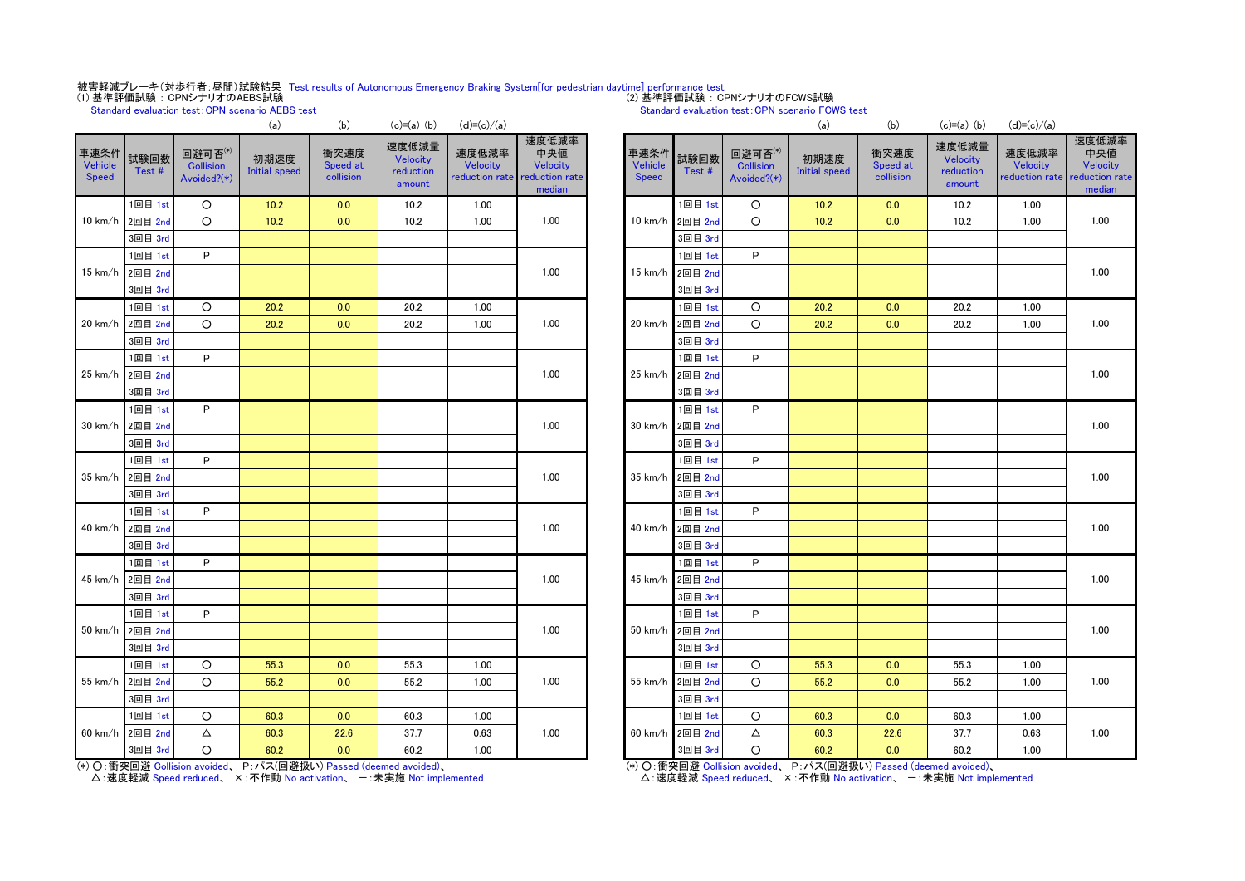## 被害軽減ブレーキ(対歩行者:昼間)試験結果 Test results of Autonomous Emergency Braking System[for pedestrian daytime] performance test (1) 基準評価試験 : CPNシナリオのAEBS試験 (2) 基準評価試験 : CPNシナリオのFCWS試験

Standard evaluation test:CPN scenario AEBS test

Standard evaluation test:CPN scenario FCWS test

車速条件 Vehicle Speed 試験回数 Test # 回避可否 $(*)$ **Collision** Avoided?(\*) 初期速度 Initial speed 衝突速度 Speed at collision 速度低減量 Velocity reduction amount 速度低減率 Velocity reduction rate reduction rate 速度低減率 中央値 Velocity median 1回目 1st ○ 10.2 0.0 10.2 1.00 1回目 1st ○ 10.2 0.0 10.2 1.00 2回目 2nd | 〇 <mark> 10.2 | 0.0 |</mark> 10.2 | 1.00 | 1.00 | | 10 km/h | 2回目 2nd | 〇 | 1**0.2 | 0.0** | 1.00 | 1.00 3回目 3rd 3回目 3rd 1回目 1st P 1回目 1st P 2回目 2nd | <mark>|</mark> | | 1.00 | 15 km/h | 2回目 2nd 3回目 3rd 3回目 3rd 1回目 1st ○ 20.2 0.0 20.2 1.00 1回目 1st ○ 20.2 0.0 20.2 1.00 2回目 2nd | 〇 | <mark>20.2 | 0.0 |</mark> 20.2 | 1.00 | 1.00 | | |20 km/h |2回目 2nd | 〇 | <mark>20.2 | 0.0 |</mark> 20.2 | 1.00 3回目 3rd 3回目 3rd 1回目 1st P 1回目 1st P 2回目 2nd 2回目 2nd 3回目 3rd 3回目 3rd 1回目 1st P 1回目 1st P 2回目 2nd 2回目 2nd 3回目 3rd 3回目 3rd 1回目 1st P 1回目 1st P 2回目 2nd 2回目 2nd 3回目 3rd 3回目 3rd 1回目 1st P 1回目 1st P 2回目 2nd | <mark>|</mark> | | 1.00 | 40 km/h |2回目 2nd 3回目 3rd 3回目 3rd 1回目 1st P 1回目 1st P 2回目 2nd | <mark>|</mark> | | 1.00 | 45 km/h |2回目 2nd 3回目 3rd 3回目 3rd 1回目 1st P 1回目 1st P 2回目 2nd 2回目 2nd 3回目 3rd 3回目 3rd 1回目 1st ○ 55.3 0.0 55.3 1.00 1回目 1st ○ 55.3 0.0 55.3 1.00 2回目 2nd | ○ | 55.2 | 0.0 | 55.2 | 1.00 | 1.00 | | | | 55 km/h | 2回目 2nd | ○ | 55.2 | 0.0 | 55.2 | 1.00 3回目 3rd 3回目 3rd 1回目 1st ○ 60.3 0.0 60.3 1.00 1回目 1st ○ 60.3 0.0 60.3 1.00 2回目 2nd △ <mark> 60.3 ┃ 22.6 ┃</mark> 37.7 ┃ 0.63 ┃ 1.00 ┃ ┃ 60 km/h ┃2回目 2nd △ ┃ 60.3 ┃ 22.6 ┃ 37.7 ┃ 0.63 3回目 3rd ○ 60.2 0.0 60.2 1.00 3回目 3rd ○ 60.2 0.0 60.2 1.00 10 km/h 2回目 2nd 〇 <mark> 10.2 0.0 </mark> 10.2 1.00 1.00 10 km/h 2回目 2nd 〇 <mark> 10.2 0.0 1.00 1.00</mark> 1.00 15 km/h 1.00 15 km/h 1.00 20 km/h |2回目 2nd | 〇 <mark>| 20.2 | 0.0 |</mark> 20.2 | 1.00 | | 20 km/h |2回目 2nd | 〇 | **20.2 | 0.0 |** 1.00 | 1.00 25 km/h 1.00 25 km/h 1.00 30 km/h 1.00 30 km/h 1.00 35 km/h 1.00 35 km/h 1.00 40 km/h 1.00 40 km/h 1.00 45 km/h 1.00 45 km/h 1.00 50 km/h 1.00 50 km/h 1.00 (\*) ○:衝突回避 Collision avoided、 P:パス(回避扱い) Passed (deemed avoided)、 △:速度軽減 Speed reduced、 ×:不作動 No activation、 一:未実施 Not implemented 55 km/h |2回目 2nd | 〇 <mark>| 55.2 | 0.0 |</mark> 55.2 | 1.00 55 km/h |2回目 2nd | 〇 <mark>| 55.2 | 0.0 |</mark> 55.2 | 1.00 1.00 60 km/h |2回目 2nd | △ | 60.3 | 22.6 | 37.7 | 0.63 | 1.00 | |60 km/h |2回目 2nd △ | 60.3 | 22.6 | 37.7 | 0.63 | 1.00

| (a)            | (b)                           | $(c)=(a)-(b)$                            | $(d)=(c)/(a)$                       |                                                      |                                 |               |                                            | (a)                          | (b)                           | $(c)=(a)-(b)$                            | $(d)=(c)/(a)$                       |                                                      |
|----------------|-------------------------------|------------------------------------------|-------------------------------------|------------------------------------------------------|---------------------------------|---------------|--------------------------------------------|------------------------------|-------------------------------|------------------------------------------|-------------------------------------|------------------------------------------------------|
| 胰速度<br>I speed | 衝突速度<br>Speed at<br>collision | 速度低減量<br>Velocity<br>reduction<br>amount | 速度低減率<br>Velocity<br>reduction rate | 速度低減率<br>中央値<br>Velocity<br>reduction rate<br>median | 車速条件<br>Vehicle<br><b>Speed</b> | 試験回数<br>Test# | 回避可否(*)<br><b>Collision</b><br>Avoided?(*) | 初期速度<br><b>Initial speed</b> | 衝突速度<br>Speed at<br>collision | 速度低減量<br>Velocity<br>reduction<br>amount | 速度低減率<br>Velocity<br>reduction rate | 速度低減率<br>中央値<br>Velocity<br>reduction rate<br>median |
| $0.2\,$        | 0.0                           | 10.2                                     | 1.00                                |                                                      |                                 | 1回目 1st       | $\circ$                                    | 10.2                         | 0.0                           | 10.2                                     | 1.00                                |                                                      |
| 0.2            | 0.0                           | 10.2                                     | 1.00                                | 1.00                                                 | 10 km/h                         | 2回目 2nd       | O                                          | $10.2$                       | 0.0                           | 10.2                                     | 1.00                                | 1.00                                                 |
|                |                               |                                          |                                     |                                                      |                                 | 3回目 3rd       |                                            |                              |                               |                                          |                                     |                                                      |
|                |                               |                                          |                                     |                                                      |                                 | 1回目 1st       | P                                          |                              |                               |                                          |                                     |                                                      |
|                |                               |                                          |                                     | 1.00                                                 | 15 km/h                         | 2回目 2nd       |                                            |                              |                               |                                          |                                     | 1.00                                                 |
|                |                               |                                          |                                     |                                                      |                                 | 3回目 3rd       |                                            |                              |                               |                                          |                                     |                                                      |
| 20.2           | 0.0                           | 20.2                                     | 1.00                                |                                                      |                                 | 1回目 1st       | $\circ$                                    | 20.2                         | 0.0                           | 20.2                                     | 1.00                                |                                                      |
| 2.0.2          | 0.0                           | 20.2                                     | 1.00                                | 1.00                                                 | 20 km/h                         | 2回目 2nd       | $\circ$                                    | 20.2                         | 0.0                           | 20.2                                     | 1.00                                | 1.00                                                 |
|                |                               |                                          |                                     |                                                      |                                 | 3回目 3rd       |                                            |                              |                               |                                          |                                     |                                                      |
|                |                               |                                          |                                     |                                                      |                                 | 1回目 1st       | P                                          |                              |                               |                                          |                                     |                                                      |
|                |                               |                                          |                                     | 1.00                                                 | 25 km/h                         | 2回目 2nd       |                                            |                              |                               |                                          |                                     | 1.00                                                 |
|                |                               |                                          |                                     |                                                      |                                 | 3回目 3rd       |                                            |                              |                               |                                          |                                     |                                                      |
|                |                               |                                          |                                     |                                                      |                                 | 1回目 1st       | P                                          |                              |                               |                                          |                                     |                                                      |
|                |                               |                                          |                                     | 1.00                                                 | 30 km/h                         | 2回目 2nd       |                                            |                              |                               |                                          |                                     | 1.00                                                 |
|                |                               |                                          |                                     |                                                      |                                 | 3回目 3rd       |                                            |                              |                               |                                          |                                     |                                                      |
|                |                               |                                          |                                     |                                                      |                                 | 1回目 1st       | P                                          |                              |                               |                                          |                                     |                                                      |
|                |                               |                                          |                                     | 1.00                                                 | 35 km/h                         | 2回目 2nd       |                                            |                              |                               |                                          |                                     | 1.00                                                 |
|                |                               |                                          |                                     |                                                      |                                 | 3回目 3rd       |                                            |                              |                               |                                          |                                     |                                                      |
|                |                               |                                          |                                     |                                                      |                                 | 1回目 1st       | P                                          |                              |                               |                                          |                                     |                                                      |
|                |                               |                                          |                                     | 1.00                                                 | 40 km/h                         | 2回目 2nd       |                                            |                              |                               |                                          |                                     | 1.00                                                 |
|                |                               |                                          |                                     |                                                      |                                 | 3回目 3rd       |                                            |                              |                               |                                          |                                     |                                                      |
|                |                               |                                          |                                     |                                                      |                                 | 1回目 1st       | P                                          |                              |                               |                                          |                                     |                                                      |
|                |                               |                                          |                                     | 1.00                                                 | 45 km/h                         | 2回目 2nd       |                                            |                              |                               |                                          |                                     | 1.00                                                 |
|                |                               |                                          |                                     |                                                      |                                 | 3回目 3rd       |                                            |                              |                               |                                          |                                     |                                                      |
|                |                               |                                          |                                     |                                                      |                                 | 1回目 1st       | P                                          |                              |                               |                                          |                                     |                                                      |
|                |                               |                                          |                                     | 1.00                                                 | 50 km/h                         | 2回目 2nd       |                                            |                              |                               |                                          |                                     | 1.00                                                 |
|                |                               |                                          |                                     |                                                      |                                 | 3回目 3rd       |                                            |                              |                               |                                          |                                     |                                                      |
| 5.3            | 0.0                           | 55.3                                     | 1.00                                |                                                      |                                 | 1回目 1st       | $\circ$                                    | 55.3                         | 0.0                           | 55.3                                     | 1.00                                |                                                      |
| 5.2            | 0.0                           | 55.2                                     | 1.00                                | 1.00                                                 | 55 km/h                         | 2回目 2nd       | $\circ$                                    | 55.2                         | 0.0                           | 55.2                                     | 1.00                                | 1.00                                                 |
|                |                               |                                          |                                     |                                                      |                                 | 3回目 3rd       |                                            |                              |                               |                                          |                                     |                                                      |
| 0.3            | 0.0                           | 60.3                                     | 1.00                                |                                                      |                                 | 1回目 1st       | $\circ$                                    | 60.3                         | 0.0                           | 60.3                                     | 1.00                                |                                                      |
| 0.3            | 22.6                          | 37.7                                     | 0.63                                | 1.00                                                 | 60 km/h                         | 2回目 2nd       | $\Delta$                                   | 60.3                         | 22.6                          | 37.7                                     | 0.63                                | 1.00                                                 |
| 0.2            | 0.0                           | 60.2                                     | 1.00                                |                                                      |                                 | 3回目 3rd       | $\circ$                                    | 60.2                         | 0.0                           | 60.2                                     | 1.00                                |                                                      |

(\*) ○:衝突回避 Collision avoided、 P:パス(回避扱い) Passed (deemed avoided)、

△: 速度軽減 Speed reduced、 ×: 不作動 No activation、 一: 未実施 Not implemented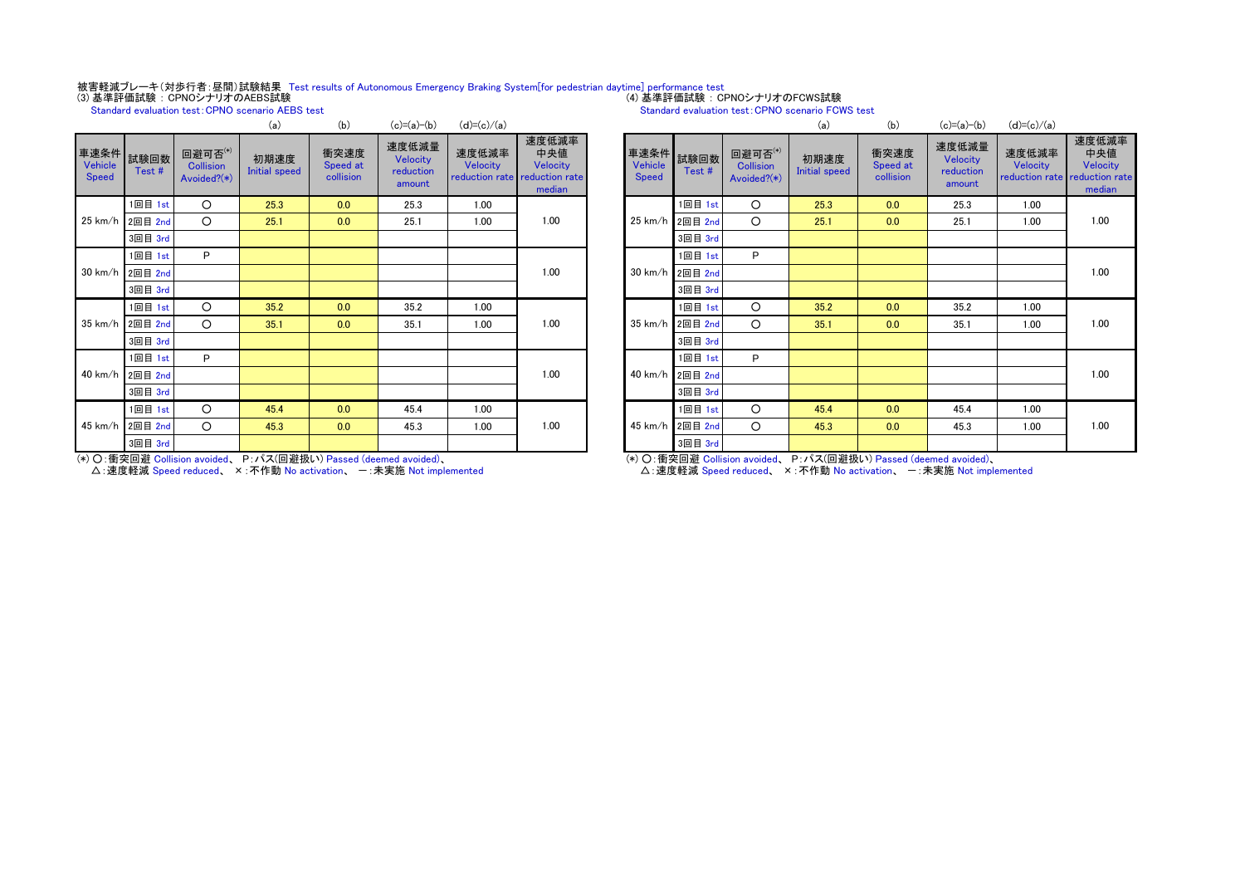# 被害軽減ブレーキ (対歩行者: 昼間)試験結果 Test results of Autonomous Emergency Braking System[for pedestrian daytime] performance test<br>(3) 基準評価試験:CPNOシナリオのAEBS試験

Standard evaluation test: CPNO scenario AEBS test<br>Standard evaluation test: CPNO scenario AEBS test

Standard evaluation test:CPNO scenario FCWS test

|                                      |                 |                                            | (a)                          | (D)                           | $(c) = (a) = (b)$                        | $(d) = c)/(a)$    |                                                                     |                         |                    |                                            | (a)                          | (b)                           | $(c) = (a) - (b)$                        | $(d) = (c)/(a)$                               |                              |
|--------------------------------------|-----------------|--------------------------------------------|------------------------------|-------------------------------|------------------------------------------|-------------------|---------------------------------------------------------------------|-------------------------|--------------------|--------------------------------------------|------------------------------|-------------------------------|------------------------------------------|-----------------------------------------------|------------------------------|
| 車速条件 試験回数<br>Vehicle<br><b>Speed</b> | Test#           | 回避可否(*)<br><b>Collision</b><br>Avoided?(*) | 初期速度<br><b>Initial speed</b> | 衝突速度<br>Speed at<br>collision | 速度低減量<br>Velocity<br>reduction<br>amount | 速度低減率<br>Velocity | 速度低減率<br>中央値<br>Velocity<br>reduction rate reduction rate<br>median | Vehicle<br><b>Speed</b> | 車速条件 試験回数<br>Test# | 回避可否(*)<br><b>Collision</b><br>Avoided?(*) | 初期速度<br><b>Initial speed</b> | 衝突速度<br>Speed at<br>collision | 速度低減量<br>Velocity<br>reduction<br>amount | 速度低減率<br>Velocity<br>reduction rate reduction | 速度低:<br>中央<br>Veloc<br>media |
|                                      | 1回目 1st         | $\circ$                                    | 25.3                         | 0.0                           | 25.3                                     | 1.00              |                                                                     |                         | 1回目 1st            | $\circ$                                    | 25.3                         | 0.0                           | 25.3                                     | 1.00                                          |                              |
|                                      | 25 km/h 2回目 2nd | $\circ$                                    | 25.1                         | 0.0                           | 25.1                                     | 1.00              | 1.00                                                                |                         | 25 km/h 2回目 2nd    | $\circ$                                    | 25.1                         | 0.0                           | 25.1                                     | 1.00                                          | 1.00                         |
|                                      | 3回目 3rd         |                                            |                              |                               |                                          |                   |                                                                     |                         | 3回目 3rd            |                                            |                              |                               |                                          |                                               |                              |
|                                      | 1回目 1st         | P                                          |                              |                               |                                          |                   |                                                                     |                         | 1回目 1st            | P                                          |                              |                               |                                          |                                               |                              |
|                                      | 30 km/h 2回目 2nd |                                            |                              |                               |                                          |                   | 1.00                                                                |                         | 30 km/h 2回目 2nd    |                                            |                              |                               |                                          |                                               | 1.00                         |
|                                      | 3回目 3rd         |                                            |                              |                               |                                          |                   |                                                                     |                         | 3回目 3rd            |                                            |                              |                               |                                          |                                               |                              |
|                                      | 1回目 1st         | $\circ$                                    | 35.2                         | 0.0                           | 35.2                                     | 1.00              |                                                                     |                         | 1回目 1st            | $\circ$                                    | 35.2                         | 0.0                           | 35.2                                     | 1.00                                          |                              |
|                                      | 35 km/h 2回目 2nd | $\Omega$                                   | 35.1                         | 0.0                           | 35.1                                     | 1.00              | 1.00                                                                |                         | 35 km/h 2回目 2nd    | $\circ$                                    | 35.1                         | 0.0                           | 35.1                                     | 1.00                                          | 1.00                         |
|                                      | 3回目 3rd         |                                            |                              |                               |                                          |                   |                                                                     |                         | 3回目 3rd            |                                            |                              |                               |                                          |                                               |                              |
|                                      | 1回目 1st         | P                                          |                              |                               |                                          |                   |                                                                     |                         | 1回目 1st            | P                                          |                              |                               |                                          |                                               |                              |
|                                      | 40 km/h 2回目 2nd |                                            |                              |                               |                                          |                   | 1.00                                                                |                         | 40 km/h 2回目 2nd    |                                            |                              |                               |                                          |                                               | 1.00                         |
|                                      | 3回目 3rd         |                                            |                              |                               |                                          |                   |                                                                     |                         | 3回目 3rd            |                                            |                              |                               |                                          |                                               |                              |
|                                      | 1回目 1st         | $\circ$                                    | 45.4                         | 0.0                           | 45.4                                     | 1.00              |                                                                     |                         | 1回目 1st            | $\circ$                                    | 45.4                         | 0.0                           | 45.4                                     | 1.00                                          |                              |
|                                      | 45 km/h 2回目 2nd | $\circ$                                    | 45.3                         | 0.0                           | 45.3                                     | 1.00              | 1.00                                                                |                         | 45 km/h 2回目 2nd    | $\circ$                                    | 45.3                         | 0.0                           | 45.3                                     | 1.00                                          | 1.00                         |
|                                      | 3回目 3rd         |                                            |                              |                               |                                          |                   |                                                                     |                         | 3回目 3rd            |                                            |                              |                               |                                          |                                               |                              |

| (a)                   | (b)                           | $(c)=(a)-(b)$                            | $(d)=(c)/(a)$     |                                                                     |                                 |               |                                            | (a)                          | (b)                           | $(c)=(a)-(b)$                            | (d)=(c)/(a)       |                                                                     |
|-----------------------|-------------------------------|------------------------------------------|-------------------|---------------------------------------------------------------------|---------------------------------|---------------|--------------------------------------------|------------------------------|-------------------------------|------------------------------------------|-------------------|---------------------------------------------------------------------|
| <b>非速度</b><br>I speed | 衝突速度<br>Speed at<br>collision | 速度低減量<br>Velocity<br>reduction<br>amount | 速度低減率<br>Velocity | 速度低減率<br>中央値<br>Velocity<br>reduction rate reduction rate<br>median | 車速条件<br>Vehicle<br><b>Speed</b> | 試験回数<br>Test# | 回避可否(*)<br><b>Collision</b><br>Avoided?(*) | 初期速度<br><b>Initial speed</b> | 衝突速度<br>Speed at<br>collision | 速度低減量<br>Velocity<br>reduction<br>amount | 速度低減率<br>Velocity | 速度低減率<br>中央値<br>Velocity<br>reduction rate reduction rate<br>median |
| .5.3                  | 0.0                           | 25.3                                     | 1.00              |                                                                     |                                 | 1回目 1st       | $\circ$                                    | 25.3                         | 0.0                           | 25.3                                     | 1.00              |                                                                     |
| .5.1                  | 0.0                           | 25.1                                     | 1.00              | 1.00                                                                | $25 \text{ km/h}$               | 2回目 2nd       | $\circ$                                    | 25.1                         | 0.0                           | 25.1                                     | 1.00              | 1.00                                                                |
|                       |                               |                                          |                   |                                                                     |                                 | 3回目 3rd       |                                            |                              |                               |                                          |                   |                                                                     |
|                       |                               |                                          |                   |                                                                     |                                 | 1回目 1st       | P                                          |                              |                               |                                          |                   |                                                                     |
|                       |                               |                                          |                   | 1.00                                                                | $30 \text{ km/h}$               | 2回目 2nd       |                                            |                              |                               |                                          |                   | 1.00                                                                |
|                       |                               |                                          |                   |                                                                     |                                 | 3回目 3rd       |                                            |                              |                               |                                          |                   |                                                                     |
| 5.2                   | 0.0                           | 35.2                                     | 1.00              |                                                                     |                                 | 1回目 1st       | $\circ$                                    | 35.2                         | 0.0                           | 35.2                                     | 1.00              |                                                                     |
| 15.1                  | 0.0                           | 35.1                                     | 1.00              | 1.00                                                                | $35 \text{ km/h}$               | 2回目 2nd       | $\circ$                                    | 35.1                         | 0.0                           | 35.1                                     | 1.00              | 1.00                                                                |
|                       |                               |                                          |                   |                                                                     |                                 | 3回目 3rd       |                                            |                              |                               |                                          |                   |                                                                     |
|                       |                               |                                          |                   |                                                                     |                                 | 1回目 1st       | P                                          |                              |                               |                                          |                   |                                                                     |
|                       |                               |                                          |                   | 1.00                                                                | 40 km/h                         | 2回目 2nd       |                                            |                              |                               |                                          |                   | 1.00                                                                |
|                       |                               |                                          |                   |                                                                     |                                 | 3回目 3rd       |                                            |                              |                               |                                          |                   |                                                                     |
| 5.4                   | 0.0                           | 45.4                                     | 1.00              |                                                                     |                                 | 1回目 1st       | $\circ$                                    | 45.4                         | 0.0                           | 45.4                                     | 1.00              |                                                                     |
| 5.3                   | 0.0                           | 45.3                                     | 1.00              | 1.00                                                                | 45 km/h                         | 2回目 2nd       | $\circ$                                    | 45.3                         | 0.0                           | 45.3                                     | 1.00              | 1.00                                                                |
|                       |                               |                                          |                   |                                                                     |                                 | 3回目 3rd       |                                            |                              |                               |                                          |                   |                                                                     |

(\*) ○:衝突回避 Collision avoided、 P:パス(回避扱い) Passed (deemed avoided)、

△:速度軽減 Speed reduced、 ×:不作動 No activation、 -:未実施 Not implemented

(\*) ○:衝突回避 Collision avoided、 P:パス(回避扱い) Passed (deemed avoided)、

○○ 高尖出处 Someon aversed、 → → → ヘロニアン → dessed (assince aversed)、<br>△: 速度軽減 Speed reduced、 ×:不作動 No activation、 一: 未実施 Not implemented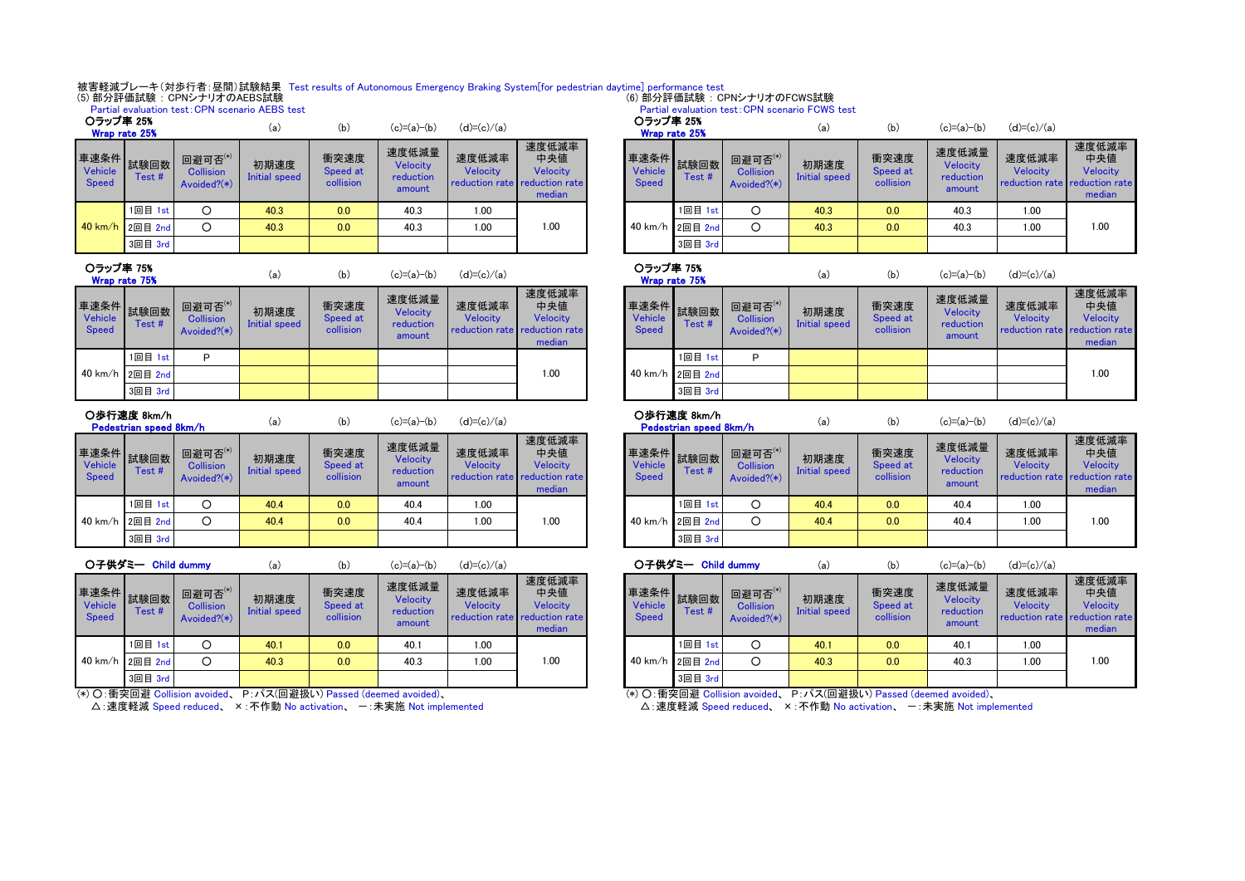# 被害軽減ブレーキ (対歩行者 : 昼間)試験結果 Test results of Autonomous Emergency Braking System[for pedestrian daytime] performance test<br>(5) 部分評価試験:CPNシナリオのAEBS試験

|  |  | D) 前分評価試験:UPNンナリオのAEBS試験      |  |
|--|--|-------------------------------|--|
|  |  | <b>DUPLIFICATIONS APPOINT</b> |  |

|                         |                           |                                                     | Fartial evaluation test. OF N SCENANO ALDO test |                               |                                          |                                                           |                                           |                            |                          |                                            | <b>Farual evaluation test. OF N SCENATIO FONO LEST</b> |                               |                                                 |                                                      |                             |
|-------------------------|---------------------------|-----------------------------------------------------|-------------------------------------------------|-------------------------------|------------------------------------------|-----------------------------------------------------------|-------------------------------------------|----------------------------|--------------------------|--------------------------------------------|--------------------------------------------------------|-------------------------------|-------------------------------------------------|------------------------------------------------------|-----------------------------|
| ○ラップ率 25%               | Wrap rate 25%             |                                                     | (a)                                             | (b)                           | $(c)=(a)-(b)$                            | $(d)=(c)/(a)$                                             |                                           | ○ラップ率 25%<br>Wrap rate 25% |                          |                                            | (a)                                                    | (b)                           | $(c)=(a)-(b)$                                   | $(d)=(c)/(a)$                                        |                             |
| <b>Vehicle</b><br>Speed | <b>車速条件 試験回数</b><br>Test# | 回避可否 $^{(*)}$<br><b>Collision</b><br>Avoided? $(*)$ | 初期速度<br>Initial speed                           | 衝突速度<br>Speed at<br>collision | 速度低減量<br>Velocity<br>reduction<br>amount | 速度低減率<br><b>Velocity</b><br>reduction rate reduction rate | 速度低減率<br>中央値<br><b>Velocity</b><br>median | Vehicle<br><b>Speed</b>    | ┃車速条件┃試験回数┃ 罒∼<br>Test # | 回避可否(*)<br><b>Collision</b><br>Avoided?(*) | 初期速度<br>Initial speed                                  | 衝突速度<br>Speed at<br>collision | 速度低減量<br><b>Velocity</b><br>reduction<br>amount | 速度低減率<br><b>Velocity</b><br>reduction rate reduction | 速度低<br>中央<br>Veloc<br>media |
|                         | 1回目 1st                   |                                                     | 40.3                                            | 0.0                           | 40.3                                     | 1.00                                                      |                                           |                            | 1回目<br>1st               |                                            | 40.3                                                   | 0.0                           | 40.3                                            | 1.00                                                 |                             |
|                         | 40 km/h 2回目 2nd           | O                                                   | 40.3                                            | 0.0                           | 40.3                                     | 1.00                                                      | 1.00                                      |                            | 40 km/h 2回目 2nd          | O                                          | 40.3                                                   | 0.0                           | 40.3                                            | 1.00                                                 | 1.00                        |
|                         | 3回目 3rd                   |                                                     |                                                 |                               |                                          |                                                           |                                           |                            | 3回目 3rd                  |                                            |                                                        |                               |                                                 |                                                      |                             |
|                         |                           |                                                     |                                                 |                               |                                          |                                                           |                                           |                            |                          |                                            |                                                        |                               |                                                 |                                                      |                             |





回避可否 $^{(*)}$ **Collision** 

試験回数 Test #

車速条件 Vehicle  $S_{\rm{max}}$ 

| 初期速度<br>Initial speed | 衝突速度<br>Speed at<br>collision | 速度低減量<br><b>Velocity</b><br>reduction | 速度低減率<br><b>Velocity</b><br>reduction rate reduction rate | 速度低減率<br>中央値<br><b>Velocity</b> |
|-----------------------|-------------------------------|---------------------------------------|-----------------------------------------------------------|---------------------------------|

| Speed | $155C \pi$      | Avoided? $(*)$ | <b>THUAL SACALL</b> | collision | <b>IGUUCLIVII</b><br>amount | <b>Introduction rate reduction rate</b> | median | Speed           | $155C \pi$             | Avoided? $(*)$ | <b>THUAL SACCALL</b> | collision | <b>IGUUCLIVII</b><br>amount | reduction rate reduction | media |
|-------|-----------------|----------------|---------------------|-----------|-----------------------------|-----------------------------------------|--------|-----------------|------------------------|----------------|----------------------|-----------|-----------------------------|--------------------------|-------|
|       | 1回目 1st         |                | 40.4                | 0.0       | 40.4                        | 1.00                                    |        |                 | 1回目<br>1 <sub>st</sub> |                | 40.4                 | 0.0       | 40.4                        | 1.00                     |       |
|       | 40 km/h 2回目 2nd | ∽              | 40.4                | 0.0       | 40.4                        | 1.00                                    | 1.00   | 40 km/h 2回目 2nd |                        |                | 40.4                 | 0.0       | 40.4                        | 1.00                     | 1.00  |
|       | 3回目 3rd         |                |                     |           |                             |                                         |        |                 | 3回目 3rd                |                |                      |           |                             |                          |       |

|                                           | 〇子供ダミー Child dummv |                                               | (a)                   | (b)                           | $(c)=(a)-(b)$                            | $(d)=(c)/(a)$            |                                                                            |                         | 〇子供ダミー Child dummv   |                                            | (a)                   | (b)                           | $(c)=(a)-(b)$                            | $(d)=(c)/(a)$                     |
|-------------------------------------------|--------------------|-----------------------------------------------|-----------------------|-------------------------------|------------------------------------------|--------------------------|----------------------------------------------------------------------------|-------------------------|----------------------|--------------------------------------------|-----------------------|-------------------------------|------------------------------------------|-----------------------------------|
| ■凍条件 試験回数   ■■<br><b>Vehicle</b><br>Speed | Test #             | 回避可否(*)<br><b>Collision</b><br>Avoided? $(*)$ | 初期速度<br>Initial speed | 衝突速度<br>Speed at<br>collision | 速度低減量<br>Velocity<br>reduction<br>amount | 速度低減率<br><b>Velocity</b> | 速度低減率<br>中央値<br><b>Velocity</b><br>reduction rate reduction rate<br>median | Vehicle<br><b>Speed</b> | 車速条件 試験回数 <br>Test # | 回避可否(*)<br><b>Collision</b><br>Avoided?(*) | 初期速度<br>Initial speed | 衝突速度<br>Speed at<br>collision | 速度低減量<br>Velocity<br>reduction<br>amount | 速度低減率<br>Velocity<br>reduction ra |
|                                           | 1回目 1st            |                                               | 40.1                  | 0.0                           | 40.1                                     | 00.1                     |                                                                            |                         | 1回目 1st              |                                            | 40.1                  | 0.0                           | 40.1                                     | 1.00                              |
|                                           | 40 km/h 2回目 2nd    | O                                             | 40.3                  | 0.0                           | 40.3                                     | 1.00                     | 1.00                                                                       |                         | 40 km/h 2回目 2nd      | ⌒                                          | 40.3                  | 0.0                           | 40.3                                     | 1.00                              |
|                                           | 3回目 3rd            |                                               |                       |                               |                                          |                          |                                                                            |                         | 3回目 3rd              |                                            |                       |                               |                                          |                                   |

(\*) ○:衝突回避 Collision avoided、 P:パス(回避扱い) Passed (deemed avoided)、

△: 速度軽減 Speed reduced、 ×: 不作動 No activation、 一: 未実施 Not implemented

| (a)                   | (b)                           | $(c)=(a)-(b)$                            | $(d)=(c)/(a)$     |                                                                     | ○ラップ率 25%<br>Wrap rate 25% |                                |                        |                                            | (a)                   | (b)                           | $(c)=(a)-(b)$                            | $(d)=(c)/(a)$     |                                                                     |
|-----------------------|-------------------------------|------------------------------------------|-------------------|---------------------------------------------------------------------|----------------------------|--------------------------------|------------------------|--------------------------------------------|-----------------------|-------------------------------|------------------------------------------|-------------------|---------------------------------------------------------------------|
| <b>非速度</b><br>I speed | 衝突速度<br>Speed at<br>collision | 速度低減量<br>Velocity<br>reduction<br>amount | 速度低減率<br>Velocity | 速度低減率<br>中央値<br>Velocity<br>reduction rate reduction rate<br>median |                            | <b>Vehicle</b><br><b>Speed</b> | ┃車速条件┃試験回数┃ ㅂ<br>Test# | 回避可否(*)<br><b>Collision</b><br>Avoided?(*) | 初期速度<br>Initial speed | 衝突速度<br>Speed at<br>collision | 速度低減量<br>Velocity<br>reduction<br>amount | 速度低減率<br>Velocity | 速度低減率<br>中央値<br>Velocity<br>reduction rate reduction rate<br>median |
| 0.3                   | 0.0                           | 40.3                                     | 1.00              |                                                                     |                            |                                | 1回目 1st                |                                            | 40.3                  | 0.0                           | 40.3                                     | 1.00              |                                                                     |
| 0.3                   | 0.0                           | 40.3                                     | 1.00              | 00.1                                                                |                            |                                | 40 km/h 2回目 2nd        |                                            | 40.3                  | 0.0                           | 40.3                                     | 1.00              | 1.00                                                                |
|                       |                               |                                          |                   |                                                                     |                            |                                | 3回目 3rd                |                                            |                       |                               |                                          |                   |                                                                     |

# ○ラップ率 75%

車速条件 **Vehicle** Speed 試験回数 Test # 回避可否 $^{(*)}$ **Collision** Avoided?(\*) 初期速度 Initial speed 衝突速度 Speed at collision 速度低減量 Velocity reduction amount 速度低減率 Velocity reduction rate 速度低減率 中央値 Velocity reduction rate median 1.00 Wrap rate 75%

# ○歩行速度 8km/h

| (a)            | (b)                           | (c)=(a)-(b)                              | $(d)=(c)/(a)$                                      |                                    |                                  | Pedestrian speed 8km/h |                                            | (a)                   | (b)                           | (c)=(a)−(b)                                     | $(d)=(c)/(a)$     |                                                                     |
|----------------|-------------------------------|------------------------------------------|----------------------------------------------------|------------------------------------|----------------------------------|------------------------|--------------------------------------------|-----------------------|-------------------------------|-------------------------------------------------|-------------------|---------------------------------------------------------------------|
| 肌速度<br>I speed | 衝突速度<br>Speed at<br>collision | 速度低減量<br>Velocity<br>reduction<br>amount | 速度低減率<br>Velocity<br>reduction rate reduction rate | 速度低減率<br>中央値<br>Velocity<br>median | 車速条件 <br>Vehicle<br><b>Speed</b> | 試験回数<br>Test #         | 回避可否(*)<br><b>Collision</b><br>Avoided?(*) | 初期速度<br>Initial speed | 衝突速度<br>Speed at<br>collision | 速度低減量<br><b>Velocity</b><br>reduction<br>amount | 速度低減率<br>Velocity | 速度低減率<br>中央値<br>Velocity<br>reduction rate reduction rate<br>median |
| 0.4            | 0.0                           | 40.4                                     | 1.00                                               |                                    |                                  | 1回目 1st                |                                            | 40.4                  | 0.0                           | 40.4                                            | 1.00              |                                                                     |
| 0.4            | 0.0                           | 40.4                                     | 1.00                                               | 1.00                               |                                  | 40 km/h 2回目 2nd        | O                                          | 40.4                  | 0.0                           | 40.4                                            | 1.00              | 1.00                                                                |
|                |                               |                                          |                                                    |                                    |                                  | 3回目 3rd                |                                            |                       |                               |                                                 |                   |                                                                     |

Partial evaluation test:CPN scenario FCWS test

速度低減率

| 車速条件<br>Vehicle<br><b>Speed</b> | 試験回数<br>Test#   | 回避可否(*)<br><b>Collision</b><br>Avoided?(*) | 初期速度<br><b>Initial speed</b> | 衝突速度<br>Speed at<br>collision | 速度低減量<br>Velocity<br>reduction<br>amount | 速度低減率<br>Velocity | 还反心,败竿<br>中央値<br>Velocity<br>reduction rate reduction rate<br>median |
|---------------------------------|-----------------|--------------------------------------------|------------------------------|-------------------------------|------------------------------------------|-------------------|----------------------------------------------------------------------|
|                                 | 1回目 1st         |                                            | 40.1                         | 0.0                           | 40.1                                     | 1.00              |                                                                      |
|                                 | 40 km/h 2回目 2nd |                                            | 40.3                         | 0.0                           | 40.3                                     | 1.00              | 1.00                                                                 |
|                                 | 3回目 3rd         |                                            |                              |                               |                                          |                   |                                                                      |

(\*) ○:衝突回避 Collision avoided、 P:パス(回避扱い) Passed (deemed avoided)、

△: 速度軽減 Speed reduced、 ×: 不作動 No activation、 一: 未実施 Not implemented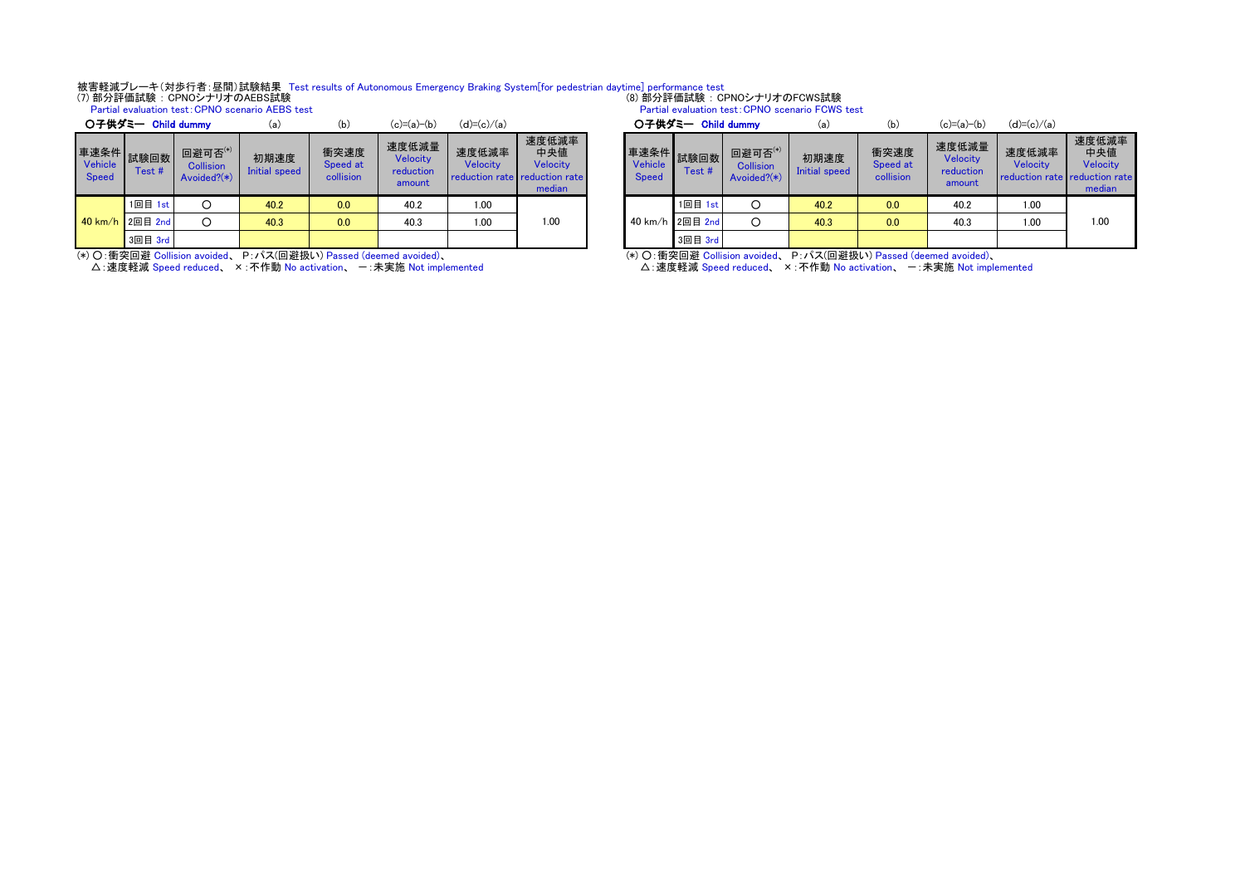## 被害軽減ブレーキ (対歩行者 : 昼間)試験結果 Test results of Autonomous Emergency Braking System[for pedestrian daytime] performance test<br>(7) 部分評価試験:CPNOシナリオのAEBS試験 (8) 部分評価試験 : CPNOシナリオのFCWS試験

Partial evaluation test:CPNO scenario AEBS test

|                         | 〇子供ダミー Child dummy |                                               | (a)                   | (b)                           | $(c)=(a)-(b)$                            | $(d)=(c)/(a)$            |                                                                            |                         | 〇子供ダミー Child dummy       |                                               | (a)                   | (b)                           | $(c)=(a)-(b)$                            | $(d)=(c)/(a)$                     |
|-------------------------|--------------------|-----------------------------------------------|-----------------------|-------------------------------|------------------------------------------|--------------------------|----------------------------------------------------------------------------|-------------------------|--------------------------|-----------------------------------------------|-----------------------|-------------------------------|------------------------------------------|-----------------------------------|
| Vehicle<br><b>Speed</b> | Test#              | 回避可否(*)<br><b>Collision</b><br>Avoided? $(*)$ | 初期速度<br>Initial speed | 衝突速度<br>Speed at<br>collision | 速度低減量<br>Velocity<br>reduction<br>amount | 速度低減率<br><b>Velocity</b> | 速度低減率<br>中央値<br><b>Velocity</b><br>reduction rate reduction rate<br>median | Vehicle<br><b>Speed</b> | ┃車速条件┃試験回数┃  ̄<br>Test # | 回避可否(*)<br><b>Collision</b><br>Avoided? $(*)$ | 初期速度<br>Initial speed | 衝突速度<br>Speed at<br>collision | 速度低減量<br>Velocity<br>reduction<br>amount | 速度低減率<br>Velocity<br>reduction ra |
|                         | 1回目<br>1st         |                                               | 40.2                  | 0.0                           | 40.2                                     | 1.00                     |                                                                            |                         | 1回目 1                    | O                                             | 40.2                  | 0.0                           | 40.2                                     | 1.00                              |
| 40 km/h 2回目 2nd         |                    | O                                             | 40.3                  | 0.0                           | 40.3                                     | 1.00                     | 1.00                                                                       |                         | 40 km/h 2回目 2nd          | O                                             | 40.3                  | 0.0                           | 40.3                                     | 1.00                              |
|                         | 3回目 3rd            |                                               |                       |                               |                                          |                          |                                                                            |                         | 3回目 3rd                  |                                               |                       |                               |                                          |                                   |

(\*) ○:衝突回避 Collision avoided、 P:パス(回避扱い) Passed (deemed avoided)、

△: 速度軽減 Speed reduced、 × : 不作動 No activation、 一 : 未実施 Not implemented

車速条件 Vehicle Speed 試験回数 Test # 回避可否 $^{(*)}$ **Collision** Avoided?(\*) 初期速度 Initial speed 衝突速度 Speed at collision 速度低減量 Velocity reduction amount 速度低減率 Velocity reduction rate 速度低減率 reduction rate Partial evaluation test:CPNO scenario FCWS test

中央値 Velocity

median

1.00

(\*) ○:衝突回避 Collision avoided、 P:パス(回避扱い) Passed (deemed avoided)、

△: 速度軽減 Speed reduced、 × : 不作動 No activation、 一 :未実施 Not implemented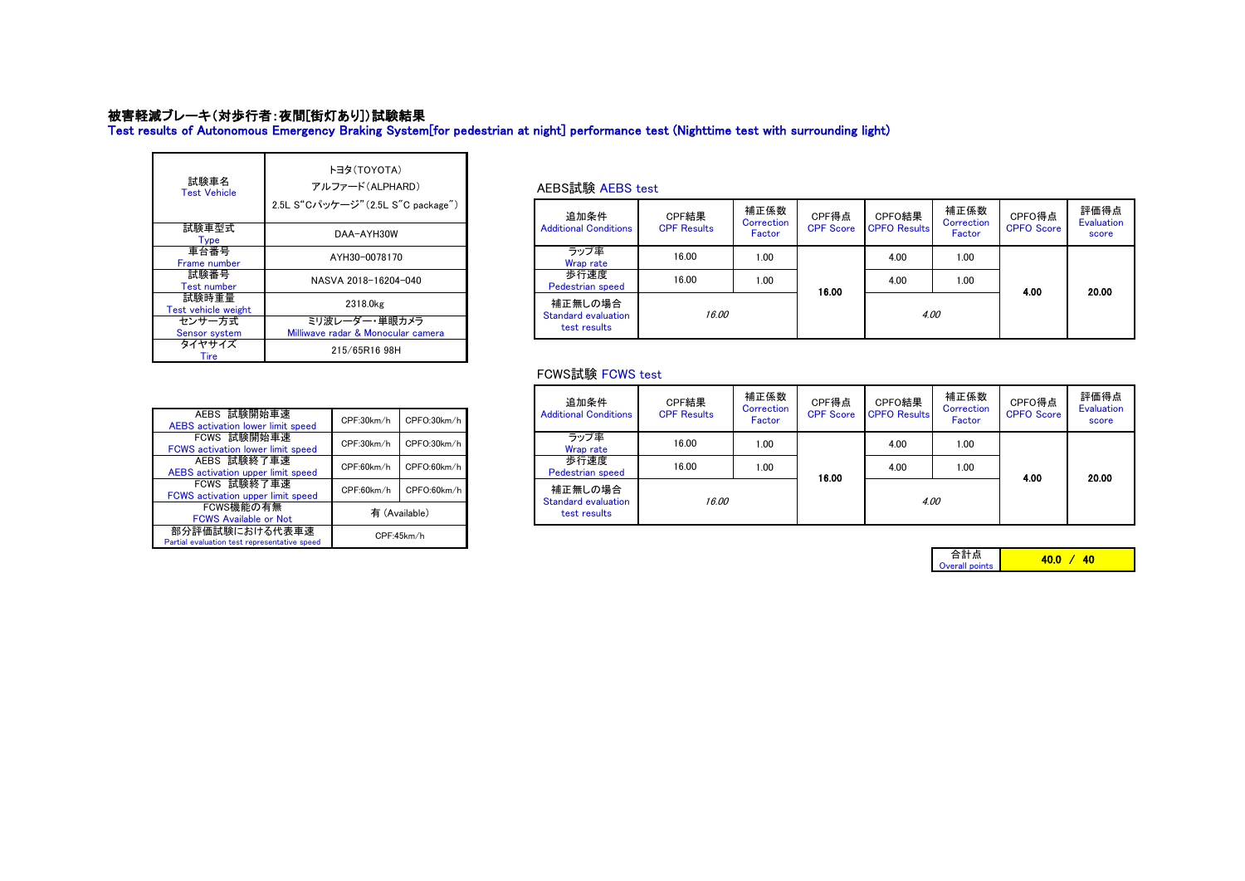## 被害軽減ブレーキ(対歩行者:夜間[街灯あり])試験結果

Test results of Autonomous Emergency Braking System[for pedestrian at night] performance test (Nighttime test with surrounding light)

| 試験車名<br><b>Test Vehicle</b>  | トヨタ(TOYOTA)<br>アルファード (ALPHARD)<br>2.5L S"Cパッケージ" (2.5L S"C package") | AEBS試験 AEE<br>追加条件            |
|------------------------------|-----------------------------------------------------------------------|-------------------------------|
| 試験車型式<br>Type                | DAA-AYH30W                                                            | <b>Additional Conditio</b>    |
| 車台番号<br>Frame number         | AYH30-0078170                                                         | ラップ率<br>Wrap rate             |
| 試験番号<br><b>Test number</b>   | NASVA 2018-16204-040                                                  | 歩行速度<br>Pedestrian speed      |
| 試験時重量<br>Test vehicle weight | 2318.0 <sub>kg</sub>                                                  | 補正無しの場合<br>Standard evaluatio |
| センサー方式<br>Sensor system      | ミリ波レーダー・単眼カメラ<br>Milliwave radar & Monocular camera                   | test results                  |
| タイヤサイズ<br>Tire               | 215/65R16 98H                                                         |                               |

# AEBS試験 AEBS test

| パッケージ"(2.5L S"C package")                     | 追加条件                                | CPF結果              | 補正係数<br>Correction | CPF得点            | CPFO結果              | 補正係数<br>Correction | CPFO得点            | 評価得点<br><b>Evaluation</b> |
|-----------------------------------------------|-------------------------------------|--------------------|--------------------|------------------|---------------------|--------------------|-------------------|---------------------------|
| DAA-AYH30W                                    | <b>Additional Conditions</b>        | <b>CPF Results</b> | Factor             | <b>CPF Score</b> | <b>CPFO Results</b> | Factor             | <b>CPFO</b> Score | score                     |
| AYH30-0078170                                 | ラップ率<br>Wrap rate                   | 16.00              | 1.00               |                  | 4.00                | 1.00               |                   |                           |
| NASVA 2018-16204-040                          | 歩行速度<br>Pedestrian speed            | 16.00              | 1.00               | 16.00            | 4.00                | 1.00               | 4.00              | 20.00                     |
| 2318.0kg                                      | 補正無しの場合                             |                    |                    |                  |                     |                    |                   |                           |
| ミリ波レーダー・単眼カメラ<br>ave radar & Monocular camera | Standard evaluation<br>test results | 16.00              |                    |                  | 4.00                |                    |                   |                           |

## FCWS試験 FCWS test

| AEBS 試験開始車速<br><b>AEBS</b> activation lower limit speed        | CPF:30km/h                | CPFO:30km/h |  |  |
|----------------------------------------------------------------|---------------------------|-------------|--|--|
| FCWS 試験開始車速<br>FCWS activation lower limit speed               | CPF:30km/h                | CPFO:30km/h |  |  |
| AEBS 試験終了車速<br><b>AEBS</b> activation upper limit speed        | CPF:60km/h                | CPFO:60km/h |  |  |
| FCWS 試験終了車速<br>FCWS activation upper limit speed               | CPFO:60km/h<br>CPF:60km/h |             |  |  |
| FCWS機能の有無<br><b>FCWS Available or Not</b>                      | 有 (Available)             |             |  |  |
| 部分評価試験における代表車速<br>Partial evaluation test representative speed | CPF:45km/h                |             |  |  |

| CPF:30km/h | CPFO:30km/h   |  | 追加条件<br><b>Additional Conditions</b> | CPF結果<br><b>CPF Results</b> | 補正係数<br>Correction<br>Factor | CPF得点<br><b>CPF Score</b> | CPFO結果<br><b>CPFO Results</b> | 補正係数<br>Correction<br>Factor | CPFO得点<br><b>CPFO</b> Score | 評価得点<br>Evaluation<br>score |
|------------|---------------|--|--------------------------------------|-----------------------------|------------------------------|---------------------------|-------------------------------|------------------------------|-----------------------------|-----------------------------|
| CPF:30km/h | CPFO:30km/h   |  | ラップ率<br>Wrap rate                    | 16.00                       | 1.00                         |                           | 4.00                          | 1.00                         |                             |                             |
| CPF:60km/h | CPFO:60km/h   |  | 歩行速度<br><b>Pedestrian speed</b>      | 16.00                       | 1.00                         | 16.00                     | 4.00                          | 1.00                         | 4.00                        | 20.00                       |
| CPF:60km/h | CPFO:60km/h   |  | 補正無しの場合<br>Standard evaluation       | 16.00                       |                              |                           | 4.00                          |                              |                             |                             |
|            | 有 (Available) |  | test results                         |                             |                              |                           |                               |                              |                             |                             |

| Overall points |
|----------------|
|----------------|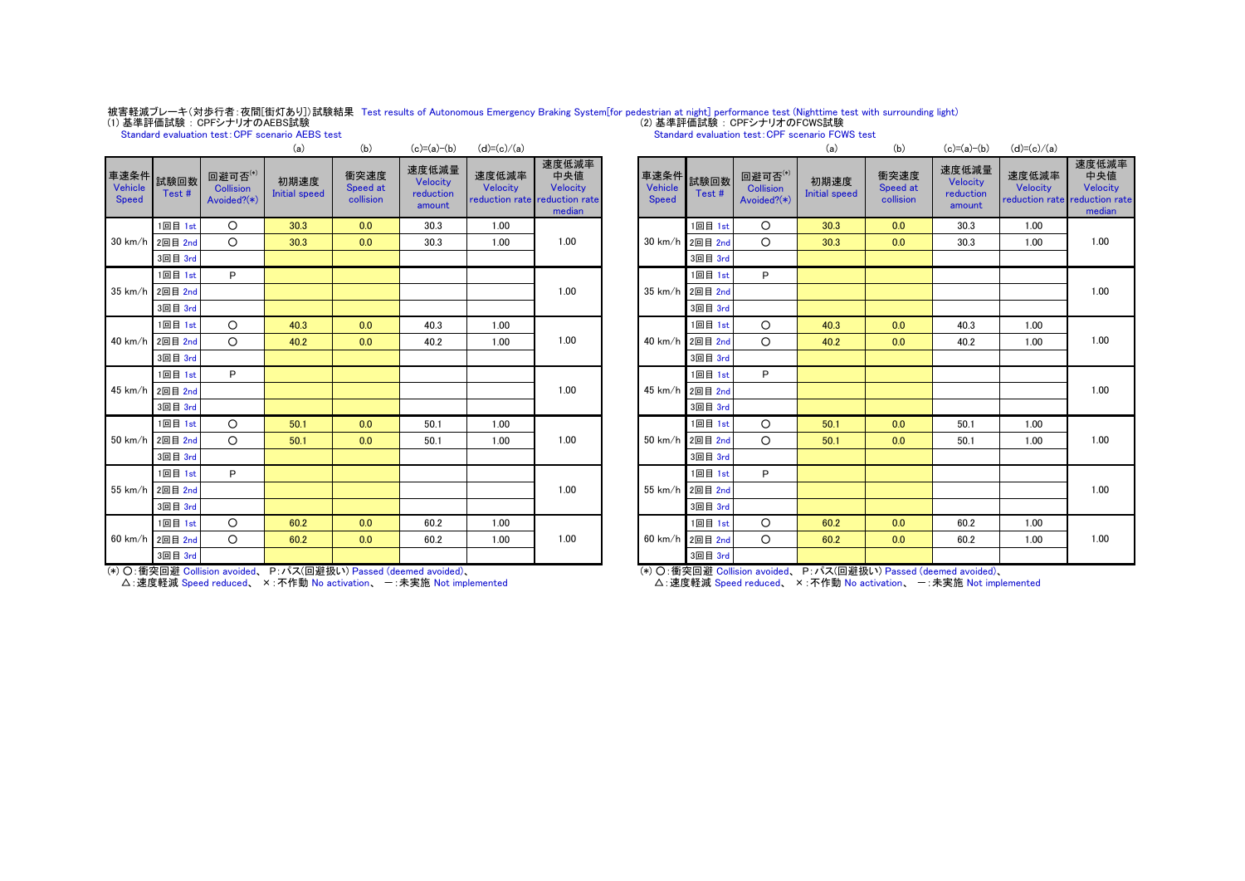# 被害軽減ブレーキ(対歩行者:夜間[街灯あり])試験結果 Test results of Autonomous Emergency Braking System[for pedestrian at night] performance test (Nighttime test with surrounding light)<br>(1)基準評価試験:CPFシナリオのAEBS試験<br>Standard evaluation test:CPF scen

|         |                                                                                                                                   | (a)                          | (b)                           | $(c)=(a)-(b)$                            | $(d)=(c)/(a)$     |                                                      |                |                         |                |                                            | (a)                          | (b)                           | $(c)=(a)-(b)$                            | $(d)=(c)$                 |  |
|---------|-----------------------------------------------------------------------------------------------------------------------------------|------------------------------|-------------------------------|------------------------------------------|-------------------|------------------------------------------------------|----------------|-------------------------|----------------|--------------------------------------------|------------------------------|-------------------------------|------------------------------------------|---------------------------|--|
| Test #  | 回避可否(*)<br><b>Collision</b><br>Avoided? $(*)$                                                                                     | 初期速度<br><b>Initial speed</b> | 衝突速度<br>Speed at<br>collision | 速度低減量<br>Velocity<br>reduction<br>amount | 速度低減率<br>Velocity | 速度低減率<br>中央値<br>Velocity<br>reduction rate<br>median |                | Vehicle<br><b>Speed</b> | 試験回数<br>Test # | 回避可否(*)<br><b>Collision</b><br>Avoided?(*) | 初期速度<br><b>Initial speed</b> | 衝突速度<br>Speed at<br>collision | 速度低減量<br>Velocity<br>reduction<br>amount | 速度低<br>Veloc<br>reductior |  |
| 1回目 1st | $\circ$                                                                                                                           | 30.3                         | 0.0                           | 30.3                                     | 1.00              |                                                      |                |                         | 1回目 1st        | $\circ$                                    | 30.3                         | 0.0                           | 30.3                                     | 1.00                      |  |
|         | $\circ$                                                                                                                           | 30.3                         | 0.0                           | 30.3                                     | 1.00              | 1.00                                                 |                | 30 km/h                 | 2回目 2nd        | $\circ$                                    | 30.3                         | 0.0                           | 30.3                                     | 1.00                      |  |
| 3回目 3rd |                                                                                                                                   |                              |                               |                                          |                   |                                                      |                |                         | 3回目 3rd        |                                            |                              |                               |                                          |                           |  |
| 1回目 1st | P                                                                                                                                 |                              |                               |                                          |                   |                                                      |                |                         | 1回目 1st        | P                                          |                              |                               |                                          |                           |  |
|         |                                                                                                                                   |                              |                               |                                          |                   | 1.00                                                 |                | $35 \text{ km/h}$       | 2回目 2nd        |                                            |                              |                               |                                          |                           |  |
| 3回目 3rd |                                                                                                                                   |                              |                               |                                          |                   |                                                      |                |                         | 3回目 3rd        |                                            |                              |                               |                                          |                           |  |
| 1回目 1st | $\circ$                                                                                                                           | 40.3                         | 0.0                           | 40.3                                     | 1.00              |                                                      |                |                         | 1回目 1st        | $\circ$                                    | 40.3                         | 0.0                           | 40.3                                     | 1.00                      |  |
|         | $\circ$                                                                                                                           | 40.2                         | 0.0                           | 40.2                                     | 1.00              | 1.00                                                 |                |                         |                | $\circ$                                    | 40.2                         | 0.0                           | 40.2                                     | 1.00                      |  |
| 3回目 3rd |                                                                                                                                   |                              |                               |                                          |                   |                                                      |                |                         |                | 3回目 3rd                                    |                              |                               |                                          |                           |  |
| 1回目 1st | P                                                                                                                                 |                              |                               |                                          |                   |                                                      |                |                         | 1回目 1st        | P                                          |                              |                               |                                          |                           |  |
|         |                                                                                                                                   |                              |                               |                                          |                   | 1.00                                                 |                | 45 km/h                 | 2回目 2nd        |                                            |                              |                               |                                          |                           |  |
| 3回目 3rd |                                                                                                                                   |                              |                               |                                          |                   |                                                      |                |                         | 3回目 3rd        |                                            |                              |                               |                                          |                           |  |
| 1回目 1st | $\circ$                                                                                                                           | 50.1                         | 0.0                           | 50.1                                     | 1.00              |                                                      |                |                         | 1回目 1st        | $\circ$                                    | 50.1                         | 0.0                           | 50.1                                     | 1.00                      |  |
|         | $\circ$                                                                                                                           | 50.1                         | 0.0                           | 50.1                                     | 1.00              | 1.00                                                 |                | 50 km/h                 | 2回目 2nd        | $\circ$                                    | 50.1                         | 0.0                           | 50.1                                     | 1.00                      |  |
| 3回目 3rd |                                                                                                                                   |                              |                               |                                          |                   |                                                      |                |                         | 3回目 3rd        |                                            |                              |                               |                                          |                           |  |
| 1回目 1st | P                                                                                                                                 |                              |                               |                                          |                   |                                                      |                |                         | 1回目 1st        | P                                          |                              |                               |                                          |                           |  |
|         |                                                                                                                                   |                              |                               |                                          |                   | 1.00                                                 |                | 55 km/h                 | 2回目 2nd        |                                            |                              |                               |                                          |                           |  |
| 3回目 3rd |                                                                                                                                   |                              |                               |                                          |                   |                                                      |                |                         | 3回目 3rd        |                                            |                              |                               |                                          |                           |  |
| 1回目 1st | $\circ$                                                                                                                           | 60.2                         | 0.0                           | 60.2                                     | 1.00              |                                                      |                |                         | 1回目 1st        | $\circ$                                    | 60.2                         | 0.0                           | 60.2                                     | 1.00                      |  |
|         | $\circ$                                                                                                                           | 60.2                         | 0.0                           | 60.2                                     | 1.00              | 1.00                                                 |                | $60 \text{ km/h}$       |                | $\circ$                                    | 60.2                         | 0.0                           | 60.2                                     | 1.00                      |  |
| 3回目 3rd |                                                                                                                                   |                              |                               |                                          |                   |                                                      |                |                         | 3回目 3rd        |                                            |                              |                               |                                          |                           |  |
|         | 30 km/h 2回目 2nd<br>35 km/h 2回目 2nd<br>40 km/h 2回目 2nd<br>45 km/h 2回目 2nd<br>50 km/h 2回目 2nd<br>55 km/h 2回目 2nd<br>60 km/h 2回目 2nd | 車速条件 試験回数                    |                               |                                          |                   |                                                      | reduction rate |                         |                | 車速条件<br>40 km/h 2回目 2nd<br>2回目 2nd         |                              |                               |                                          |                           |  |

(\*) ○:衝突回避 Collision avoided、 P:パス(回避扱い) Passed (deemed avoided)、 · △: 速度軽減 Speed reduced、 ×: 不作動 No activation、 一: 未実施 Not implemented

|                                        |                |                                            | (a)                          | (b)                           | $(c)=(a)-(b)$                            | $(d)=(c)/(a)$                                      |                                    |
|----------------------------------------|----------------|--------------------------------------------|------------------------------|-------------------------------|------------------------------------------|----------------------------------------------------|------------------------------------|
| 車速条件<br><b>Vehicle</b><br><b>Speed</b> | 試験回数<br>Test # | 回避可否(*)<br><b>Collision</b><br>Avoided?(*) | 初期速度<br><b>Initial speed</b> | 衝突速度<br>Speed at<br>collision | 速度低減量<br>Velocity<br>reduction<br>amount | 速度低減率<br>Velocity<br>reduction rate reduction rate | 速度低減率<br>中央値<br>Velocity<br>median |
|                                        | 1回目 1st        | O                                          | 30.3                         | 0.0                           | 30.3                                     | 1.00                                               |                                    |
| $30 \text{ km/h}$                      | 2回目 2nd        | O                                          | 30.3                         | 0.0                           | 30.3                                     | 1.00                                               | 1.00                               |
|                                        | 3回目 3rd        |                                            |                              |                               |                                          |                                                    |                                    |
|                                        | 1回目 1st        | P                                          |                              |                               |                                          |                                                    |                                    |
| $35 \text{ km/h}$                      | 2回目 2nd        |                                            |                              |                               |                                          |                                                    | 1.00                               |
|                                        | 3回目 3rd        |                                            |                              |                               |                                          |                                                    |                                    |
|                                        | 1回目 1st        | $\circ$                                    | 40.3                         | 0.0                           | 40.3                                     | 1.00                                               |                                    |
| 40 km/h                                | 2回目 2nd        | O                                          | 40.2                         | 0.0                           | 40.2                                     | 1.00                                               | 1.00                               |
|                                        | 3回目 3rd        |                                            |                              |                               |                                          |                                                    |                                    |
|                                        | 1回目 1st        | P                                          |                              |                               |                                          |                                                    |                                    |
| 45 km/h                                | 2回目 2nd        |                                            |                              |                               |                                          |                                                    | 1.00                               |
|                                        | 3回目 3rd        |                                            |                              |                               |                                          |                                                    |                                    |
|                                        | 1回目 1st        | $\circ$                                    | 50.1                         | 0.0                           | 50.1                                     | 1.00                                               |                                    |
| 50 km/h                                | 2回目 2nd        | O                                          | 50.1                         | 0.0                           | 50.1                                     | 1.00                                               | 1.00                               |
|                                        | 3回目 3rd        |                                            |                              |                               |                                          |                                                    |                                    |
|                                        | 1回目 1st        | P                                          |                              |                               |                                          |                                                    |                                    |
| 55 km/h                                | 2回目 2nd        |                                            |                              |                               |                                          |                                                    | 1.00                               |
|                                        | 3回目 3rd        |                                            |                              |                               |                                          |                                                    |                                    |
|                                        | 1回目 1st        | O                                          | 60.2                         | 0.0                           | 60.2                                     | 1.00                                               |                                    |
| 60 km/h                                | 2回目 2nd        | O                                          | 60.2                         | 0.0                           | 60.2                                     | 1.00                                               | 1.00                               |
|                                        | 3回目 3rd        |                                            |                              |                               |                                          |                                                    |                                    |

(\*) ○:衝突回避 Collision avoided、 P:パス(回避扱い) Passed (deemed avoided)、

· △: 速度軽減 Speed reduced、 ×: 不作動 No activation、 一: 未実施 Not implemented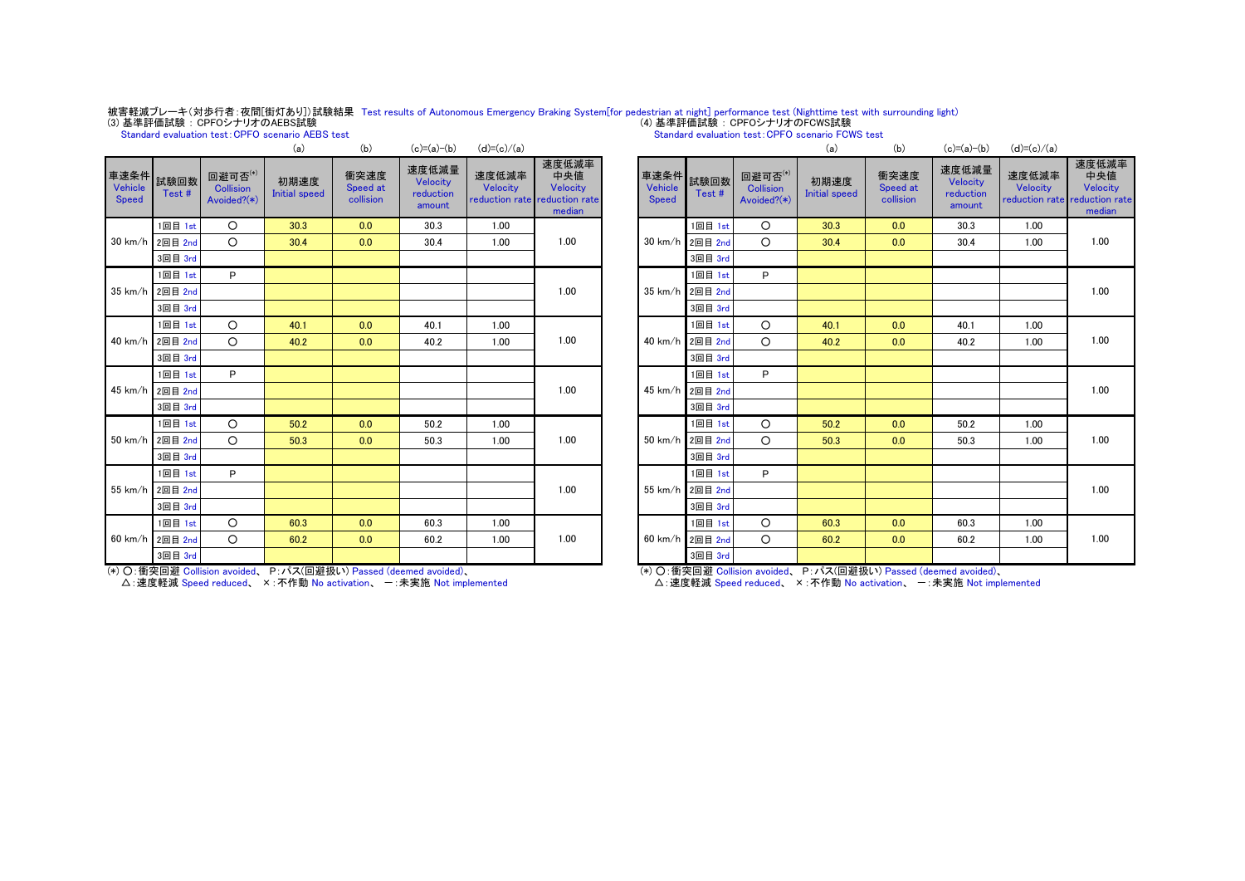# 被害軽減ブレーキ(対歩行者:夜間[街灯あり])試験結果 Test results of Autonomous Emergency Braking System[for pedestrian at night] performance test (Nighttime test with surrounding light)<br>(3) 基準評価試験:CPFOシナリオのAEBS試験<br>Standard evaluation test:CPFO s

|                                 |                 |                                                  | (a)                          | (b)                           | $(c)=(a)-(b)$                            | $(d)=(c)/(a)$     |                                                                     |                         |                     |                                            | (a)                          | (b)                           | $(c)=(a)-(b)$                            | $(d)=(c)/(a)$                                 |                             |
|---------------------------------|-----------------|--------------------------------------------------|------------------------------|-------------------------------|------------------------------------------|-------------------|---------------------------------------------------------------------|-------------------------|---------------------|--------------------------------------------|------------------------------|-------------------------------|------------------------------------------|-----------------------------------------------|-----------------------------|
| 車速条件<br>Vehicle<br><b>Speed</b> | 試験回数<br>Test #  | 回避可否 $^{(*)}$<br><b>Collision</b><br>Avoided?(*) | 初期速度<br><b>Initial speed</b> | 衝突速度<br>Speed at<br>collision | 速度低減量<br>Velocity<br>reduction<br>amount | 速度低減率<br>Velocity | 速度低減率<br>中央値<br>Velocity<br>reduction rate reduction rate<br>median | Vehicle<br><b>Speed</b> | 車速条件 試験回数<br>Test # | 回避可否(*)<br><b>Collision</b><br>Avoided?(*) | 初期速度<br><b>Initial speed</b> | 衝突速度<br>Speed at<br>collision | 速度低減量<br>Velocity<br>reduction<br>amount | 速度低減率<br>Velocity<br>reduction rate reduction | 速度低<br>中央<br>Veloc<br>media |
|                                 | 1回目 1st         | $\circ$                                          | 30.3                         | 0.0                           | 30.3                                     | 1.00              |                                                                     |                         | 1回目 1st             | $\circ$                                    | 30.3                         | 0.0                           | 30.3                                     | 1.00                                          |                             |
|                                 | 30 km/h 2回目 2nd | $\circ$                                          | 30.4                         | 0.0                           | 30.4                                     | 1.00              | 1.00                                                                |                         | 30 km/h 2回目 2nd     | $\Omega$                                   | 30.4                         | 0.0                           | 30.4                                     | 1.00                                          | 1.00                        |
|                                 | 3回目 3rd         |                                                  |                              |                               |                                          |                   |                                                                     |                         | 3回目 3rd             |                                            |                              |                               |                                          |                                               |                             |
|                                 | 1回目 1st         | P                                                |                              |                               |                                          |                   |                                                                     |                         | 1回目 1st             | P                                          |                              |                               |                                          |                                               |                             |
|                                 | 35 km/h 2回目 2nd |                                                  |                              |                               |                                          |                   | 1.00                                                                |                         | 35 km/h 2回目 2nd     |                                            |                              |                               |                                          |                                               | 1.00                        |
|                                 | 3回目 3rd         |                                                  |                              |                               |                                          |                   |                                                                     |                         | 3回目 3rd             |                                            |                              |                               |                                          |                                               |                             |
|                                 | 1回目 1st         | $\circ$                                          | 40.1                         | 0.0                           | 40.1                                     | 1.00              |                                                                     |                         | 1回目 1st             | $\circ$                                    | 40.1                         | 0.0                           | 40.1                                     | 1.00                                          |                             |
|                                 | 40 km/h 2回目 2nd | $\circ$                                          | 40.2                         | 0.0                           | 40.2                                     | 1.00              | 1.00                                                                |                         | 40 km/h 2回目 2nd     | $\circ$                                    | 40.2                         | 0.0                           | 40.2                                     | 1.00                                          | 1.00                        |
|                                 | 3回目 3rd         |                                                  |                              |                               |                                          |                   |                                                                     |                         | 3回目 3rd             |                                            |                              |                               |                                          |                                               |                             |
|                                 | 1回目 1st         | P                                                |                              |                               |                                          |                   |                                                                     |                         | 1回目 1st             | P                                          |                              |                               |                                          |                                               |                             |
|                                 | 45 km/h 2回目 2nd |                                                  |                              |                               |                                          |                   | 1.00                                                                |                         | 45 km/h 2回目 2nd     |                                            |                              |                               |                                          |                                               | 1.00                        |
|                                 | 3回目 3rd         |                                                  |                              |                               |                                          |                   |                                                                     |                         | 3回目 3rd             |                                            |                              |                               |                                          |                                               |                             |
|                                 | 1回目 1st         | $\circ$                                          | 50.2                         | 0.0                           | 50.2                                     | 1.00              |                                                                     |                         | 1回目 1st             | $\circ$                                    | 50.2                         | 0.0                           | 50.2                                     | 1.00                                          |                             |
|                                 | 50 km/h 2回目 2nd | $\circ$                                          | 50.3                         | 0.0                           | 50.3                                     | 1.00              | 1.00                                                                |                         | 50 km/h 2回目 2nd     | $\Omega$                                   | 50.3                         | 0.0                           | 50.3                                     | 1.00                                          | 1.00                        |
|                                 | 3回目 3rd         |                                                  |                              |                               |                                          |                   |                                                                     |                         | 3回目 3rd             |                                            |                              |                               |                                          |                                               |                             |
|                                 | 1回目 1st         | P                                                |                              |                               |                                          |                   |                                                                     |                         | 1回目 1st             | P                                          |                              |                               |                                          |                                               |                             |
|                                 | 55 km/h 2回目 2nd |                                                  |                              |                               |                                          |                   | 1.00                                                                |                         | 55 km/h 2回目 2nd     |                                            |                              |                               |                                          |                                               | 1.00                        |
|                                 | 3回目 3rd         |                                                  |                              |                               |                                          |                   |                                                                     |                         | 3回目 3rd             |                                            |                              |                               |                                          |                                               |                             |
|                                 | 1回目 1st         | O                                                | 60.3                         | 0.0                           | 60.3                                     | 1.00              |                                                                     |                         | 1回目 1st             | $\circ$                                    | 60.3                         | 0.0                           | 60.3                                     | 1.00                                          |                             |
|                                 | 60 km/h 2回目 2nd | $\circ$                                          | 60.2                         | 0.0                           | 60.2                                     | 1.00              | 1.00                                                                |                         | 60 km/h 2回目 2nd     | $\Omega$                                   | 60.2                         | 0.0                           | 60.2                                     | 1.00                                          | 1.00                        |
|                                 | 3回目 3rd         |                                                  |                              |                               |                                          |                   |                                                                     |                         | 3回目 3rd             |                                            |                              |                               |                                          |                                               |                             |

|                                        |                |                                            | (a)                          | (D)                           | $(C)$ $\neg$ $(Z)$ $\neg$ $(D)$                 | $Q - C$           |                                                                     |
|----------------------------------------|----------------|--------------------------------------------|------------------------------|-------------------------------|-------------------------------------------------|-------------------|---------------------------------------------------------------------|
| 車速条件<br><b>Vehicle</b><br><b>Speed</b> | 試験回数<br>Test # | 回避可否(*)<br><b>Collision</b><br>Avoided?(*) | 初期速度<br><b>Initial speed</b> | 衝突速度<br>Speed at<br>collision | 速度低減量<br><b>Velocity</b><br>reduction<br>amount | 速度低減率<br>Velocity | 速度低減率<br>中央値<br>Velocity<br>reduction rate reduction rate<br>median |
|                                        | 1回目 1st        | O                                          | 30.3                         | 0.0                           | 30.3                                            | 1.00              |                                                                     |
| 30 km/h                                | 2回目 2nd        | O                                          | 30.4                         | 0.0                           | 30.4                                            | 1.00              | 1.00                                                                |
|                                        | 3回目 3rd        |                                            |                              |                               |                                                 |                   |                                                                     |
|                                        | 1回目 1st        | P                                          |                              |                               |                                                 |                   |                                                                     |
| 35 km/h                                | 2回目 2nd        |                                            |                              |                               |                                                 |                   | 1.00                                                                |
|                                        | 3回目 3rd        |                                            |                              |                               |                                                 |                   |                                                                     |
|                                        | 1回目 1st        | O                                          | 40.1                         | 0.0                           | 40.1                                            | 1.00              |                                                                     |
| 40 km/h                                | 2回目 2nd        | $\circ$                                    | 40.2                         | 0.0                           | 40.2                                            | 1.00              | 1.00                                                                |
|                                        | 3回目 3rd        |                                            |                              |                               |                                                 |                   |                                                                     |
|                                        | 1回目 1st        | P                                          |                              |                               |                                                 |                   |                                                                     |
| 45 km/h                                | 2回目 2nd        |                                            |                              |                               |                                                 |                   | 1.00                                                                |
|                                        | 3回目 3rd        |                                            |                              |                               |                                                 |                   |                                                                     |
|                                        | 1回目 1st        | O                                          | 50.2                         | 0.0                           | 50.2                                            | 1.00              |                                                                     |
| 50 km/h                                | 2回目 2nd        | O                                          | 50.3                         | 0.0                           | 50.3                                            | 1.00              | 1.00                                                                |
|                                        | 3回目 3rd        |                                            |                              |                               |                                                 |                   |                                                                     |
|                                        | 1回目 1st        | P                                          |                              |                               |                                                 |                   |                                                                     |
| 55 km/h                                | 2回目 2nd        |                                            |                              |                               |                                                 |                   | 1.00                                                                |
|                                        | 3回目 3rd        |                                            |                              |                               |                                                 |                   |                                                                     |
|                                        | 1回目 1st        | O                                          | 60.3                         | 0.0                           | 60.3                                            | 1.00              |                                                                     |
| 60 km/h                                | 2回目 2nd        | O                                          | 60.2                         | 0.0                           | 60.2                                            | 1.00              | 1.00                                                                |
|                                        | 3回目 3rd        |                                            |                              |                               |                                                 |                   |                                                                     |

(\*) ○:衝突回避 Collision avoided、 P:パス(回避扱い) Passed (deemed avoided)、

△: 速度軽減 Speed reduced、 ×: 不作動 No activation、 一: 未実施 Not implemented

(\*) ○:衝突回避 Collision avoided、 P:パス(回避扱い) Passed (deemed avoided)、

△: 速度軽減 Speed reduced、 ×: 不作動 No activation、 一: 未実施 Not implemented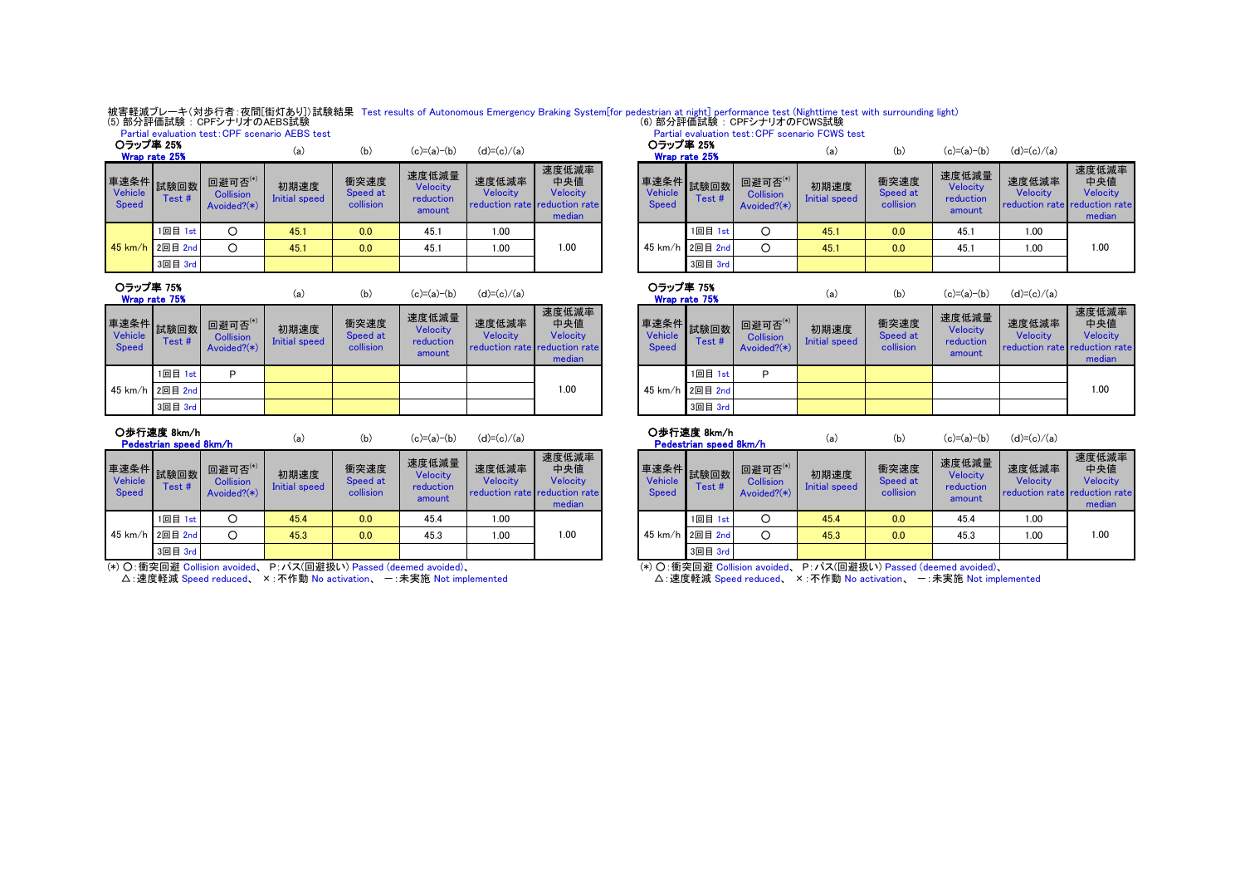# 被害軽減ブレーキ(対歩行者:夜間[街灯あり])試験結果 Test results of Autonomous Emergency Braking System[for pedestrian at night] performance test (Nighttime test with surrounding light)<br>(5) 部分評価試験:CPFシナリオのAEBS試験

Partial evaluation test:CPF scenario AEBS test

| ○ラップ率 25%<br>Wrap rate 25% |                          |                                               | (a)                   | (b)                           | $(c)=(a)-(b)$                            | $(d)=(c)/(a)$            |                                                                     | ○ラップ率 25%               | Wrap rate 25%         |                                            | (a)                          | (b)                           | $(c)=(a)-(b)$                                   | $(d)=(c)/(a)$                                 |                              |
|----------------------------|--------------------------|-----------------------------------------------|-----------------------|-------------------------------|------------------------------------------|--------------------------|---------------------------------------------------------------------|-------------------------|-----------------------|--------------------------------------------|------------------------------|-------------------------------|-------------------------------------------------|-----------------------------------------------|------------------------------|
| Vehicle<br>Speed           | 重速条件 試験回数   □~<br>Test # | 回避可否(*)<br><b>Collision</b><br>Avoided? $(*)$ | 初期速度<br>Initial speed | 衝突速度<br>Speed at<br>collision | 速度低減量<br>Velocity<br>reduction<br>amount | 速度低減率<br><b>Velocity</b> | 速度低減率<br>中央値<br>Velocity<br>reduction rate reduction rate<br>median | Vehicle<br><b>Speed</b> | 車速条件 試験回数 一~<br>Test# | 回避可否(*)<br><b>Collision</b><br>Avoided?(*) | 初期速度<br><b>Initial speed</b> | 衝突速度<br>Speed at<br>collision | 速度低減量<br><b>Velocity</b><br>reduction<br>amount | 速度低減率<br>Velocity<br>reduction rate reduction | 速度低:<br>中央<br>Veloc<br>media |
|                            | 1回目 1st                  |                                               | 45.1                  | 0.0                           | 45.1                                     | 1.00                     |                                                                     |                         | 1回目 1st               |                                            | 45.1                         | 0.0                           | 45.1                                            | 1.00                                          |                              |
| 45 km/h 2回目 2nd            |                          |                                               | 45.1                  | 0.0                           | 45.1                                     | 1.00                     | 1.00                                                                |                         | 45 km/h 2回目 2nd       | O                                          | 45.1                         | 0.0                           | 45.1                                            | 1.00                                          | 1.00                         |
|                            | 3回目 3rd                  |                                               |                       |                               |                                          |                          |                                                                     |                         | 3回目 3rd               |                                            |                              |                               |                                                 |                                               |                              |

| <b>EBS</b> test |                               |                                          |                          |                                                                            |                            |                                |                       |                                            | Partial evaluation test: CPF scenario FCWS test |                               |                                          |                                                    |                                    |
|-----------------|-------------------------------|------------------------------------------|--------------------------|----------------------------------------------------------------------------|----------------------------|--------------------------------|-----------------------|--------------------------------------------|-------------------------------------------------|-------------------------------|------------------------------------------|----------------------------------------------------|------------------------------------|
| (a)             | (b)                           | $(c)=(a)-(b)$                            | $(d)=(c)/(a)$            |                                                                            | ○ラップ率 25%<br>Wrap rate 25% |                                |                       |                                            |                                                 | (b)                           | $(c)=(a)-(b)$                            | $(d)=(c)/(a)$                                      |                                    |
| 朋速度<br>I speed  | 衝突速度<br>Speed at<br>collision | 速度低減量<br>Velocity<br>reduction<br>amount | 速度低減率<br><b>Velocity</b> | 速度低減率<br>中央値<br><b>Velocity</b><br>reduction rate reduction rate<br>median |                            | <b>Vehicle</b><br><b>Speed</b> | 車速条件 試験回数 一<br>Test # | 回避可否(*)<br><b>Collision</b><br>Avoided?(*) | 初期速度<br>Initial speed                           | 衝突速度<br>Speed at<br>collision | 速度低減量<br>Velocity<br>reduction<br>amount | 速度低減率<br>Velocity<br>reduction rate reduction rate | 速度低減率<br>中央値<br>Velocity<br>median |
| $-5.1$          | 0.0                           | 45.1                                     | 1.00                     |                                                                            |                            |                                | 1回目 1st               |                                            | 45.1                                            | 0.0                           | 45.1                                     | 1.00                                               |                                    |
| $-5.1$          | 0.0                           | 45.1                                     | 1.00                     | 1.00                                                                       |                            |                                | 45 km/h 2回目 2nd       |                                            | 45.1                                            | 0.0                           | 45.1                                     | 1.00                                               | 1.00                               |
|                 |                               |                                          |                          |                                                                            |                            |                                | 3回目 3rd               |                                            |                                                 |                               |                                          |                                                    |                                    |

## ○ラップ率 75% Wran rate 75%

(a) (b) (c)=(a)-(b) (d)=(c)/(a) (a) (b) (c)=(a)-(b) (d)=(c)/(a) (a) (b) (c)=(a)-(b) (d)=(c)/(a)

|                                 | <b>THERE I RUN I VIII</b> |                                            |                       |                               |                                          |                                                    |                                    |                                        | <b>THERE I READ I VIT</b> |                         |
|---------------------------------|---------------------------|--------------------------------------------|-----------------------|-------------------------------|------------------------------------------|----------------------------------------------------|------------------------------------|----------------------------------------|---------------------------|-------------------------|
| 車速条件<br>Vehicle<br><b>Speed</b> | 試験回数<br>Test #            | 回避可否(*)<br><b>Collision</b><br>Avoided?(*) | 初期速度<br>Initial speed | 衝突速度<br>Speed at<br>collision | 速度低減量<br>Velocity<br>reduction<br>amount | 速度低減率<br>Velocity<br>reduction rate reduction rate | 速度低減率<br>中央値<br>Velocity<br>median | 車速条件<br><b>Vehicle</b><br><b>Speed</b> | 試験回数<br>Test #            | 回避可<br>Collis<br>Avoide |
|                                 | 1回目 1st                   | D                                          |                       |                               |                                          |                                                    |                                    |                                        | 回目 1st                    | P                       |
| 45 km/h                         | 2回目 2nd                   |                                            |                       |                               |                                          |                                                    | 1.00                               | $45 \text{ km/h}$                      | 2回目 2nd                   |                         |
|                                 | 3回目 3rd                   |                                            |                       |                               |                                          |                                                    |                                    |                                        | 3回目 3rd                   |                         |

 ○歩行速度 8km/h Pedestrian speed 8km/h

|                                | <b>Lengen Islie sheen ovilly if</b> |                                               |                       |                               |                                          |                                                    |                                    | <b>FOUGSURII SUCCU ONII/II</b> |                                                                     |         |                                                  |                       |                               |                                                 |                                                      |                             |  |
|--------------------------------|-------------------------------------|-----------------------------------------------|-----------------------|-------------------------------|------------------------------------------|----------------------------------------------------|------------------------------------|--------------------------------|---------------------------------------------------------------------|---------|--------------------------------------------------|-----------------------|-------------------------------|-------------------------------------------------|------------------------------------------------------|-----------------------------|--|
| <b>Vehicle</b><br><b>Speed</b> | " <sup>韦</sup> 谏条件▌試験回数Ⅰ<br>Test #  | 回避可否(*)<br><b>Collision</b><br>Avoided? $(*)$ | 初期速度<br>Initial speed | 衝突速度<br>Speed at<br>collision | 速度低減量<br>Velocity<br>reduction<br>amount | 速度低減率<br>Velocity<br>reduction rate reduction rate | 速度低減率<br>中央値<br>Velocity<br>median |                                | ·  ┃車速条件┃試験回数┃ <sup>--</sup> ----<br><b>Vehicle</b><br><b>Speed</b> | Test #  | 回避可否 $^{(*)}$<br><b>Collision</b><br>Avoided?(*) | 初期速度<br>Initial speed | 衝突速度<br>Speed at<br>collision | 速度低減量<br><b>Velocity</b><br>reduction<br>amount | 速度低減率<br><b>Velocity</b><br>reduction rate reduction | 速度低<br>中央<br>Veloc<br>media |  |
|                                | 1回目 1st                             |                                               | 45.4                  | 0.0                           | 45.4                                     | 1.00                                               |                                    |                                |                                                                     | 1回目 1st |                                                  | 45.4                  | 0.0                           | 45.4                                            | 1.00                                                 |                             |  |
|                                | 45 km/h 2回目 2nd                     |                                               | 45.3                  | 0.0                           | 45.3                                     | 1.00                                               | 1.00                               |                                | 45 km/h 2回目 2nd                                                     |         |                                                  | 45.3                  | 0.0                           | 45.3                                            | 1.00                                                 | 1.00                        |  |
|                                | 3回目 3rd                             |                                               |                       |                               |                                          |                                                    |                                    |                                |                                                                     | 3回目 3rd |                                                  |                       |                               |                                                 |                                                      |                             |  |

(\*) ○:衝突回避 Collision avoided、 P:パス(回避扱い) Passed (deemed avoided)、

△: 速度軽減 Speed reduced、 ×: 不作動 No activation、 一: 未実施 Not implemented

## ○ラップ率 75% Wrap rate 75%

|                                 | <b><i>IIIWN IWW IVN</i></b> |                                            |                              |                               |                                          |                                                    |                                    |
|---------------------------------|-----------------------------|--------------------------------------------|------------------------------|-------------------------------|------------------------------------------|----------------------------------------------------|------------------------------------|
| 車速条件<br>Vehicle<br><b>Speed</b> | 試験回数<br>Test#               | 回避可否(*)<br><b>Collision</b><br>Avoided?(*) | 初期速度<br><b>Initial speed</b> | 衝突速度<br>Speed at<br>collision | 速度低減量<br>Velocity<br>reduction<br>amount | 速度低減率<br>Velocity<br>reduction rate reduction rate | 速度低減率<br>中央値<br>Velocity<br>median |
|                                 | 1回目 1st                     | P                                          |                              |                               |                                          |                                                    |                                    |
| $45 \text{ km/h}$               | 2回目 2nd                     |                                            |                              |                               |                                          |                                                    | 1.00                               |
|                                 | 3回目 3rd                     |                                            |                              |                               |                                          |                                                    |                                    |

| (a) | (b) | $(a)-(b)$   | $(d)=(c)/(a)$ | ○歩行速度<br>՝ 8km∕h       |     | (b) | =(a)–(b) | $(d)=(c)/(a)$ |
|-----|-----|-------------|---------------|------------------------|-----|-----|----------|---------------|
|     |     | $(c) = (a)$ |               | Pedestrian speed 8km/h | ۱а. |     | (C)=     |               |

| 車速条件<br><b>Vehicle</b><br><b>Speed</b> | 試験回数<br>Test # | 回避可否(*)<br><b>Collision</b><br>Avoided? $(*)$ | 初期速度<br><b>Initial speed</b> | 衝突速度<br>Speed at<br>collision | 速度低減量<br><b>Velocity</b><br>reduction<br>amount | 速度低減率<br>Velocity | 速度低減率<br>中央値<br>Velocity<br>reduction rate reduction rate<br>median |
|----------------------------------------|----------------|-----------------------------------------------|------------------------------|-------------------------------|-------------------------------------------------|-------------------|---------------------------------------------------------------------|
|                                        | 1回目 1st        |                                               | 45.4                         | 0.0                           | 45.4                                            | 1.00              |                                                                     |
| 45 km/h                                | 2回目 2nd        |                                               | 45.3                         | 0.0                           | 45.3                                            | 1.00              | 1.00                                                                |
|                                        | 3回目 3rd        |                                               |                              |                               |                                                 |                   |                                                                     |

(\*) ○:衝突回避 Collision avoided、 P:パス(回避扱い) Passed (deemed avoided)、

△:速度軽減 Speed reduced、 ×:不作動 No activation、 一:未実施 Not implemented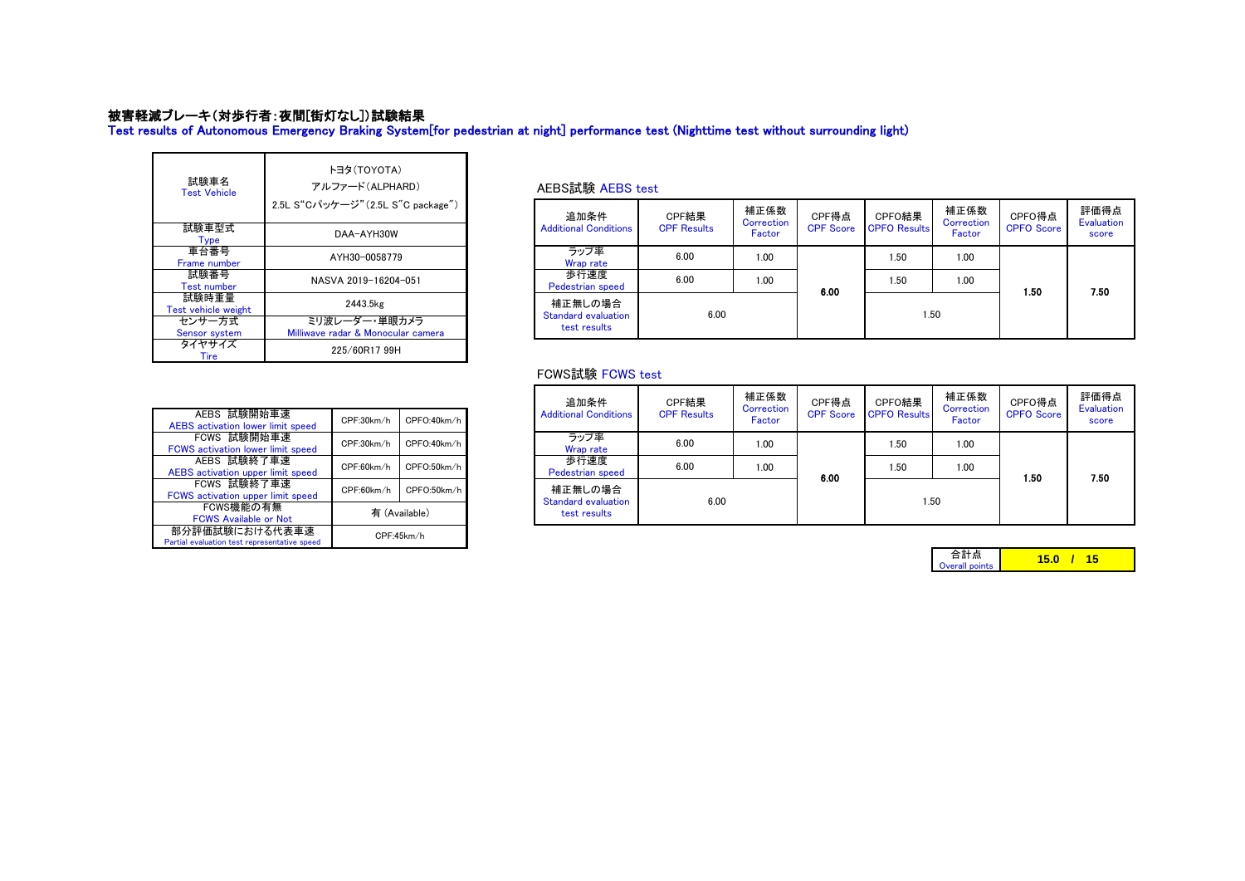## 被害軽減ブレーキ(対歩行者:夜間[街灯なし])試験結果

Test results of Autonomous Emergency Braking System[for pedestrian at night] performance test (Nighttime test without surrounding light)

| 試験車名<br><b>Test Vehicle</b>  | トヨタ(TOYOTA)<br>アルファード (ALPHARD)<br>2.5L S"Cパッケージ" (2.5L S"C package") | AEBS試験 AEE<br>追加条件            |
|------------------------------|-----------------------------------------------------------------------|-------------------------------|
| 試験車型式<br>Type                | DAA-AYH30W                                                            | <b>Additional Conditio</b>    |
| 車台番号<br>Frame number         | AYH30-0058779                                                         | ラップ率<br>Wrap rate             |
| 試験番号<br><b>Test number</b>   | NASVA 2019-16204-051                                                  | 歩行速度<br>Pedestrian speed      |
| 試験時重量<br>Test vehicle weight | 2443.5kg                                                              | 補正無しの場合<br>Standard evaluatio |
| センサー方式<br>Sensor system      | ミリ波レーダー・単眼カメラ<br>Milliwave radar & Monocular camera                   | test results                  |
| タイヤサイズ<br>Tire               | 225/60R17 99H                                                         |                               |

# AEBS試験 AEBS test

| パッケージ"(2.5L S"C package")                     | 追加条件                                | CPF結果              | 補正係数<br>Correction | CPF得点            | CPFO結果              | 補正係数<br>Correction | CPFO得点            | 評価得点<br><b>Evaluation</b> |
|-----------------------------------------------|-------------------------------------|--------------------|--------------------|------------------|---------------------|--------------------|-------------------|---------------------------|
| DAA-AYH30W                                    | <b>Additional Conditions</b>        | <b>CPF Results</b> | Factor             | <b>CPF Score</b> | <b>CPFO Results</b> | Factor             | <b>CPFO</b> Score | score                     |
| AYH30-0058779                                 | ラップ率<br>Wrap rate                   | 6.00               | 1.00               |                  | 1.50                | 1.00               |                   |                           |
| NASVA 2019-16204-051                          | 歩行速度<br>Pedestrian speed            | 6.00               | 1.00               | 6.00             | 1.50                | 1.00               | 1.50              | 7.50                      |
| 2443.5kg                                      | 補正無しの場合                             |                    |                    |                  |                     |                    |                   |                           |
| ミリ波レーダー・単眼カメラ<br>ave radar & Monocular camera | Standard evaluation<br>test results | 6.00               |                    |                  | 1.50                |                    |                   |                           |

## FCWS試験 FCWS test

|                                                  |            |               | 迫加米什                         | しドト茄子              | Correcti |
|--------------------------------------------------|------------|---------------|------------------------------|--------------------|----------|
| AEBS 試験開始車速<br>AEBS activation lower limit speed | CPF:30km/h | CPFO:40km/h   | <b>Additional Conditions</b> | <b>CPF Results</b> | Factor   |
|                                                  |            |               |                              |                    |          |
| FCWS 試験開始車速                                      | CPF:30km/h | CPFO:40km/h   | ラップ率                         | 6.00               | 1.00     |
| <b>FCWS</b> activation lower limit speed         |            |               | Wrap rate                    |                    |          |
| AEBS 試験終了車速                                      | CPF:60km/h | CPFO:50km/h   | 歩行速度                         | 6.00               | 1.00     |
| AEBS activation upper limit speed                |            |               | Pedestrian speed             |                    |          |
| FCWS 試験終了車速                                      | CPF:60km/h | CPFO:50km/h   | 補正無しの場合                      |                    |          |
| <b>FCWS</b> activation upper limit speed         |            |               | Standard evaluation          | 6.00               |          |
| FCWS機能の有無                                        |            |               |                              |                    |          |
| <b>FCWS Available or Not</b>                     |            | 有 (Available) | test results                 |                    |          |
| 部分評価試験における代表車速                                   |            | CPF:45km/h    |                              |                    |          |
| Partial evaluation test representative speed     |            |               |                              |                    |          |

|                           |             | 追加条件                            | CPF結果              | 補正係数<br>Correction | CPF得点            | CPFO結果              | 補正係数<br>Correction | CPFO得点            | 評価得点<br>Evaluation |
|---------------------------|-------------|---------------------------------|--------------------|--------------------|------------------|---------------------|--------------------|-------------------|--------------------|
| CPF:30km/h                | CPFO:40km/h | <b>Additional Conditions</b>    | <b>CPF Results</b> | Factor             | <b>CPF Score</b> | <b>CPFO Results</b> | Factor             | <b>CPFO</b> Score | score              |
| CPF:30km/h                | CPFO:40km/h | ラップ率<br>Wrap rate               | 6.00               | 1.00               |                  | 50.ا                | 1.00               |                   |                    |
| CPF:60km/h                | CPFO:50km/h | 歩行速度<br><b>Pedestrian speed</b> | 6.00               | 1.00               | 6.00             | 1.50                | 1.00               | 1.50              | 7.50               |
| CPF:60km/h<br>CPFO:50km/h |             | 補正無しの場合<br>Standard evaluation  | 6.00               |                    |                  | 1.50                |                    |                   |                    |
| 有 (Available)             |             | test results                    |                    |                    |                  |                     |                    |                   |                    |

| Overall points I <mark>I</mark> |  |
|---------------------------------|--|
|---------------------------------|--|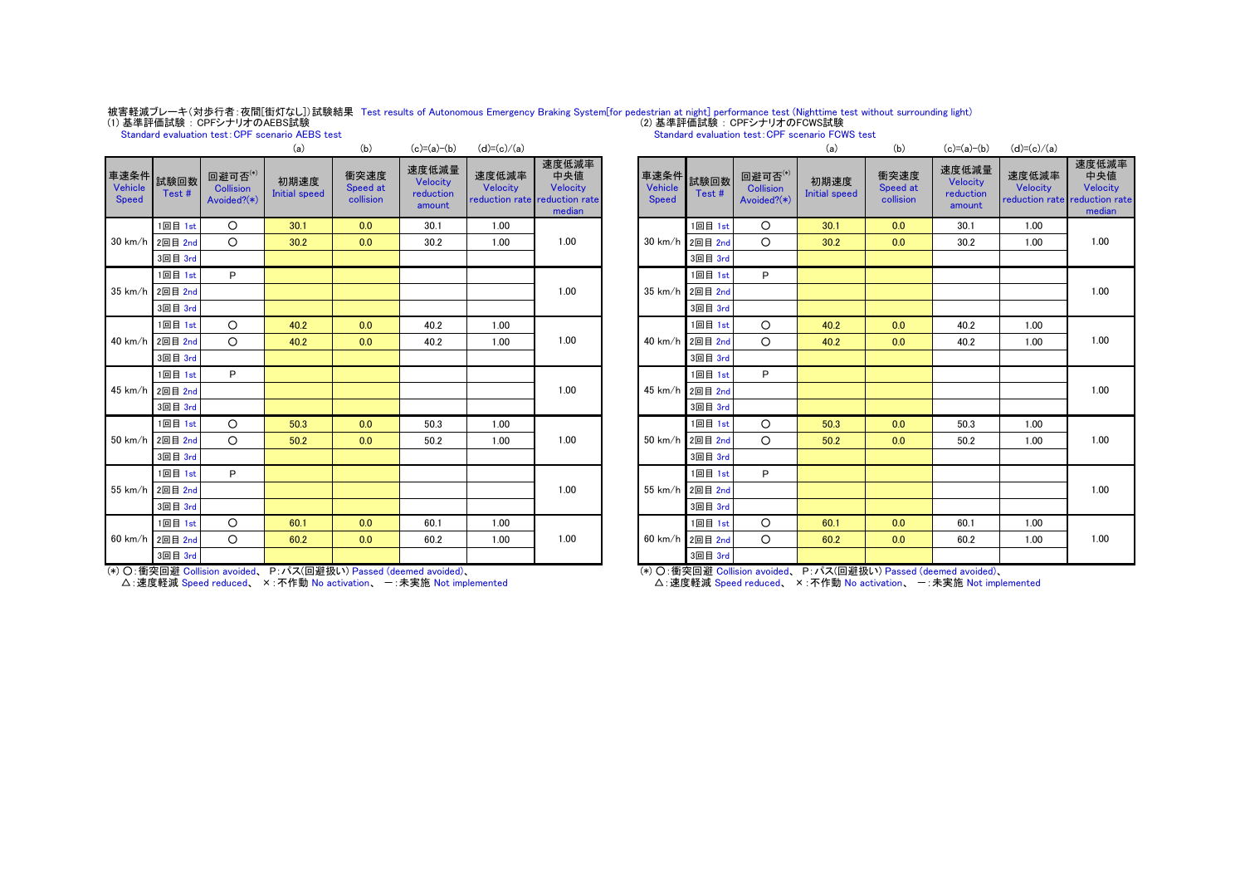# 被害軽減ブレーキ(対歩行者:夜間[街灯なし])試験結果 Test results of Autonomous Emergency Braking System[for pedestrian at night] performance test (Nighttime test without surrounding light)<br>(1)基準評価試験:CPFシナリオのAEBS試験<br>Standard evaluation test:CPF s

|                                 |               |                                            | (a)                          | (b)                           | $(c)=(a)-(b)$                            | $(d)=(c)/(a)$     |                                                                     |  |                                      |         |                                            | (a)                          | (b)                           | $(c)=(a)-(b)$                            | $(d)=(c)/(a)$                       |                                                  |
|---------------------------------|---------------|--------------------------------------------|------------------------------|-------------------------------|------------------------------------------|-------------------|---------------------------------------------------------------------|--|--------------------------------------|---------|--------------------------------------------|------------------------------|-------------------------------|------------------------------------------|-------------------------------------|--------------------------------------------------|
| 車速条件<br>Vehicle<br><b>Speed</b> | 試験回数<br>Test# | 回避可否(*)<br><b>Collision</b><br>Avoided?(*) | 初期速度<br><b>Initial speed</b> | 衝突速度<br>Speed at<br>collision | 速度低減量<br>Velocity<br>reduction<br>amount | 速度低減率<br>Velocity | 速度低減率<br>中央値<br>Velocity<br>reduction rate reduction rate<br>median |  | 車速条件 試験回数<br>Vehicle<br><b>Speed</b> | Test #  | 回避可否(*)<br><b>Collision</b><br>Avoided?(*) | 初期速度<br><b>Initial speed</b> | 衝突速度<br>Speed at<br>collision | 速度低減量<br>Velocity<br>reduction<br>amount | 速度低減率<br>Velocity<br>reduction rate | 速度低:<br>中央<br>Veloc<br><b>reduction</b><br>media |
|                                 | 1回目 1st       | $\circ$                                    | 30.1                         | 0.0                           | 30.1                                     | 1.00              |                                                                     |  |                                      | 1回目 1st | $\circ$                                    | 30.1                         | 0.0                           | 30.1                                     | 1.00                                |                                                  |
| 30 km/h 2回目 2nd                 |               | $\circ$                                    | 30.2                         | 0.0                           | 30.2                                     | 1.00              | 1.00                                                                |  | $30 \text{ km/h}$                    | 2回目 2nd | $\Omega$                                   | 30.2                         | 0.0                           | 30.2                                     | 1.00                                | 1.00                                             |
|                                 | 3回目 3rd       |                                            |                              |                               |                                          |                   |                                                                     |  |                                      | 3回目 3rd |                                            |                              |                               |                                          |                                     |                                                  |
|                                 | 1回目 1st       | P                                          |                              |                               |                                          |                   |                                                                     |  |                                      | 1回目 1st | P                                          |                              |                               |                                          |                                     |                                                  |
| 35 km/h 2回目 2nd                 |               |                                            |                              |                               |                                          |                   | 1.00                                                                |  | $35 \text{ km/h}$                    | 2回目 2nd |                                            |                              |                               |                                          |                                     | 1.00                                             |
|                                 | 3回目 3rd       |                                            |                              |                               |                                          |                   |                                                                     |  |                                      | 3回目 3rd |                                            |                              |                               |                                          |                                     |                                                  |
|                                 | 1回目 1st       | $\circ$                                    | 40.2                         | 0.0                           | 40.2                                     | 1.00              |                                                                     |  |                                      | 1回目 1st | $\circ$                                    | 40.2                         | 0.0                           | 40.2                                     | 1.00                                |                                                  |
| 40 km/h                         | 2回目 2nd       | $\circ$                                    | 40.2                         | 0.0                           | 40.2                                     | 1.00              | 1.00                                                                |  | 40 km/h                              | 2回目 2nd | $\circ$                                    | 40.2                         | 0.0                           | 40.2                                     | 1.00                                | 1.00                                             |
|                                 | 3回目 3rd       |                                            |                              |                               |                                          |                   |                                                                     |  |                                      | 3回目 3rd |                                            |                              |                               |                                          |                                     |                                                  |
|                                 | 1回目 1st       | P                                          |                              |                               |                                          |                   |                                                                     |  |                                      | 1回目 1st | P                                          |                              |                               |                                          |                                     |                                                  |
| 45 km/h 2回目 2nd                 |               |                                            |                              |                               |                                          |                   | 1.00                                                                |  | $45 \text{ km/h}$                    | 2回目 2nd |                                            |                              |                               |                                          |                                     | 1.00                                             |
|                                 | 3回目 3rd       |                                            |                              |                               |                                          |                   |                                                                     |  |                                      | 3回目 3rd |                                            |                              |                               |                                          |                                     |                                                  |
|                                 | 1回目 1st       | $\circ$                                    | 50.3                         | 0.0                           | 50.3                                     | 1.00              |                                                                     |  |                                      | 1回目 1st | $\circ$                                    | 50.3                         | 0.0                           | 50.3                                     | 1.00                                |                                                  |
| 50 km/h 2回目 2nd                 |               | $\circ$                                    | 50.2                         | 0.0                           | 50.2                                     | 1.00              | 1.00                                                                |  | $50 \text{ km/h}$                    | 2回目 2nd | $\Omega$                                   | 50.2                         | 0.0                           | 50.2                                     | 1.00                                | 1.00                                             |
|                                 | 3回目 3rd       |                                            |                              |                               |                                          |                   |                                                                     |  |                                      | 3回目 3rd |                                            |                              |                               |                                          |                                     |                                                  |
|                                 | 1回目 1st       | P                                          |                              |                               |                                          |                   |                                                                     |  |                                      | 1回目 1st | P                                          |                              |                               |                                          |                                     |                                                  |
| 55 km/h 2回目 2nd                 |               |                                            |                              |                               |                                          |                   | 1.00                                                                |  | 55 km/h                              | 2回目 2nd |                                            |                              |                               |                                          |                                     | 1.00                                             |
|                                 | 3回目 3rd       |                                            |                              |                               |                                          |                   |                                                                     |  |                                      | 3回目 3rd |                                            |                              |                               |                                          |                                     |                                                  |
|                                 | 1回目 1st       | $\circ$                                    | 60.1                         | 0.0                           | 60.1                                     | 1.00              |                                                                     |  |                                      | 1回目 1st | $\circ$                                    | 60.1                         | 0.0                           | 60.1                                     | 1.00                                |                                                  |
| 60 km/h 2回目 2nd                 |               | $\circ$                                    | 60.2                         | 0.0                           | 60.2                                     | 1.00              | 1.00                                                                |  | 60 km/h                              | 2回目 2nd | $\Omega$                                   | 60.2                         | 0.0                           | 60.2                                     | 1.00                                | 1.00                                             |
|                                 | 3回目 3rd       |                                            |                              |                               |                                          |                   |                                                                     |  |                                      | 3回目 3rd |                                            |                              |                               |                                          |                                     |                                                  |

| (a)                   | (b)                           | $(c)=(a)-(b)$                            | $(d)=(c)/(a)$     |                                                                     |                                 |               |                                            | (a)                          | (b)                           | $(c)=(a)-(b)$                            | $(d)=(c)/(a)$                                      |                                    |
|-----------------------|-------------------------------|------------------------------------------|-------------------|---------------------------------------------------------------------|---------------------------------|---------------|--------------------------------------------|------------------------------|-------------------------------|------------------------------------------|----------------------------------------------------|------------------------------------|
| <b>用速度</b><br>I speed | 衝突速度<br>Speed at<br>collision | 速度低減量<br>Velocity<br>reduction<br>amount | 速度低減率<br>Velocity | 速度低減率<br>中央値<br>Velocity<br>reduction rate reduction rate<br>median | 車速条件<br>Vehicle<br><b>Speed</b> | 試験回数<br>Test# | 回避可否(*)<br><b>Collision</b><br>Avoided?(*) | 初期速度<br><b>Initial speed</b> | 衝突速度<br>Speed at<br>collision | 速度低減量<br>Velocity<br>reduction<br>amount | 速度低減率<br>Velocity<br>reduction rate reduction rate | 速度低減率<br>中央値<br>Velocity<br>median |
| 0.1                   | 0.0                           | 30.1                                     | 1.00              |                                                                     |                                 | 1回目 1st       | $\circ$                                    | 30.1                         | 0.0                           | 30.1                                     | 1.00                                               |                                    |
| 0.2                   | 0.0                           | 30.2                                     | 1.00              | 1.00                                                                | 30 km/h                         | 2回目 2nd       | $\circ$                                    | 30.2                         | 0.0                           | 30.2                                     | 1.00                                               | 1.00                               |
|                       |                               |                                          |                   |                                                                     |                                 | 3回目 3rd       |                                            |                              |                               |                                          |                                                    |                                    |
|                       |                               |                                          |                   |                                                                     |                                 | 1回目 1st       | P                                          |                              |                               |                                          |                                                    |                                    |
|                       |                               |                                          |                   | 1.00                                                                | $35 \text{ km/h}$               | 2回目 2nd       |                                            |                              |                               |                                          |                                                    | 1.00                               |
|                       |                               |                                          |                   |                                                                     |                                 | 3回目 3rd       |                                            |                              |                               |                                          |                                                    |                                    |
| 0.2                   | 0.0                           | 40.2                                     | 1.00              |                                                                     |                                 | 1回目 1st       | $\circ$                                    | 40.2                         | 0.0                           | 40.2                                     | 1.00                                               |                                    |
| 0.2                   | 0.0                           | 40.2                                     | 1.00              | 1.00                                                                | $40 \text{ km/h}$               | 2回目 2nd       | $\circ$                                    | 40.2                         | 0.0                           | 40.2                                     | 1.00                                               | 1.00                               |
|                       |                               |                                          |                   |                                                                     |                                 | 3回目 3rd       |                                            |                              |                               |                                          |                                                    |                                    |
|                       |                               |                                          |                   |                                                                     |                                 | 1回目 1st       | P                                          |                              |                               |                                          |                                                    |                                    |
|                       |                               |                                          |                   | 1.00                                                                | 45 km/h                         | 2回目 2nd       |                                            |                              |                               |                                          |                                                    | 1.00                               |
|                       |                               |                                          |                   |                                                                     |                                 | 3回目 3rd       |                                            |                              |                               |                                          |                                                    |                                    |
| 0.3                   | 0.0                           | 50.3                                     | 1.00              |                                                                     |                                 | 1回目 1st       | $\circ$                                    | 50.3                         | 0.0                           | 50.3                                     | 1.00                                               |                                    |
| 0.2                   | 0.0                           | 50.2                                     | 1.00              | 1.00                                                                | 50 km/h                         | 2回目 2nd       | $\circ$                                    | 50.2                         | 0.0                           | 50.2                                     | 1.00                                               | 1.00                               |
|                       |                               |                                          |                   |                                                                     |                                 | 3回目 3rd       |                                            |                              |                               |                                          |                                                    |                                    |
|                       |                               |                                          |                   |                                                                     |                                 | 1回目 1st       | P                                          |                              |                               |                                          |                                                    |                                    |
|                       |                               |                                          |                   | 1.00                                                                | 55 km/h                         | 2回目 2nd       |                                            |                              |                               |                                          |                                                    | 1.00                               |
|                       |                               |                                          |                   |                                                                     |                                 | 3回目 3rd       |                                            |                              |                               |                                          |                                                    |                                    |
| 0.1                   | 0.0                           | 60.1                                     | 1.00              |                                                                     |                                 | 1回目 1st       | $\circ$                                    | 60.1                         | 0.0                           | 60.1                                     | 1.00                                               |                                    |
| 0.2                   | 0.0                           | 60.2                                     | 1.00              | 1.00                                                                | 60 km/h                         | 2回目 2nd       | $\circ$                                    | 60.2                         | 0.0                           | 60.2                                     | 1.00                                               | 1.00                               |
|                       |                               |                                          |                   |                                                                     |                                 | 3回目 3rd       |                                            |                              |                               |                                          |                                                    |                                    |

(\*) ○:衝突回避 Collision avoided、 P:パス(回避扱い) Passed (deemed avoided)、

△: 速度軽減 Speed reduced、 ×: 不作動 No activation、 一: 未実施 Not implemented

(\*) ○:衝突回避 Collision avoided、 P:パス(回避扱い) Passed (deemed avoided)、

· △: 速度軽減 Speed reduced、 ×: 不作動 No activation、 一: 未実施 Not implemented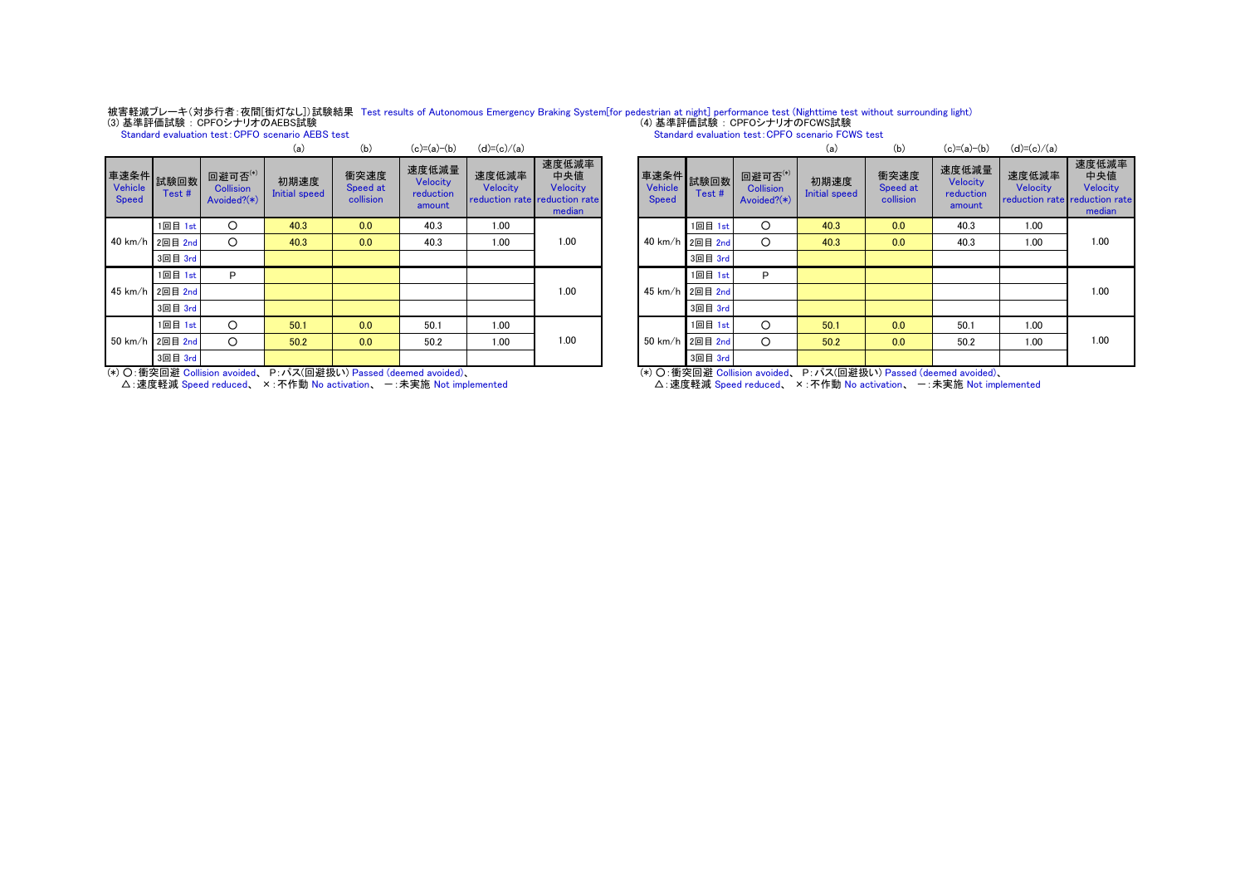# 被害軽減ブレーキ(対歩行者:夜間[街灯なし])試験結果 Test results of Autonomous Emergency Braking System[for pedestrian at night] performance test (Nighttime test without surrounding light)<br>(3) 基準評価試験:CPFOシナリオのAEBS試験<br>Standard evaluation test:CPF

|                                        |                 |                                               | (a)                                                                                                                                                                                                                                                         | (b)                           | $(c)=(a)-(b)$                            | $(d)=(c)/(a)$                                      |                                    |                         |                    |                                               | (a)                          | (b)                           | $(c)=(a)-(b)$                            | $(d)=(c)/(a)$                                 |                              |
|----------------------------------------|-----------------|-----------------------------------------------|-------------------------------------------------------------------------------------------------------------------------------------------------------------------------------------------------------------------------------------------------------------|-------------------------------|------------------------------------------|----------------------------------------------------|------------------------------------|-------------------------|--------------------|-----------------------------------------------|------------------------------|-------------------------------|------------------------------------------|-----------------------------------------------|------------------------------|
| 車速条件 試験回数 片<br>Vehicle<br><b>Speed</b> | Test#           | 回避可否(*)<br><b>Collision</b><br>Avoided? $(*)$ | 初期速度<br><b>Initial speed</b>                                                                                                                                                                                                                                | 衝突速度<br>Speed at<br>collision | 速度低減量<br>Velocity<br>reduction<br>amount | 速度低減率<br>Velocity<br>reduction rate reduction rate | 速度低減率<br>中央値<br>Velocity<br>median | Vehicle<br><b>Speed</b> | 車速条件 試験回数<br>Test# | 回避可否(*)<br><b>Collision</b><br>Avoided? $(*)$ | 初期速度<br><b>Initial speed</b> | 衝突速度<br>Speed at<br>collision | 速度低減量<br>Velocity<br>reduction<br>amount | 速度低減率<br>Velocity<br>reduction rate reduction | 速度低:<br>中央<br>Veloc<br>media |
|                                        | 1回目 1st         | O                                             | 40.3                                                                                                                                                                                                                                                        | 0.0                           | 40.3                                     | 1.00                                               |                                    |                         | 1回目 1st            | O                                             | 40.3                         | 0.0                           | 40.3                                     | 1.00                                          |                              |
|                                        | 40 km/h 2回目 2nd | $\circ$                                       | 40.3                                                                                                                                                                                                                                                        | 0.0                           | 40.3                                     | 1.00                                               | 1.00                               |                         | 40 km/h 2回目 2nd    | $\circ$                                       | 40.3                         | 0.0                           | 40.3                                     | 1.00                                          | 1.00                         |
|                                        | 3回目 3rd         |                                               |                                                                                                                                                                                                                                                             |                               |                                          |                                                    |                                    |                         | 3回目 3rd            |                                               |                              |                               |                                          |                                               |                              |
|                                        | 1回目 1st         | P                                             |                                                                                                                                                                                                                                                             |                               |                                          |                                                    |                                    |                         | 1回目 1st            | P                                             |                              |                               |                                          |                                               |                              |
|                                        | 45 km/h 2回目 2nd |                                               |                                                                                                                                                                                                                                                             |                               |                                          |                                                    | 1.00                               | 45 km/h                 | 2回目 2nd            |                                               |                              |                               |                                          |                                               | 1.00                         |
|                                        | 3回目 3rd         |                                               |                                                                                                                                                                                                                                                             |                               |                                          |                                                    |                                    |                         | 3回目 3rd            |                                               |                              |                               |                                          |                                               |                              |
|                                        | 1回目 1st         | $\circ$                                       | 50.1                                                                                                                                                                                                                                                        | 0.0                           | 50.1                                     | 1.00                                               |                                    |                         | 1回目 1st            | $\circ$                                       | 50.1                         | 0.0                           | 50.1                                     | 1.00                                          |                              |
| 50 km/h 2回目 2nd                        |                 | O                                             | 50.2                                                                                                                                                                                                                                                        | 0.0                           | 50.2                                     | 1.00                                               | 1.00                               | $50 \text{ km/h}$       | 2回目 2nd            | $\circ$                                       | 50.2                         | 0.0                           | 50.2                                     | 1.00                                          | 1.00                         |
|                                        | 3回目 3rd         |                                               |                                                                                                                                                                                                                                                             |                               |                                          |                                                    |                                    |                         | 3回目 3rd            |                                               |                              |                               |                                          |                                               |                              |
|                                        | $\sqrt{2}$      | .                                             | $0 - 1$ and $1$ and $1$ and $1$ and $1$ and $1$ and $1$ and $1$ and $1$ and $1$ and $1$ and $1$ and $1$ and $1$ and $1$ and $1$ and $1$ and $1$ and $1$ and $1$ and $1$ and $1$ and $1$ and $1$ and $1$ and $1$ and $1$ and $1$<br>$\overline{\phantom{0}}$ | $\sim$ $\sim$ $\sim$          |                                          |                                                    |                                    |                         | $\sqrt{2}$         | <b>Service</b> State                          | $\sim 2 - 1$                 | $\sim$ $\sim$ $\sim$          |                                          |                                               |                              |

| (a)                                                                                                             | (b)                           | $(c)=(a)-(b)$                                     | $(d)=(c)/(a)$                                      |                                           |                         |                                                                                                        |                                            | (a)                                                                                                                                                                                                                                                                                                                                                                                                                                                          | (b)                           | $(c)=(a)-(b)$                                                                     | $(d)=(c)/(a)$                                      |                                    |
|-----------------------------------------------------------------------------------------------------------------|-------------------------------|---------------------------------------------------|----------------------------------------------------|-------------------------------------------|-------------------------|--------------------------------------------------------------------------------------------------------|--------------------------------------------|--------------------------------------------------------------------------------------------------------------------------------------------------------------------------------------------------------------------------------------------------------------------------------------------------------------------------------------------------------------------------------------------------------------------------------------------------------------|-------------------------------|-----------------------------------------------------------------------------------|----------------------------------------------------|------------------------------------|
| <b>用速度</b><br>l speed                                                                                           | 衝突速度<br>Speed at<br>collision | 速度低減量<br>Velocity<br>reduction<br>amount          | 速度低減率<br>Velocity<br>reduction rate reduction rate | 速度低減率<br>中央値<br><b>Velocity</b><br>median | Vehicle<br><b>Speed</b> | 車速条件 試験回数<br>Test #                                                                                    | 回避可否(*)<br><b>Collision</b><br>Avoided?(*) | 初期速度<br><b>Initial speed</b>                                                                                                                                                                                                                                                                                                                                                                                                                                 | 衝突速度<br>Speed at<br>collision | 速度低減量<br>Velocity<br>reduction<br>amount                                          | 速度低減率<br>Velocity<br>reduction rate reduction rate | 速度低減率<br>中央値<br>Velocity<br>median |
| 0.3                                                                                                             | 0.0                           | 40.3                                              | 1.00                                               |                                           |                         | 1回目 1st                                                                                                | $\circ$                                    | 40.3                                                                                                                                                                                                                                                                                                                                                                                                                                                         | 0.0                           | 40.3                                                                              | 1.00                                               |                                    |
| 0.3                                                                                                             | 0.0                           | 40.3                                              | 1.00                                               | 1.00                                      | 40 km/h                 | 2回目 2nd                                                                                                | $\circ$                                    | 40.3                                                                                                                                                                                                                                                                                                                                                                                                                                                         | 0.0                           | 40.3                                                                              | 1.00                                               | 1.00                               |
|                                                                                                                 |                               |                                                   |                                                    |                                           |                         | 3回目 3rd                                                                                                |                                            |                                                                                                                                                                                                                                                                                                                                                                                                                                                              |                               |                                                                                   |                                                    |                                    |
|                                                                                                                 |                               |                                                   |                                                    |                                           |                         | 1回目 1st                                                                                                | P                                          |                                                                                                                                                                                                                                                                                                                                                                                                                                                              |                               |                                                                                   |                                                    |                                    |
|                                                                                                                 |                               |                                                   |                                                    | 1.00                                      |                         | 45 km/h 2回目 2nd                                                                                        |                                            |                                                                                                                                                                                                                                                                                                                                                                                                                                                              |                               |                                                                                   |                                                    | 1.00                               |
|                                                                                                                 |                               |                                                   |                                                    |                                           |                         | 3回目 3rd                                                                                                |                                            |                                                                                                                                                                                                                                                                                                                                                                                                                                                              |                               |                                                                                   |                                                    |                                    |
| 0.1                                                                                                             | 0.0                           | 50.1                                              | 1.00                                               |                                           |                         | 1回目 1st                                                                                                | $\circ$                                    | 50.1                                                                                                                                                                                                                                                                                                                                                                                                                                                         | 0.0                           | 50.1                                                                              | 1.00                                               |                                    |
| 0.2 <sub>0</sub>                                                                                                | 0.0                           | 50.2                                              | 1.00                                               | 1.00                                      |                         | 50 km/h 2回目 2nd                                                                                        | $\circ$                                    | 50.2                                                                                                                                                                                                                                                                                                                                                                                                                                                         | 0.0                           | 50.2                                                                              | 1.00                                               | 1.00                               |
|                                                                                                                 |                               |                                                   |                                                    |                                           |                         | 3回目 3rd                                                                                                |                                            |                                                                                                                                                                                                                                                                                                                                                                                                                                                              |                               |                                                                                   |                                                    |                                    |
| $\rightarrow$ $\rightarrow$ $\rightarrow$ $\rightarrow$ $\rightarrow$ $\rightarrow$ $\rightarrow$ $\rightarrow$ | $\sim$ $\sim$ $\sim$          | <b><i>Contract Contract Contract Contract</i></b> |                                                    |                                           |                         | $\cdots$ $\sim$ $\leftarrow$ $\leftarrow$ $\leftarrow$ $\leftarrow$ $\leftarrow$ $\leftarrow$ $\cdots$ | <b>Service Control</b>                     | $\mathcal{L} = \mathcal{L} = \mathcal{L} = \mathcal{L} = \mathcal{L} = \mathcal{L} = \mathcal{L} = \mathcal{L} = \mathcal{L} = \mathcal{L} = \mathcal{L} = \mathcal{L} = \mathcal{L} = \mathcal{L} = \mathcal{L} = \mathcal{L} = \mathcal{L} = \mathcal{L} = \mathcal{L} = \mathcal{L} = \mathcal{L} = \mathcal{L} = \mathcal{L} = \mathcal{L} = \mathcal{L} = \mathcal{L} = \mathcal{L} = \mathcal{L} = \mathcal{L} = \mathcal{L} = \mathcal{L} = \mathcal$ |                               | $\mathbf{r}$ and $\mathbf{r}$ and $\mathbf{r}$ and $\mathbf{r}$<br><b>COLLANS</b> |                                                    |                                    |

(\*) ○:衝突回避 Collision avoided、 P:パス(回避扱い) Passed (deemed avoided)、<br>△:速度軽減 Speed reduced、 ×:不作動 No activation、 一:未実施 Not implemented

(\*) 〇:衝突回避 Collision avoided、 P:パス(回避扱い) Passed (deemed avoided)、<br>△:速度軽減 Speed reduced、 ×:不作動 No activation、 一:未実施 Not implemented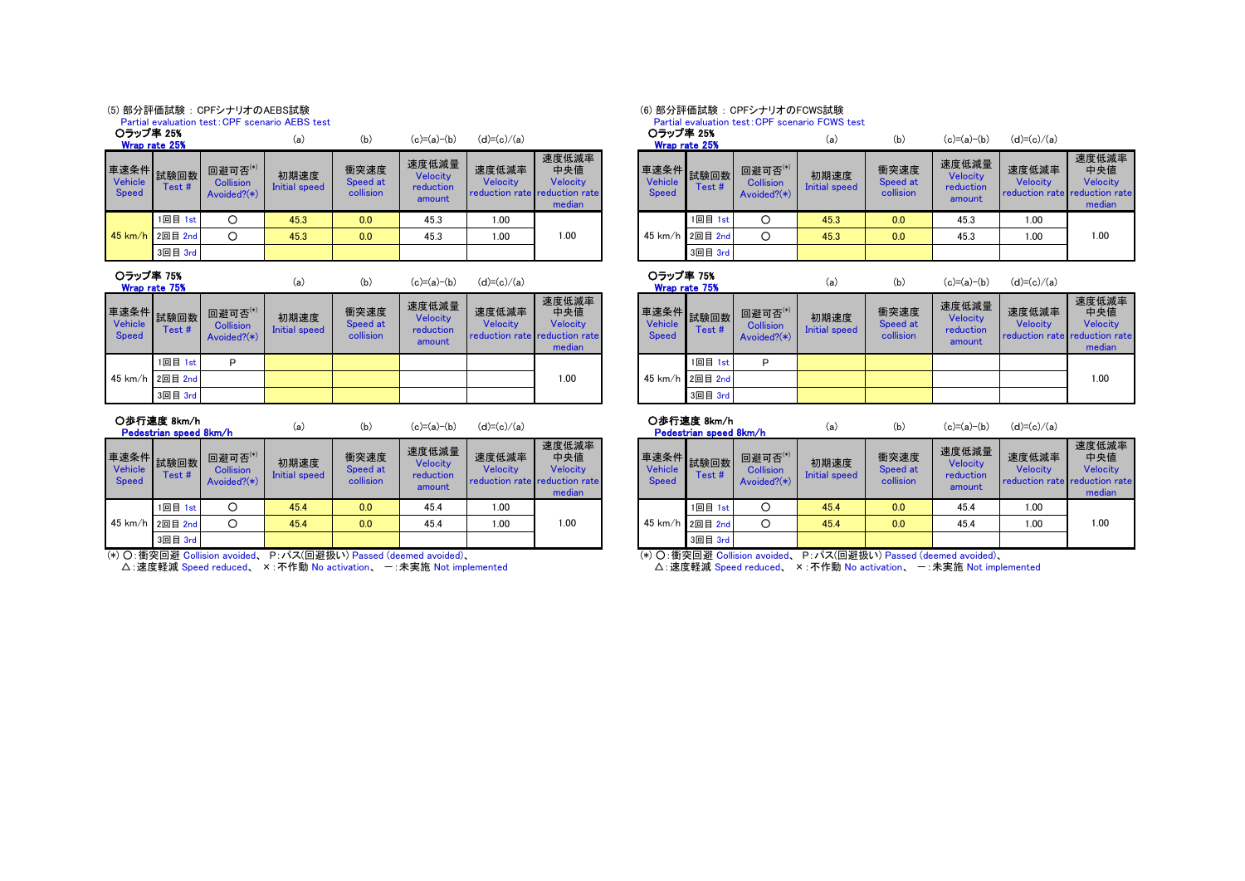## (5) 部分評価試験 : CPFシナリオのAEBS試験

Partial evaluation test:CPF scenario AEBS test

○ラップ率 25%

| ---------        | Wrap rate 25% |                                               | (a)                   | (b)                           | $(c)=(a)-(b)$                            | $(d)=(c)/(a)$                                      |                                    | Wrap rate 25%           |                         |                                                     | (a)                   | (b)                           | (c)=(a)−(b)                                     | $(d)=(c)/(a)$                                        |                              |
|------------------|---------------|-----------------------------------------------|-----------------------|-------------------------------|------------------------------------------|----------------------------------------------------|------------------------------------|-------------------------|-------------------------|-----------------------------------------------------|-----------------------|-------------------------------|-------------------------------------------------|------------------------------------------------------|------------------------------|
| Vehicle<br>Speed | Test#         | 回避可否(*)<br><b>Collision</b><br>Avoided? $(*)$ | 初期速度<br>Initial speed | 衝突速度<br>Speed at<br>collision | 速度低減量<br>Velocitv<br>reduction<br>amount | 速度低減率<br>Velocity<br>reduction rate reduction rate | 速度低減率<br>中央値<br>Velocity<br>median | Vehicle<br><b>Speed</b> | ■車速条件 試験回数 ■一<br>Test # | 回避可否 $^{(*)}$<br><b>Collision</b><br>Avoided? $(*)$ | 初期速度<br>Initial speed | 衝突速度<br>Speed at<br>collision | 速度低減量<br><b>Velocity</b><br>reduction<br>amount | 速度低減率<br><b>Velocity</b><br>reduction rate reduction | 速度低:<br>中央<br>Veloc<br>media |
|                  | 1回目 1st       |                                               | 45.3                  | 0.0                           | 45.3                                     | 1.00                                               |                                    |                         | 1回目 1st                 |                                                     | 45.3                  | 0.0                           | 45.3                                            | 1.00                                                 |                              |
| 45 km/h 2回目 2nd  |               |                                               | 45.3                  | 0.0                           | 45.3                                     | 1.00                                               | 1.00                               | 45 km/h 2回目 2nd         |                         |                                                     | 45.3                  | 0.0                           | 45.3                                            | 1.00                                                 | 1.00                         |
|                  | 3回目 3rd       |                                               |                       |                               |                                          |                                                    |                                    |                         | 3回目 3rd                 |                                                     |                       |                               |                                                 |                                                      |                              |

○ラップ率 75%

|                  | Wrap rate 75%          |                                               | (a)                   | (b)                           | $(c)=(a)-(b)$                            | $(d)=(c)/(a)$     |                                                                            |      |                         | Wrap rate 75%      |                                            | (a)                   | (b)                           | $(c)=(a)-(b)$                                   | $(d)=(c)/(a)$                     |
|------------------|------------------------|-----------------------------------------------|-----------------------|-------------------------------|------------------------------------------|-------------------|----------------------------------------------------------------------------|------|-------------------------|--------------------|--------------------------------------------|-----------------------|-------------------------------|-------------------------------------------------|-----------------------------------|
| Vehicle<br>Speed | ★束条件 試験回数   ★<br>Test# | 回避可否(*)<br><b>Collision</b><br>Avoided? $(*)$ | 初期速度<br>Initial speed | 衝突速度<br>Speed at<br>collision | 速度低減量<br>Velocity<br>reduction<br>amount | 速度低減率<br>Velocity | 速度低減率<br>中央値<br><b>Velocity</b><br>reduction rate reduction rate<br>median |      | Vehicle<br><b>Speed</b> | 車速条件就験回数<br>Test # | 回避可否(*)<br><b>Collision</b><br>Avoided?(*) | 初期速度<br>Initial speed | 衝突速度<br>Speed at<br>collision | 速度低減量<br><b>Velocity</b><br>reduction<br>amount | 速度低減率<br>Velocity<br>reduction ra |
|                  | 1回目 1st                | D                                             |                       |                               |                                          |                   |                                                                            | 1.00 |                         | 1回目 1st            | D                                          |                       |                               |                                                 |                                   |
|                  | 45 km/h 2回目 2nd        |                                               |                       |                               |                                          |                   |                                                                            |      |                         | 45 km/h 2回目 2nd    |                                            |                       |                               |                                                 |                                   |
|                  | 3回目 3rd                |                                               |                       |                               |                                          |                   |                                                                            |      |                         | 3回目 3rd            |                                            |                       |                               |                                                 |                                   |

○歩行速度 8km/h

試験回数 Test #

車速条件 **Vehicle** Speed

Pedestrian speed 8km/h

| <b>Contract Contract Contract Contract Contract Contract Contract Contract Contract Contract Contract Contract Co</b> | ų |  |  |  |
|-----------------------------------------------------------------------------------------------------------------------|---|--|--|--|
|                                                                                                                       |   |  |  |  |
|                                                                                                                       |   |  |  |  |
|                                                                                                                       |   |  |  |  |

Avoided?(\*)

| I |  |
|---|--|
|   |  |
|   |  |
|   |  |
|   |  |
|   |  |
|   |  |
|   |  |
|   |  |
|   |  |
|   |  |

|  | <b>College</b> |  |
|--|----------------|--|
|  |                |  |

| $\sim$ |  |
|--------|--|
|        |  |
|        |  |

| $\frac{1}{2}$ |  |
|---------------|--|

| $\sim$ |  |
|--------|--|

| <b>College</b> |  |
|----------------|--|
|                |  |

| <b>TELEVISION</b> |  |
|-------------------|--|
|                   |  |
|                   |  |
|                   |  |

| an F |  |
|------|--|
|      |  |
|      |  |
|      |  |

| $\sim$ 1 |  |
|----------|--|
|          |  |
|          |  |

| I |  |
|---|--|
|   |  |
|   |  |

| I |  |
|---|--|
|   |  |
|   |  |

| I |  |
|---|--|
|   |  |
|   |  |

| a Ta |  |  |
|------|--|--|
|      |  |  |
|      |  |  |
|      |  |  |
|      |  |  |

| <b>College</b> |  |
|----------------|--|
|                |  |

| ı |  |  |  |
|---|--|--|--|
|   |  |  |  |

(\*) ○:衝突回避 Collision avoided、 P:パス(回避扱い) Passed (deemed avoided)、

| $\left  \cdot \right $ |  |  |
|------------------------|--|--|
|                        |  |  |

| $(*)$ |  |
|-------|--|
|       |  |

| $(*)$ | $\sim$ |
|-------|--------|
|       |        |

| (x) |  |
|-----|--|
|     |  |

| $\overline{\phantom{a}}$ |  |
|--------------------------|--|

| I |  |
|---|--|
|   |  |
|   |  |

| I |  |
|---|--|
|   |  |
|   |  |

|  | $\pm$ |  |  |
|--|-------|--|--|
|  |       |  |  |
|  |       |  |  |
|  |       |  |  |
|  |       |  |  |
|  |       |  |  |
|  |       |  |  |

| (x) |  |
|-----|--|
|     |  |

| $\vert$ |  |  |
|---------|--|--|
|         |  |  |

| $\left  \right $ |  |
|------------------|--|
|                  |  |

| $\bullet$ $\qquad \qquad$ |  |  |
|---------------------------|--|--|
|                           |  |  |

| 之刀甘日 |
|------|

| 初期 |  |
|----|--|
|    |  |

| 回避可否""    | 初 |
|-----------|---|
| Collision |   |

|  | $\begin{array}{c c} \hline \end{array}$ |
|--|-----------------------------------------|
|  |                                         |

| $\mathbf{L}$ |  |  |
|--------------|--|--|

| $\boldsymbol{\pi}^{(*)}$ |  |
|--------------------------|--|
|                          |  |

| $1 - 117$ |  |
|-----------|--|

| I |           |  |
|---|-----------|--|
|   | $L = 440$ |  |

| ı |  |  |
|---|--|--|
|   |  |  |

| $(*)$ |  |
|-------|--|
|       |  |

| $\mathbf{L}$ |  |
|--------------|--|

| 回避可 |  |
|-----|--|

| $(*)$<br>◢<br>c |  |
|-----------------|--|

| $\ast$ ) |  |
|----------|--|
|          |  |

# 速度低減量

## 初期速度 Initial speed 衝突速度 Speed at **Velocity** reduction 速度低減率 **Velocity**

## collision amount reduction rate

# 1回目 1st | 〇 | 45.4 | 0.0 | 45.4 | 1.00 | | | | | | | | 1回目 1st | 〇 | 45.4 | 0.0 | 45.4 | 1.00

2回目 2nd | 〇 <mark> 45.4 0.0 </mark> 45.4 | 1.00 | 1.00 | | 45 km/h | 2回目 2nd | 〇 | 45.4 | 0.0 | 45.4 | 1.00 3回目 3rd 3回目 3rd 45 km/h 2回目 2nd 〇 <mark> 45.4 0.0 </mark> 45.4 1 .00 1 .00 45 km/h 2回目 2nd 〇 45.4 0.0 1 .00 1.00

△: 速度軽減 Speed reduced、 ×: 不作動 No activation、 一: 未実施 Not implemented

(6) 部分評価試験 : CPFシナリオのFCWS試験

Partial evaluation test:CPF scenario FCWS test

 ○ラップ率 25% Wrap rate 25%

| <b>Tarbo</b> | $4 +$ |
|--------------|-------|

| $\mathbb B$ 避可否 $^{(*)}$<br>Collision<br>voided?(*) | 初期速度<br><b>Initial speed</b> | 衝突速度<br>Speed at<br>collision |
|-----------------------------------------------------|------------------------------|-------------------------------|
|-----------------------------------------------------|------------------------------|-------------------------------|

初期速度 Initial speed

(\*) ○:衝突回避 Collision avoided、 P:パス(回避扱い) Passed (deemed avoided)、

△: 速度軽減 Speed reduced、 ×: 不作動 No activation、 一: 未実施 Not implemented

| ᅜᆷᅏ<br>st#         | <b>Collision</b><br>Avoided? $(*)$ | 汹冽还这<br>Initial speed | Speed at<br>collision | <b>VEIUGILY</b><br>reduction<br>amount | <b>Velocity</b><br>reduction rate reduction rate | <b>Velocity</b><br>median |
|--------------------|------------------------------------|-----------------------|-----------------------|----------------------------------------|--------------------------------------------------|---------------------------|
| $\blacksquare$ 1st |                                    | 45.3                  | 0.0                   | 45.3                                   | 0.00                                             |                           |
| $\exists$ 2nd      |                                    | 45.3                  | 0.0                   | 45.3                                   | 00.1                                             | 1.00                      |
|                    |                                    |                       |                       |                                        |                                                  |                           |

速度低減量 **Velocity** reduction amount

速度低減率 **Velocity** reduction rate 速度低減率 中央値

速度低減率

速度低減率 中央値 **Velocity** reduction rate median

| ○ラップ率 75% |      |
|-----------|------|
|           | ---- |

速度低減率 中央値 **Velocity** reduction rate median

# 回避可否 $^{(*)}$ 初期速度 Wrap rate 75%

| <b>Vehicle</b><br><b>Speed</b> | <sub>——————————————————————————————</sub><br>■速条件 ä說回数<br>Test# | 回避可否(*)<br><b>Collision</b><br>Avoided?(*) | 初期速度<br>Initial speed | 衝突速度<br>Speed at<br>collision | 速度低減量<br><b>Velocity</b><br>reduction<br>amount | 速度低減率<br>Velocity<br>reduction rate reduction rate | 心义心心一<br>中央値<br>Velocity<br>median |
|--------------------------------|-----------------------------------------------------------------|--------------------------------------------|-----------------------|-------------------------------|-------------------------------------------------|----------------------------------------------------|------------------------------------|
|                                | 1回目 1st                                                         | D                                          |                       |                               |                                                 |                                                    |                                    |
|                                | 45 km/h 2回目 2nd                                                 |                                            |                       |                               |                                                 |                                                    | 1.00                               |
|                                | 3回目 3rd                                                         |                                            |                       |                               |                                                 |                                                    |                                    |

衝突速度 Speed at collision

# O歩行

車速条件 **Vehicle** Speed

| ۰a) | (b) | $(c)=(a)-(b)$ | $(d)=(c)/(a)$ |  | Pedestrian | 〇歩行速度 8km/h | . .<br>speed 8km/h | ۱a) | (b. | -(a)-(b)<br>(c)= | $(d)=(c)/(a)$ |
|-----|-----|---------------|---------------|--|------------|-------------|--------------------|-----|-----|------------------|---------------|
|     |     |               |               |  |            |             |                    |     |     |                  |               |

回避可否 $($ \* **Collision** Avoided?(\*)

試験回数 Test #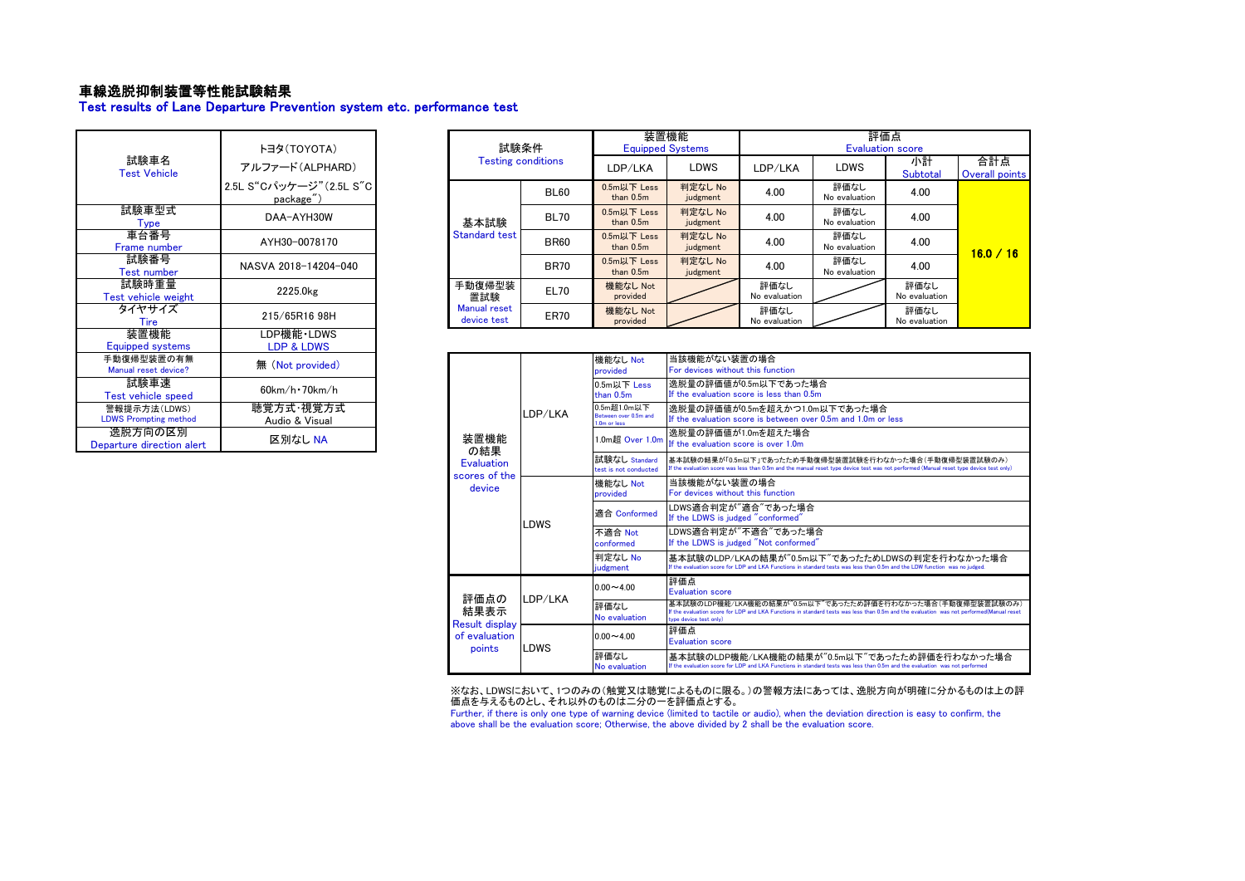# 車線逸脱抑制装置等性能試験結果

Test results of Lane Departure Prevention system etc. performance test

| 試験車名<br><b>Test Vehicle</b>                  | トヨタ(TOYOTA)<br>アルファード (ALPHARD)<br>2.5L S"Cパッケージ"(2.5L S"C<br>package") |
|----------------------------------------------|-------------------------------------------------------------------------|
| 試験車型式<br>Type                                | DAA-AYH30W                                                              |
| 車台番号<br>Frame number                         | AYH30-0078170                                                           |
| 試験番号<br><b>Test number</b>                   | NASVA 2018-14204-040                                                    |
| 試験時重量<br>Test vehicle weight                 | 2225.0kg                                                                |
| タイヤサイズ<br>Tire                               | 215/65R16 98H                                                           |
| 装置機能<br><b>Equipped systems</b>              | LDP機能·LDWS<br><b>LDP &amp; LDWS</b>                                     |
| 手動復帰型装置の有無<br>Manual reset device?           | 無 (Not provided)                                                        |
| 試験車速<br><b>Test vehicle speed</b>            | $60km/h \cdot 70km/h$                                                   |
| 警報提示方法(LDWS)<br><b>LDWS Prompting method</b> | 聴覚方式・視覚方式<br>Audio & Visual                                             |
| 逸脱方向の区別<br>Departure direction alert         | 区別なし NA                                                                 |

|                                   |                                    |                           |                            | 装置機能                |                       | 評価点                   |                       |                       |  |
|-----------------------------------|------------------------------------|---------------------------|----------------------------|---------------------|-----------------------|-----------------------|-----------------------|-----------------------|--|
| トヨタ(TOYOTA)                       |                                    | 試験条件                      | <b>Equipped Systems</b>    |                     | Evaluation score      |                       |                       |                       |  |
| アルファード (ALPHARD)                  |                                    | <b>Testing conditions</b> |                            | LDWS                | LDP/LKA               | <b>LDWS</b>           | 小計<br>Subtotal        | 合計点<br>Overall points |  |
| L S"Cパッケージ"(2.5L S"C<br>package") |                                    | <b>BL60</b>               | 0.5m以下 Less<br>than $0.5m$ | 判定なし No<br>judgment | 4.00                  | 評価なし<br>No evaluation | 4.00                  |                       |  |
| DAA-AYH30W                        | 基本試験                               | <b>BL70</b>               | 0.5m以下 Less<br>than $0.5m$ | 判定なし No<br>judgment | 4.00                  | 評価なし<br>No evaluation | 4.00                  |                       |  |
| AYH30-0078170                     | Standard test                      | <b>BR60</b>               | 0.5m以下 Less<br>than $0.5m$ | 判定なし No<br>judgment | 4.00                  | 評価なし<br>No evaluation | 4.00                  | 16.0 / 16             |  |
| NASVA 2018-14204-040              |                                    | <b>BR70</b>               | 0.5m以下 Less<br>than $0.5m$ | 判定なし No<br>judgment | 4.00                  | 評価なし<br>No evaluation | 4.00                  |                       |  |
| 2225.0kg                          | 手動復帰型装<br>置試験                      | <b>EL70</b>               | 機能なし Not<br>provided       |                     | 評価なし<br>No evaluation |                       | 評価なし<br>No evaluation |                       |  |
| 215/65R16 98H                     | <b>Manual reset</b><br>device test | <b>ER70</b>               | 機能なし Not<br>provided       |                     | 評価なし<br>No evaluation |                       | 評価なし<br>No evaluation |                       |  |

| 無 (Not provided)            |                             |                                                                  | LDP/LKA                                | 機能なし Not<br>provided                                                                                                                                                                             | 当該機能がない装置の場合<br>For devices without this function                                                                                                                                                                                |
|-----------------------------|-----------------------------|------------------------------------------------------------------|----------------------------------------|--------------------------------------------------------------------------------------------------------------------------------------------------------------------------------------------------|----------------------------------------------------------------------------------------------------------------------------------------------------------------------------------------------------------------------------------|
| $60$ km/h $\cdot$ 70km/h    |                             |                                                                  |                                        | 0.5m以下 Less<br>than $0.5m$                                                                                                                                                                       | 逸脱暈の評価値が0.5m以下であった場合<br>If the evaluation score is less than 0.5m                                                                                                                                                                |
| 恵覚方式·視覚方式<br>Audio & Visual |                             |                                                                  |                                        | 0.5m超1.0m以下<br>Between over 0.5m and<br>1.0m or less                                                                                                                                             | 逸脱量の評価値が0.5mを超えかつ1.0m以下であった場合<br>If the evaluation score is between over 0.5m and 1.0m or less                                                                                                                                   |
| 区別なし NA                     |                             | 装置機能<br>の結果                                                      |                                        | 1.0m超 Over 1.0m                                                                                                                                                                                  | 逸脱量の評価値が1.0mを超えた場合<br>If the evaluation score is over 1.0m                                                                                                                                                                       |
|                             | Evaluation<br>scores of the |                                                                  | 試験なし Standard<br>test is not conducted | 基本試験の結果が「0.5m以下」であったため手動復帰型装置試験を行わなかった場合(手動復帰型装置試験のみ)<br>If the evaluation score was less than 0.5m and the manual reset type device test was not performed (Manual reset type device test only) |                                                                                                                                                                                                                                  |
|                             |                             | device                                                           |                                        | 機能なし Not<br>provided                                                                                                                                                                             | 当該機能がない装置の場合<br>For devices without this function                                                                                                                                                                                |
|                             |                             |                                                                  | LDWS                                   | 適合 Conformed                                                                                                                                                                                     | LDWS適合判定が"適合"であった場合<br>If the LDWS is judged "conformed"                                                                                                                                                                         |
|                             |                             |                                                                  |                                        | 不適合 Not<br>conformed                                                                                                                                                                             | LDWS適合判定が"不適合"であった場合<br>If the LDWS is judged "Not conformed"                                                                                                                                                                    |
|                             |                             |                                                                  |                                        | 判定なし No<br>judgment                                                                                                                                                                              | 基本試験のLDP/LKAの結果が"0.5m以下"であったためLDWSの判定を行わなかった場合<br>If the evaluation score for LDP and LKA Functions in standard tests was less than 0.5m and the LDW function was no judged.                                                     |
|                             |                             | 評価点の<br>結果表示<br><b>Result display</b><br>of evaluation<br>points | LDP/LKA                                | $0.00 - 4.00$                                                                                                                                                                                    | 評価点<br><b>Evaluation score</b>                                                                                                                                                                                                   |
|                             |                             |                                                                  |                                        | 評価なし<br>No evaluation                                                                                                                                                                            | 基本試験のLDP機能/LKA機能の結果が"0.5m以下"であったため評価を行わなかった場合(手動復帰型装置試験のみ)<br>If the evaluation score for LDP and LKA Functions in standard tests was less than 0.5m and the evaluation was not performed(Manual reset<br>type device test only) |
|                             |                             |                                                                  | <b>LDWS</b>                            | $0.00 - 4.00$                                                                                                                                                                                    | 評価点<br><b>Evaluation score</b>                                                                                                                                                                                                   |
|                             |                             |                                                                  |                                        | 評価なし<br>No evaluation                                                                                                                                                                            | 基本試験のLDP機能/LKA機能の結果が"0.5m以下"であったため評価を行わなかった場合<br>If the evaluation score for LDP and LKA Functions in standard tests was less than 0.5m and the evaluation was not performed                                                     |

※なお、LDWSにおいて、1つのみの(触覚又は聴覚によるものに限る。)の警報方法にあっては、逸脱方向が明確に分かるものは上の評 価点を与えるものとし、それ以外のものは二分の一を評価点とする。

Further, if there is only one type of warning device (limited to tactile or audio), when the deviation direction is easy to confirm, the above shall be the evaluation score; Otherwise, the above divided by 2 shall be the evaluation score.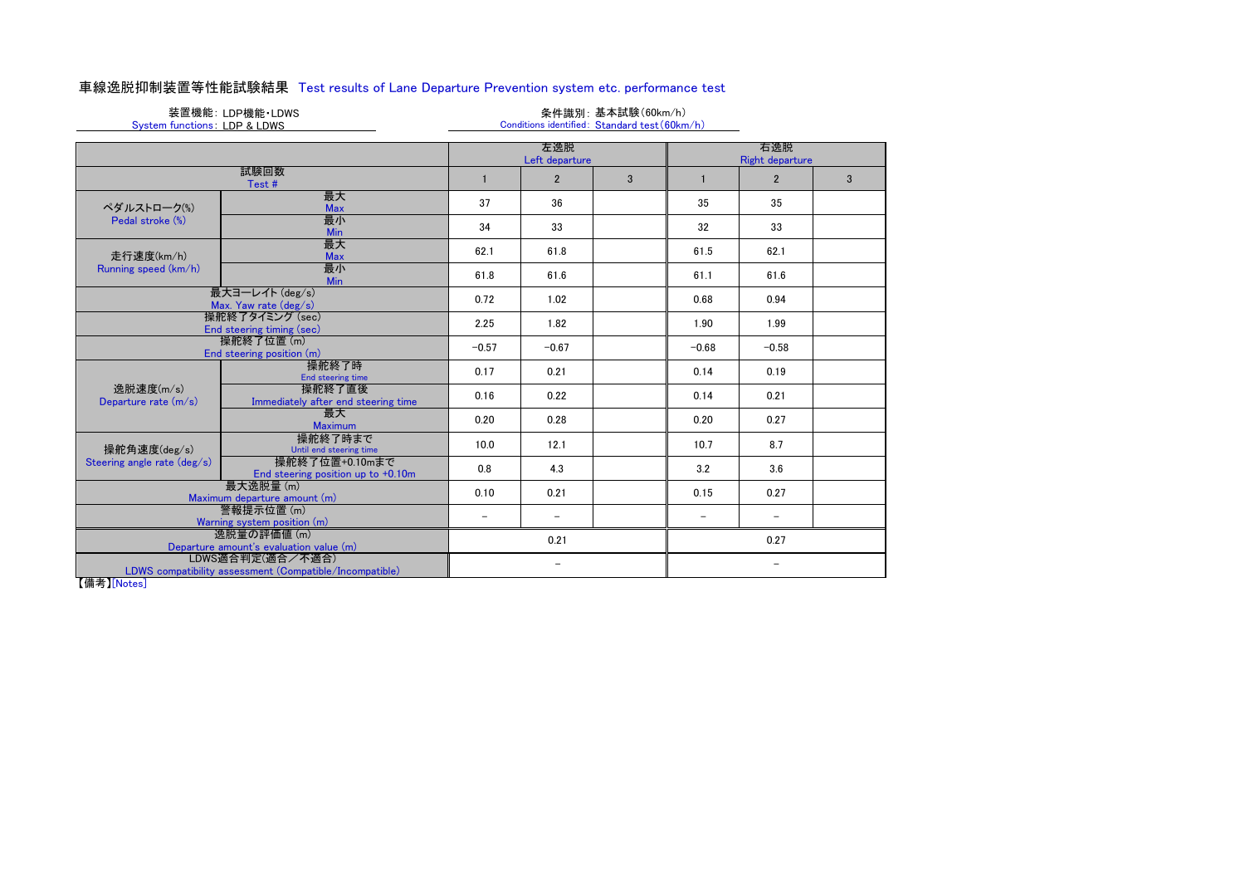# 車線逸脱抑制装置等性能試験結果 Test results of Lane Departure Prevention system etc. performance test

| 装置機能:LDP機能・LDWS              | 条件識別:基本試験(60km/h)                                 |  |
|------------------------------|---------------------------------------------------|--|
| System functions: LDP & LDWS | Conditions identified: $Standard$ test $(60km/h)$ |  |

|                                     |                                                                             | 左逸脱<br>Left departure |                          |   | 右逸脱<br><b>Right departure</b> |                          |   |
|-------------------------------------|-----------------------------------------------------------------------------|-----------------------|--------------------------|---|-------------------------------|--------------------------|---|
|                                     | 試験回数<br>Test#                                                               | 1                     | $\overline{2}$           | 3 | 1                             | $\overline{2}$           | 3 |
| ペダルストローク(%)                         | 最大<br><b>Max</b>                                                            | 37                    | 36                       |   | 35                            | 35                       |   |
| Pedal stroke (%)                    | 最小<br>Min                                                                   | 34                    | 33                       |   | 32                            | 33                       |   |
| 走行速度(km/h)                          | 最大<br><b>Max</b>                                                            | 62.1                  | 61.8                     |   | 61.5                          | 62.1                     |   |
| Running speed (km/h)                | 最小<br>Min                                                                   | 61.8                  | 61.6                     |   | 61.1                          | 61.6                     |   |
|                                     | 最大ヨーレイト (deg/s)<br>Max. Yaw rate $\frac{deg}{s}$                            | 0.72                  | 1.02                     |   | 0.68                          | 0.94                     |   |
|                                     | 操舵終了タイミング (sec)<br>End steering timing (sec)                                | 2.25                  | 1.82                     |   | 1.90                          | 1.99                     |   |
|                                     | 操舵終了位置(m)<br>End steering position (m)                                      | $-0.57$               | $-0.67$                  |   | $-0.68$                       | $-0.58$                  |   |
|                                     | 操舵終了時<br>End steering time                                                  | 0.17                  | 0.21                     |   | 0.14                          | 0.19                     |   |
| 逸脱速度(m/s)<br>Departure rate $(m/s)$ | 操舵終了直後<br>Immediately after end steering time                               | 0.16                  | 0.22                     |   | 0.14                          | 0.21                     |   |
|                                     | 最大<br><b>Maximum</b>                                                        | 0.20                  | 0.28                     |   | 0.20                          | 0.27                     |   |
| 操舵角速度(deg/s)                        | 操舵終了時まで<br>Until end steering time                                          | 10.0                  | 12.1                     |   | 10.7                          | 8.7                      |   |
| Steering angle rate (deg/s)         | 操舵終了位置+0.10mまで<br>End steering position up to +0.10m                        | 0.8                   | 4.3                      |   | 3.2                           | 3.6                      |   |
|                                     | 最大逸脱量(m)<br>Maximum departure amount (m)                                    | 0.10                  | 0.21                     |   | 0.15                          | 0.27                     |   |
|                                     | 警報提示位置 (m)<br>Warning system position (m)                                   |                       | $\overline{\phantom{0}}$ |   |                               | $\qquad \qquad -$        |   |
|                                     | 逸脱量の評価値 (m)<br>Departure amount's evaluation value (m)                      |                       | 0.21                     |   |                               | 0.27                     |   |
|                                     | LDWS適合判定(適合/不適合)<br>LDWS compatibility assessment (Compatible/Incompatible) |                       | $\overline{\phantom{m}}$ |   |                               | $\overline{\phantom{a}}$ |   |

【備考】[Notes]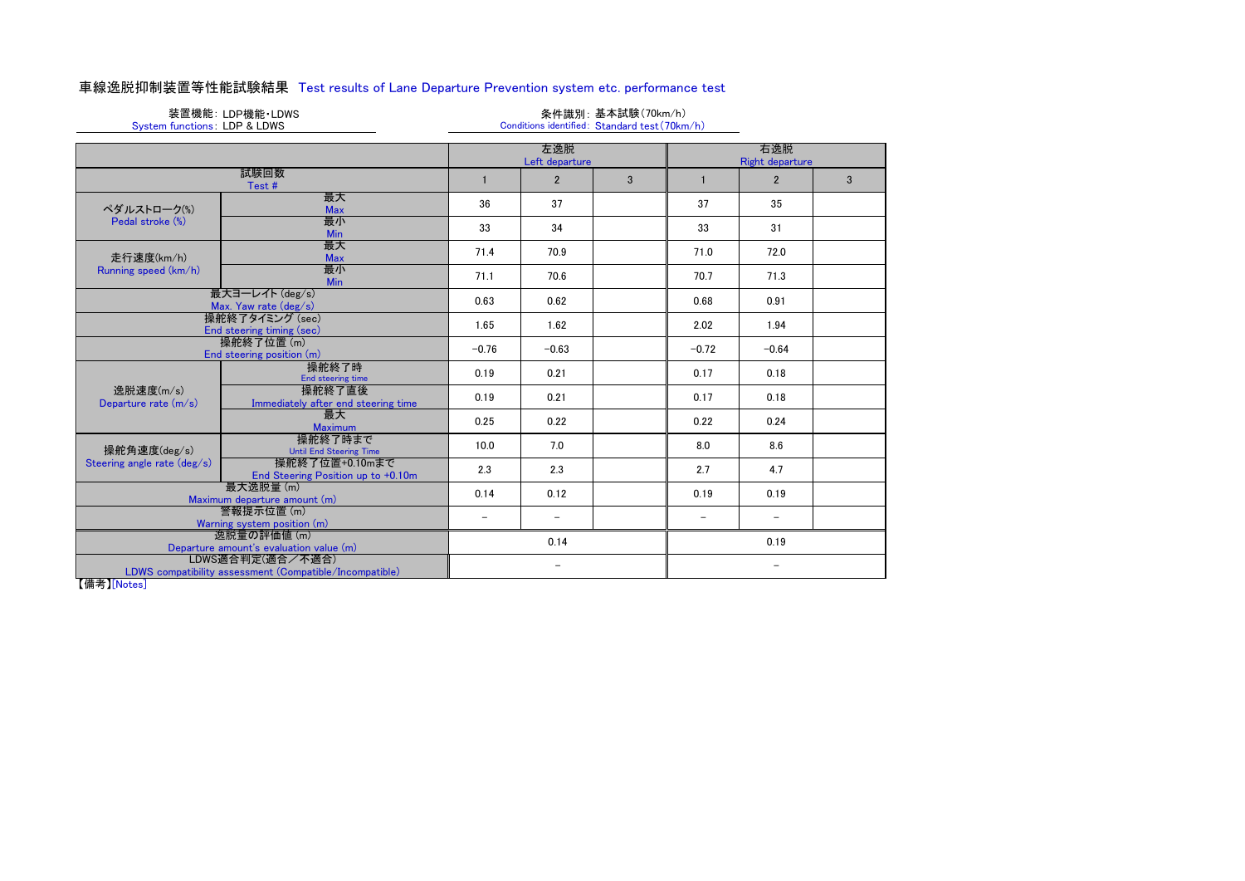# 車線逸脱抑制装置等性能試験結果 Test results of Lane Departure Prevention system etc. performance test

LDP機能・LDWS LDP & LDWS 装置機能: System functions:

条件識別:基本試験(70km/h)<br>Conditions identified: Standard test(70km Standard test(70km/h)

|                                     |                                                                             |                | 左逸脱<br>Left departure |   |              | 右逸脱<br><b>Right departure</b> |   |
|-------------------------------------|-----------------------------------------------------------------------------|----------------|-----------------------|---|--------------|-------------------------------|---|
|                                     | 試験回数<br>Test#                                                               | $\blacksquare$ | $\overline{2}$        | 3 | $\mathbf{1}$ | $\overline{2}$                | 3 |
| ペダルストローク(%)                         | 最大<br><b>Max</b>                                                            | 36             | 37                    |   | 37           | 35                            |   |
| Pedal stroke (%)                    | 最小<br>Min                                                                   | 33             | 34                    |   | 33           | 31                            |   |
| 走行速度(km/h)                          | 最大<br><b>Max</b>                                                            | 71.4           | 70.9                  |   | 71.0         | 72.0                          |   |
| Running speed (km/h)                | 最小<br><b>Min</b>                                                            | 71.1           | 70.6                  |   | 70.7         | 71.3                          |   |
|                                     | 最大ヨーレイト (deg/s)<br>Max. Yaw rate (deg/s)                                    | 0.63           | 0.62                  |   | 0.68         | 0.91                          |   |
|                                     | 操舵終了タイミング (sec)<br>End steering timing (sec)                                | 1.65           | 1.62                  |   | 2.02         | 1.94                          |   |
|                                     | 操舵終了位置(m)<br>End steering position (m)                                      | $-0.76$        | $-0.63$               |   | $-0.72$      | $-0.64$                       |   |
|                                     | 操舵終了時<br>End steering time                                                  | 0.19           | 0.21                  |   | 0.17         | 0.18                          |   |
| 逸脱速度(m/s)<br>Departure rate $(m/s)$ | 操舵終了直後<br>Immediately after end steering time                               | 0.19           | 0.21                  |   | 0.17         | 0.18                          |   |
|                                     | 最大<br><b>Maximum</b>                                                        | 0.25           | 0.22                  |   | 0.22         | 0.24                          |   |
| 操舵角速度(deg/s)                        | 操舵終了時まで<br><b>Until End Steering Time</b>                                   | 10.0           | 7.0                   |   | 8.0          | 8.6                           |   |
| Steering angle rate (deg/s)         | 操舵終了位置+0.10mまで<br>End Steering Position up to +0.10m                        | 2.3            | 2.3                   |   | 2.7          | 4.7                           |   |
|                                     | 最大逸脱量(m)<br>Maximum departure amount (m)                                    | 0.14           | 0.12                  |   | 0.19         | 0.19                          |   |
|                                     | 警報提示位置 (m)<br>Warning system position (m)                                   |                | -                     |   | -            | $\qquad \qquad -$             |   |
|                                     | 逸脱量の評価値 (m)<br>Departure amount's evaluation value (m)                      |                | 0.14                  |   |              | 0.19                          |   |
|                                     | LDWS適合判定(適合/不適合)<br>LDWS compatibility assessment (Compatible/Incompatible) |                | $\qquad \qquad -$     |   |              | $\qquad \qquad -$             |   |

【備考】[Notes]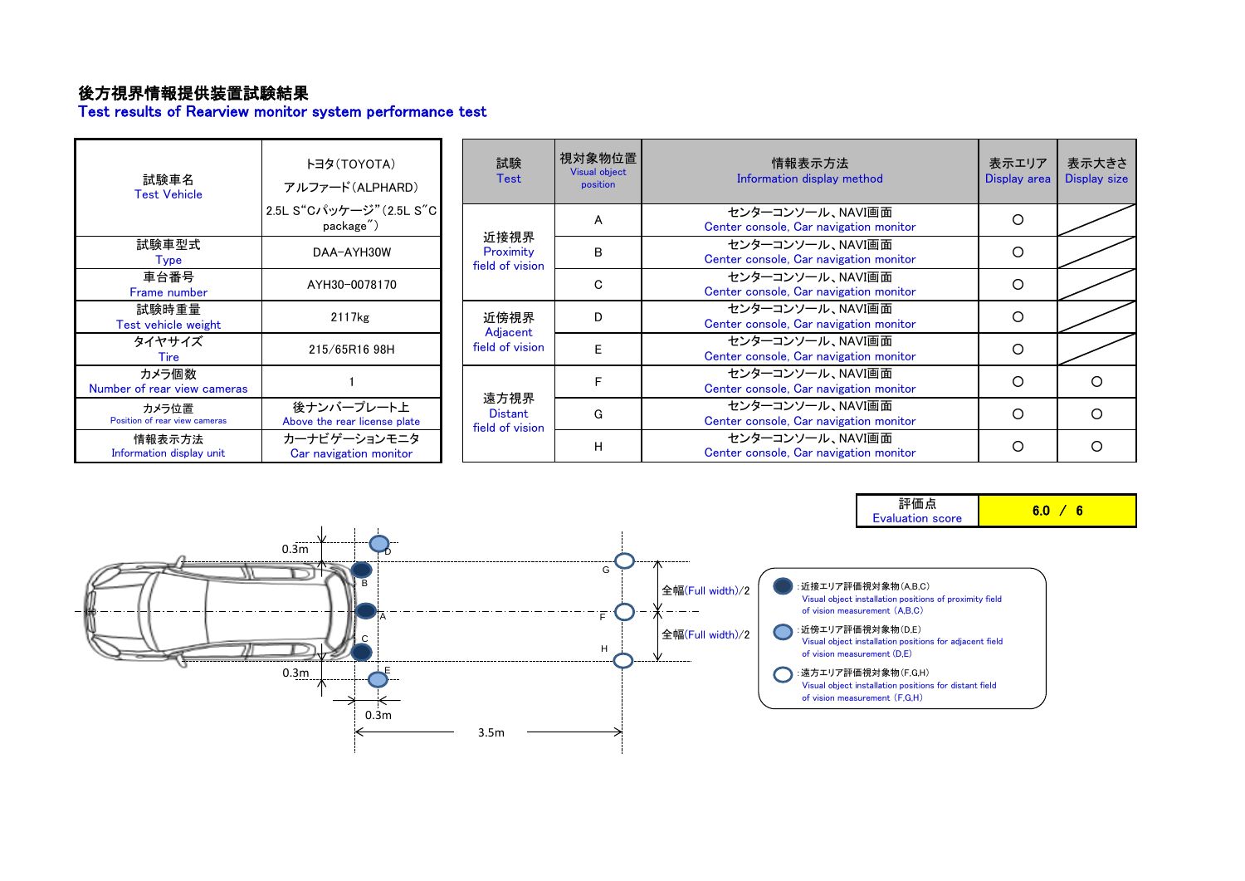# 後方視界情報提供装置試験結果

Test results of Rearview monitor system performance test

| 試験車名<br><b>Test Vehicle</b>            | トヨタ(TOYOTA)<br>アルファード (ALPHARD)            | 試験<br><b>Test</b>                         | 視対象物位置<br><b>Visual object</b><br>position | 情報表示方法<br>Information display method                       | 表示エリア<br>Display area | 表示大きさ<br>Display size |
|----------------------------------------|--------------------------------------------|-------------------------------------------|--------------------------------------------|------------------------------------------------------------|-----------------------|-----------------------|
|                                        | 2.5L S"Cパッケージ"(2.5L S"C<br>package")       | 近接視界                                      | A                                          | センターコンソール、NAVI画面<br>Center console, Car navigation monitor | O                     |                       |
| 試験車型式<br>Type                          | DAA-AYH30W                                 | Proximity<br>field of vision              | B                                          | センターコンソール、NAVI画面<br>Center console, Car navigation monitor | O                     |                       |
| 車台番号<br>Frame number                   | AYH30-0078170                              |                                           | C                                          | センターコンソール、NAVI画面<br>Center console, Car navigation monitor | Ο                     |                       |
| 試験時重量<br>Test vehicle weight           | 2117 <sub>kg</sub>                         | 近傍視界<br>Adjacent                          | D                                          | センターコンソール、NAVI画面<br>Center console, Car navigation monitor | Ω                     |                       |
| タイヤサイズ<br><b>Tire</b>                  | 215/65R16 98H                              | field of vision                           |                                            | センターコンソール、NAVI画面<br>Center console, Car navigation monitor | O                     |                       |
| カメラ個数<br>Number of rear view cameras   |                                            |                                           |                                            | センターコンソール、NAVI画面<br>Center console, Car navigation monitor | O                     |                       |
| カメラ位置<br>Position of rear view cameras | 後ナンバープレート上<br>Above the rear license plate | 遠方視界<br><b>Distant</b><br>field of vision | G                                          | センターコンソール、NAVI画面<br>Center console, Car navigation monitor | Ω                     |                       |
| 情報表示方法<br>Information display unit     | カーナビゲーションモニタ<br>Car navigation monitor     |                                           | H                                          | センターコンソール、NAVI画面<br>Center console, Car navigation monitor | Ω                     | Ω                     |

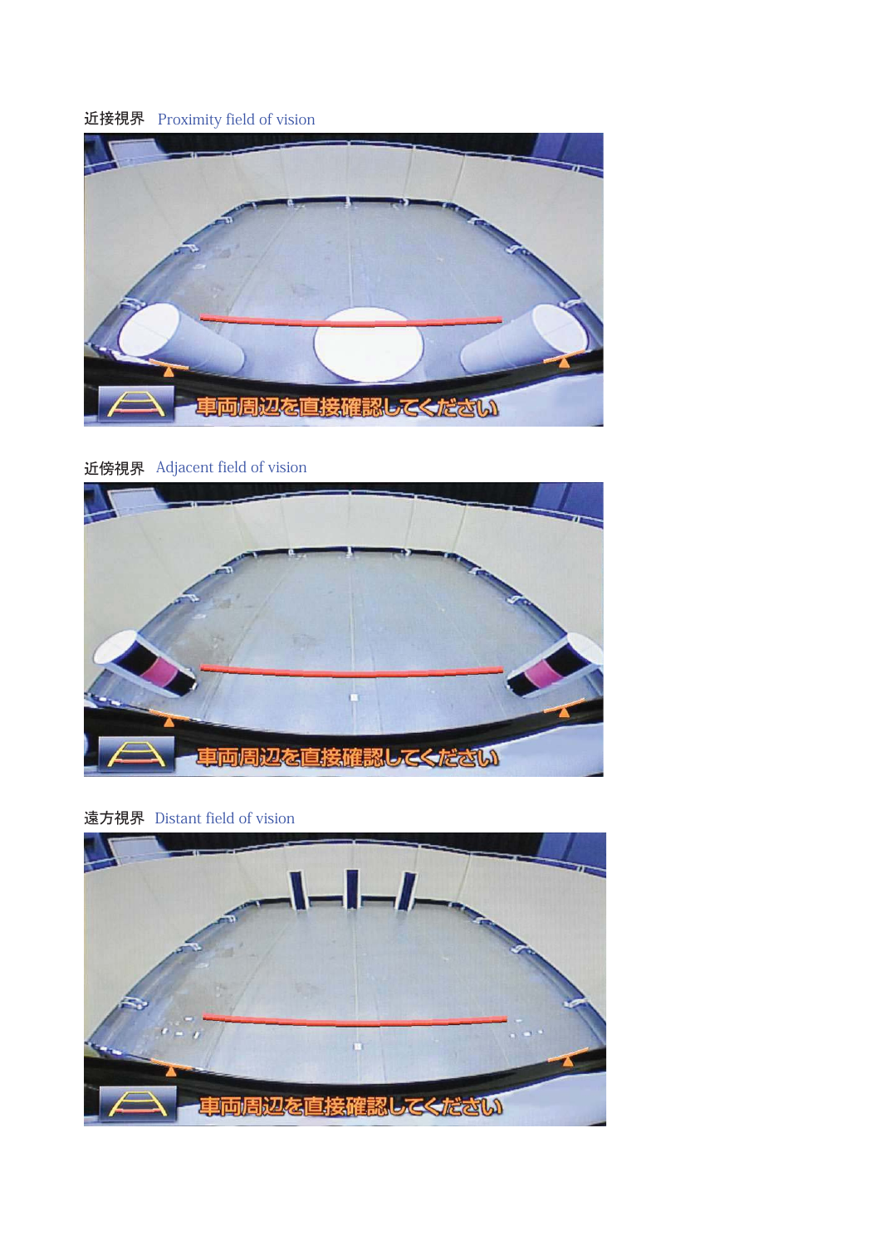# 近接視界 Proximity field of vision



# 近傍視界 Adjacent field of vision



遠方視界 Distant field of vision

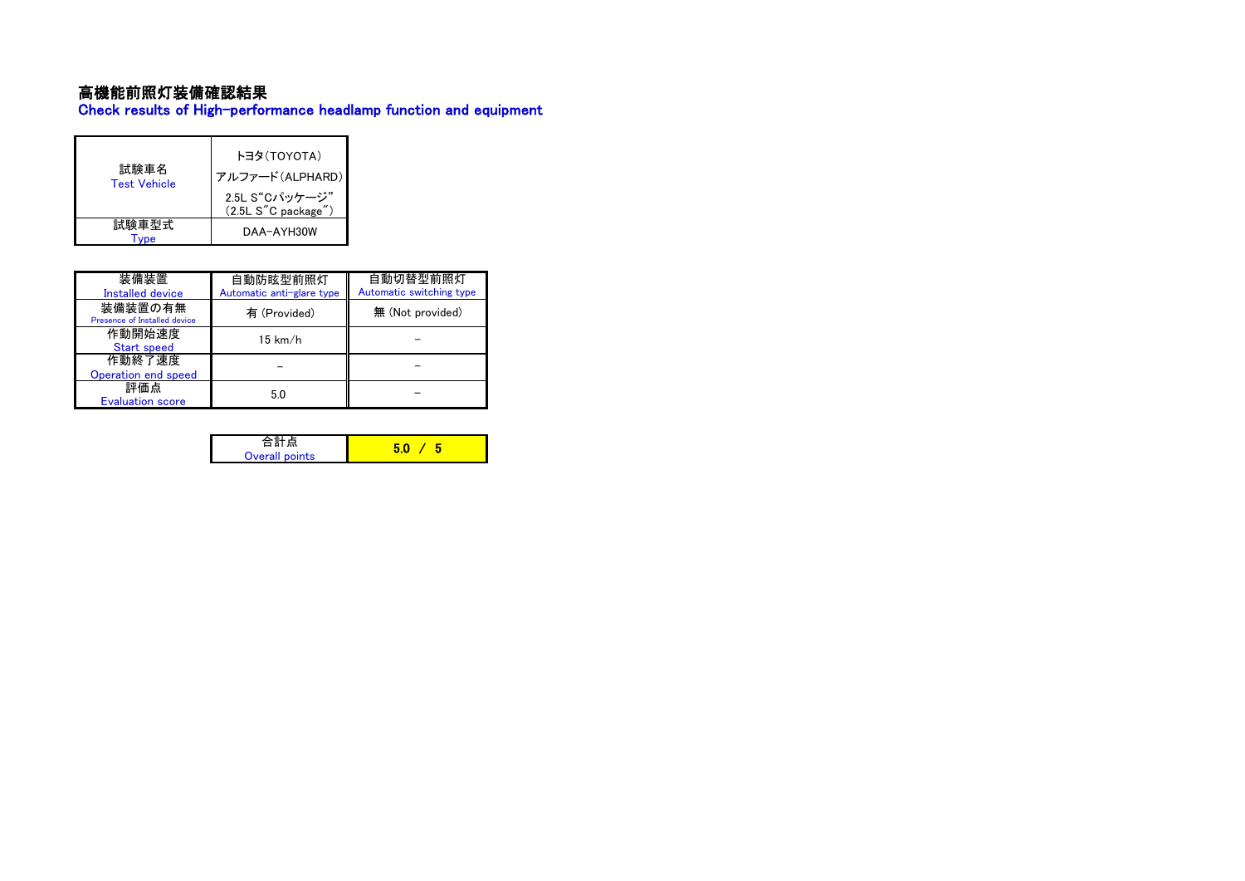# 高機能前照灯装備確認結果

Check results of High-performance headlamp function and equipment

| 試験車名<br><b>Test Vehicle</b> | トヨタ(TOYOTA)<br>アルファード(ALPHARD)<br>2.5L S"Cパッケージ"<br>$(2.5L S''C$ package") |
|-----------------------------|----------------------------------------------------------------------------|
| 試験車型式                       | DAA-AYH30W                                                                 |

| 装備装置<br><b>Installed device</b>         | 自動防眩型前照灯<br>Automatic anti-glare type | 自動切替型前照灯<br>Automatic switching type |
|-----------------------------------------|---------------------------------------|--------------------------------------|
| 装備装置の有無<br>Presence of Installed device | 有 (Provided)                          | 無 (Not provided)                     |
| 作動開始速度<br>Start speed                   | 15 km/h                               |                                      |
| 作動終了速度<br>Operation end speed           |                                       |                                      |
| 評価点<br><b>Evaluation score</b>          | 5.0                                   |                                      |

| Overall points |  |
|----------------|--|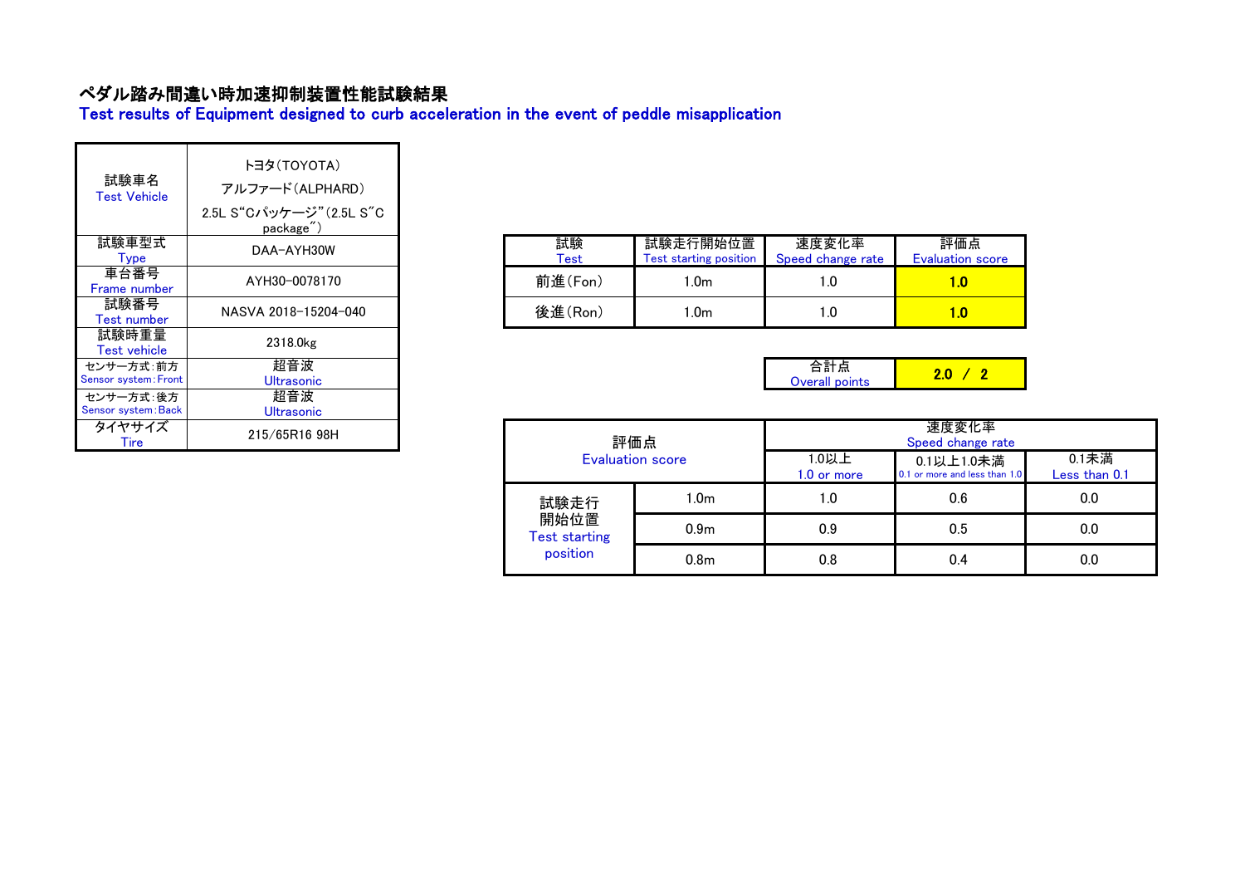# ペダル踏み間違い時加速抑制装置性能試験結果

Test results of Equipment designed to curb acceleration in the event of peddle misapplication

| 試験車名<br><b>Test Vehicle</b>              | トヨタ(TOYOTA)<br>アルファード (ALPHARD)<br>2.5L S"Cパッケージ" (2.5L S"C<br>package") |
|------------------------------------------|--------------------------------------------------------------------------|
| 試験車型式<br>Type                            | DAA-AYH30W                                                               |
| 車台番号<br>Frame number                     | AYH30-0078170                                                            |
| 試験番号<br><b>Test number</b>               | NASVA 2018-15204-040                                                     |
| 試験時重量<br><b>Test vehicle</b>             | 2318.0kg                                                                 |
| センサー方式:前方<br><b>Sensor system: Front</b> | 超音波<br><b>Ultrasonic</b>                                                 |
| センサー方式:後方<br>Sensor system: Back         | 超音波<br>Ultrasonic                                                        |
| タイヤサイズ<br>Tire                           | 215/65R16 98H                                                            |

| 試験<br>Test | 試験走行開始位置<br><b>Test starting position</b> | 速度変化率<br>Speed change rate | 評価点<br><b>Evaluation score</b> |
|------------|-------------------------------------------|----------------------------|--------------------------------|
| 前進(Fon)    | 1.0m                                      |                            | LΩ                             |
| 後進(Ron)    | l.0m                                      |                            | - 0                            |

Г

| ₩              |  |
|----------------|--|
| Overall points |  |
|                |  |

| 215/65R16 98H |                              | 評価点<br><b>Evaluation score</b> |     | 速度変化率<br>Speed change rate                  |                        |  |
|---------------|------------------------------|--------------------------------|-----|---------------------------------------------|------------------------|--|
|               |                              |                                |     | 0.1以上1.0未満<br>0.1 or more and less than 1.0 | 0.1未満<br>Less than 0.1 |  |
|               | 試験走行                         | 1.0 <sub>m</sub>               | 1.0 | 0.6                                         | 0.0                    |  |
|               | 開始位置<br><b>Test starting</b> | 0.9 <sub>m</sub>               | 0.9 | 0.5                                         | 0.0                    |  |
|               | position                     | 0.8 <sub>m</sub>               | 0.8 | 0.4                                         | 0.0                    |  |